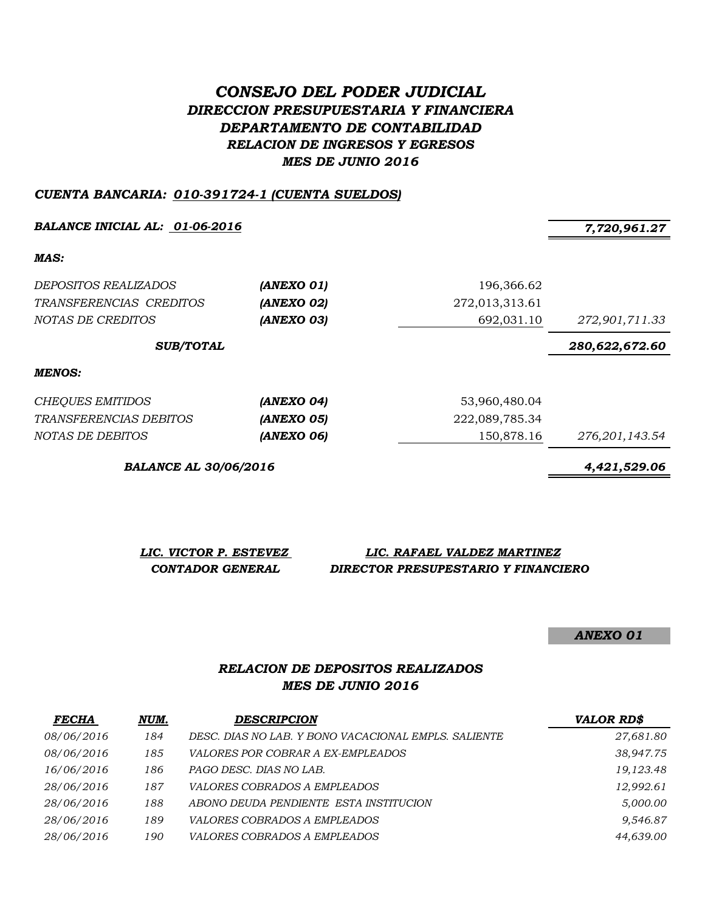# *CONSEJO DEL PODER JUDICIAL DIRECCION PRESUPUESTARIA Y FINANCIERA DEPARTAMENTO DE CONTABILIDAD RELACION DE INGRESOS Y EGRESOS MES DE JUNIO 2016*

#### *CUENTA BANCARIA: 010-391724-1 (CUENTA SUELDOS)*

**BALANCE INICIAL AL:** 01-06-2016 7,720,961.27

*MAS:*

| DEPOSITOS REALIZADOS<br>(ANEXO 01)<br>(ANEXO 02)<br>TRANSFERENCIAS CREDITOS |            | 196,366.62<br>272,013,313.61 |                                  |
|-----------------------------------------------------------------------------|------------|------------------------------|----------------------------------|
| NOTAS DE CREDITOS<br><b>SUB/TOTAL</b>                                       | (ANEXO 03) | 692,031.10                   | 272,901,711.33<br>280,622,672.60 |
| <b>MENOS:</b>                                                               |            |                              |                                  |
| CHEQUES EMITIDOS                                                            | (ANEXO 04) | 53,960,480.04                |                                  |

|                         |            | .              |                |
|-------------------------|------------|----------------|----------------|
| TRANSFERENCIAS DEBITOS  | (ANEXO 05) | 222,089,785.34 |                |
| <i>NOTAS DE DEBITOS</i> | (ANEXO 06) | 150.878.16     | 276,201,143.54 |

*BALANCE AL 30/06/2016 4,421,529.06*

| LIC. VICTOR P. ESTEVEZ | LIC. RAFAEL VALDEZ MARTINEZ         |
|------------------------|-------------------------------------|
| CONTADOR GENERAL       | DIRECTOR PRESUPESTARIO Y FINANCIERO |

*ANEXO 01*

## *RELACION DE DEPOSITOS REALIZADOS MES DE JUNIO 2016*

| <b>FECHA</b> | NUM. | <b>DESCRIPCION</b>                                   | <b>VALOR RD\$</b> |
|--------------|------|------------------------------------------------------|-------------------|
| 08/06/2016   | 184  | DESC. DIAS NO LAB. Y BONO VACACIONAL EMPLS. SALIENTE | 27,681.80         |
| 08/06/2016   | 185  | <i>VALORES POR COBRAR A EX-EMPLEADOS</i>             | 38,947.75         |
| 16/06/2016   | 186  | PAGO DESC. DIAS NO LAB.                              | 19,123.48         |
| 28/06/2016   | 187  | <i>VALORES COBRADOS A EMPLEADOS</i>                  | 12,992.61         |
| 28/06/2016   | 188  | ABONO DEUDA PENDIENTE ESTA INSTITUCION               | 5,000.00          |
| 28/06/2016   | 189  | <i>VALORES COBRADOS A EMPLEADOS</i>                  | 9,546.87          |
| 28/06/2016   | 190  | <i>VALORES COBRADOS A EMPLEADOS</i>                  | 44,639.00         |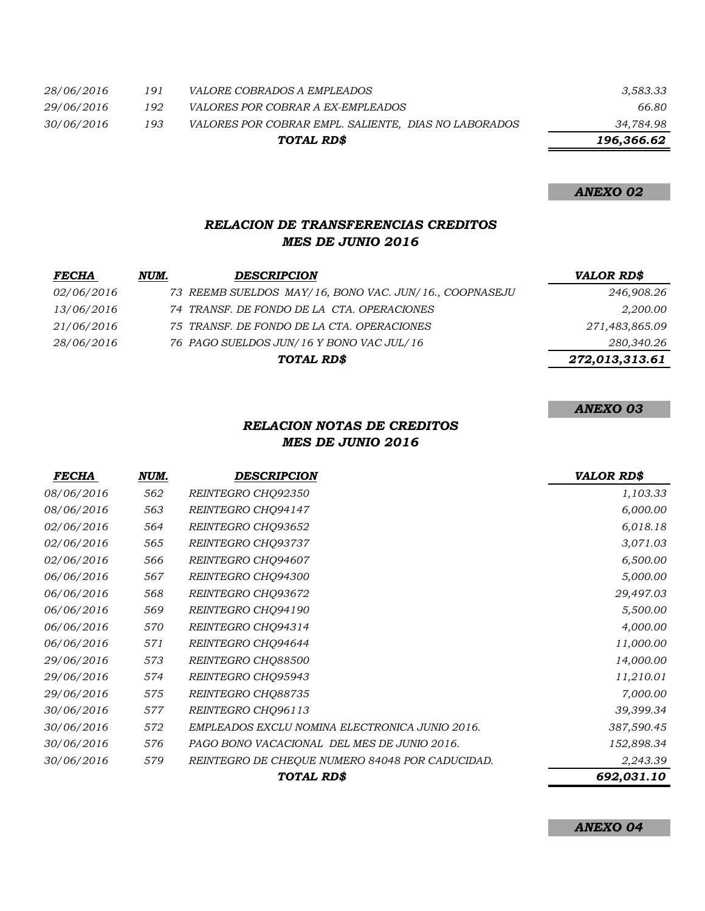*28/06/2016 191 VALORE COBRADOS A EMPLEADOS 3,583.33 29/06/2016 192 VALORES POR COBRAR A EX-EMPLEADOS 66.80 30/06/2016 193 VALORES POR COBRAR EMPL. SALIENTE, DIAS NO LABORADOS 34,784.98 196,366.62 TOTAL RD\$*

#### *ANEXO 02*

## *RELACION DE TRANSFERENCIAS CREDITOS MES DE JUNIO 2016*

| <b>FECHA</b>      | NUM. | <b>DESCRIPCION</b>                                     | <b>VALOR RD\$</b> |
|-------------------|------|--------------------------------------------------------|-------------------|
| <i>02/06/2016</i> |      | 73 REEMB SUELDOS MAY/16, BONO VAC. JUN/16., COOPNASEJU | 246,908.26        |
| 13/06/2016        |      | 74 TRANSF. DE FONDO DE LA CTA. OPERACIONES             | 2,200.00          |
| 21/06/2016        |      | 75 TRANSF. DE FONDO DE LA CTA. OPERACIONES             | 271,483,865.09    |
| 28/06/2016        |      | 76 PAGO SUELDOS JUN/16 Y BONO VAC JUL/16               | 280,340.26        |
|                   |      | TOTAL RD\$                                             | 272,013,313.61    |

#### *ANEXO 03*

## *RELACION NOTAS DE CREDITOS MES DE JUNIO 2016*

| <i>FECHA</i>      | NUM. | <b>DESCRIPCION</b>                              | <b>VALOR RD\$</b> |
|-------------------|------|-------------------------------------------------|-------------------|
| 08/06/2016        | 562  | REINTEGRO CHQ92350                              | 1,103.33          |
| 08/06/2016        | 563  | REINTEGRO CHQ94147                              | 6,000.00          |
| <i>02/06/2016</i> | 564  | REINTEGRO CHQ93652                              | 6,018.18          |
| 02/06/2016        | 565  | REINTEGRO CHQ93737                              | 3,071.03          |
| 02/06/2016        | 566  | REINTEGRO CHQ94607                              | 6,500.00          |
| 06/06/2016        | 567  | REINTEGRO CHQ94300                              | 5,000.00          |
| 06/06/2016        | 568  | REINTEGRO CHQ93672                              | 29,497.03         |
| 06/06/2016        | 569  | REINTEGRO CHQ94190                              | 5,500.00          |
| 06/06/2016        | 570  | REINTEGRO CHQ94314                              | 4,000.00          |
| 06/06/2016        | 571  | REINTEGRO CHQ94644                              | 11,000.00         |
| 29/06/2016        | 573  | REINTEGRO CHQ88500                              | 14,000.00         |
| 29/06/2016        | 574  | REINTEGRO CHQ95943                              | 11,210.01         |
| 29/06/2016        | 575  | REINTEGRO CHO88735                              | 7,000.00          |
| 30/06/2016        | 577  | REINTEGRO CHQ96113                              | 39,399.34         |
| 30/06/2016        | 572  | EMPLEADOS EXCLU NOMINA ELECTRONICA JUNIO 2016.  | 387,590.45        |
| 30/06/2016        | 576  | PAGO BONO VACACIONAL DEL MES DE JUNIO 2016.     | 152,898.34        |
| 30/06/2016        | 579  | REINTEGRO DE CHEQUE NUMERO 84048 POR CADUCIDAD. | 2,243.39          |
|                   |      | TOTAL RD\$                                      | 692,031.10        |

*ANEXO 04*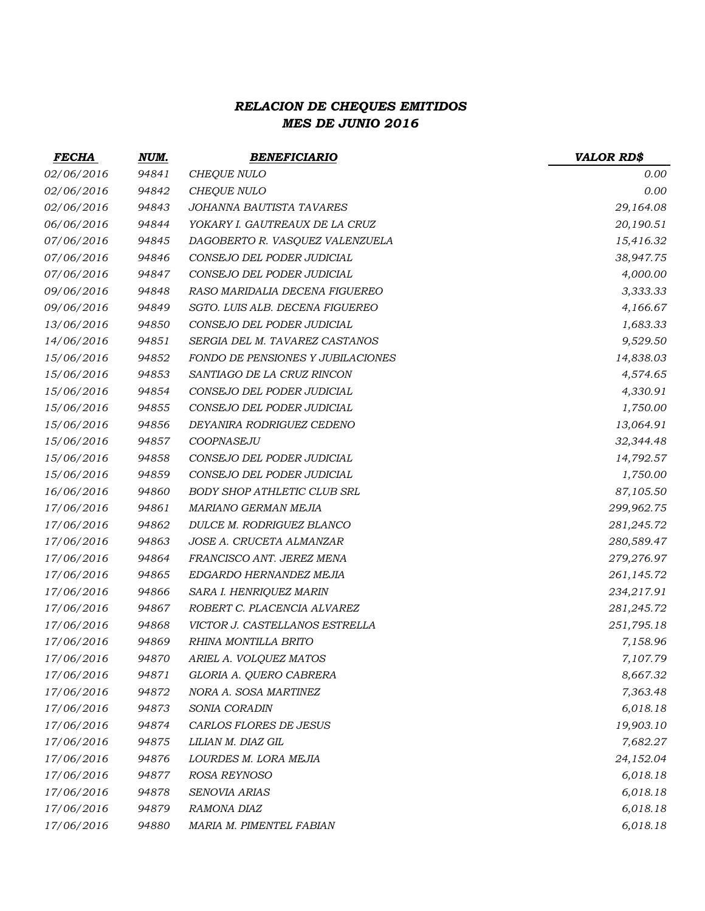# *RELACION DE CHEQUES EMITIDOS MES DE JUNIO 2016*

| <b>FECHA</b> | NUM.  | <b>BENEFICIARIO</b>                | <b>VALOR RD\$</b> |
|--------------|-------|------------------------------------|-------------------|
| 02/06/2016   | 94841 | CHEQUE NULO                        | 0.00              |
| 02/06/2016   | 94842 | CHEQUE NULO                        | 0.00              |
| 02/06/2016   | 94843 | JOHANNA BAUTISTA TAVARES           | 29,164.08         |
| 06/06/2016   | 94844 | YOKARY I. GAUTREAUX DE LA CRUZ     | 20,190.51         |
| 07/06/2016   | 94845 | DAGOBERTO R. VASQUEZ VALENZUELA    | 15,416.32         |
| 07/06/2016   | 94846 | CONSEJO DEL PODER JUDICIAL         | 38,947.75         |
| 07/06/2016   | 94847 | CONSEJO DEL PODER JUDICIAL         | 4,000.00          |
| 09/06/2016   | 94848 | RASO MARIDALIA DECENA FIGUEREO     | 3,333.33          |
| 09/06/2016   | 94849 | SGTO. LUIS ALB. DECENA FIGUEREO    | 4,166.67          |
| 13/06/2016   | 94850 | CONSEJO DEL PODER JUDICIAL         | 1,683.33          |
| 14/06/2016   | 94851 | SERGIA DEL M. TAVAREZ CASTANOS     | 9,529.50          |
| 15/06/2016   | 94852 | FONDO DE PENSIONES Y JUBILACIONES  | 14,838.03         |
| 15/06/2016   | 94853 | SANTIAGO DE LA CRUZ RINCON         | 4,574.65          |
| 15/06/2016   | 94854 | CONSEJO DEL PODER JUDICIAL         | 4,330.91          |
| 15/06/2016   | 94855 | CONSEJO DEL PODER JUDICIAL         | 1,750.00          |
| 15/06/2016   | 94856 | DEYANIRA RODRIGUEZ CEDENO          | 13,064.91         |
| 15/06/2016   | 94857 | COOPNASEJU                         | 32,344.48         |
| 15/06/2016   | 94858 | CONSEJO DEL PODER JUDICIAL         | 14,792.57         |
| 15/06/2016   | 94859 | CONSEJO DEL PODER JUDICIAL         | 1,750.00          |
| 16/06/2016   | 94860 | <b>BODY SHOP ATHLETIC CLUB SRL</b> | 87,105.50         |
| 17/06/2016   | 94861 | MARIANO GERMAN MEJIA               | 299,962.75        |
| 17/06/2016   | 94862 | DULCE M. RODRIGUEZ BLANCO          | 281,245.72        |
| 17/06/2016   | 94863 | JOSE A. CRUCETA ALMANZAR           | 280,589.47        |
| 17/06/2016   | 94864 | FRANCISCO ANT. JEREZ MENA          | 279,276.97        |
| 17/06/2016   | 94865 | EDGARDO HERNANDEZ MEJIA            | 261,145.72        |
| 17/06/2016   | 94866 | SARA I. HENRIQUEZ MARIN            | 234,217.91        |
| 17/06/2016   | 94867 | ROBERT C. PLACENCIA ALVAREZ        | 281,245.72        |
| 17/06/2016   | 94868 | VICTOR J. CASTELLANOS ESTRELLA     | 251,795.18        |
| 17/06/2016   | 94869 | RHINA MONTILLA BRITO               | 7,158.96          |
| 17/06/2016   | 94870 | ARIEL A. VOLQUEZ MATOS             | 7,107.79          |
| 17/06/2016   | 94871 | GLORIA A. QUERO CABRERA            | 8,667.32          |
| 17/06/2016   | 94872 | NORA A. SOSA MARTINEZ              | 7,363.48          |
| 17/06/2016   | 94873 | SONIA CORADIN                      | 6,018.18          |
| 17/06/2016   | 94874 | CARLOS FLORES DE JESUS             | 19,903.10         |
| 17/06/2016   | 94875 | LILIAN M. DIAZ GIL                 | 7,682.27          |
| 17/06/2016   | 94876 | LOURDES M. LORA MEJIA              | 24,152.04         |
| 17/06/2016   | 94877 | ROSA REYNOSO                       | 6,018.18          |
| 17/06/2016   | 94878 | SENOVIA ARIAS                      | 6,018.18          |
| 17/06/2016   | 94879 | RAMONA DIAZ                        | 6,018.18          |
| 17/06/2016   | 94880 | MARIA M. PIMENTEL FABIAN           | 6,018.18          |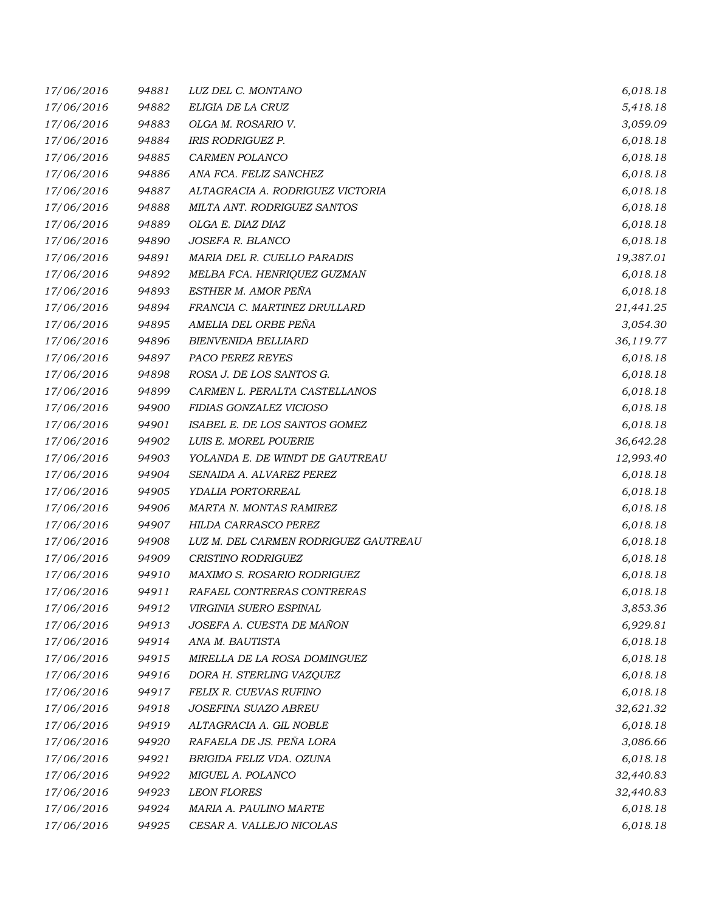| 17/06/2016 | 94881 | LUZ DEL C. MONTANO                   | 6,018.18  |
|------------|-------|--------------------------------------|-----------|
| 17/06/2016 | 94882 | ELIGIA DE LA CRUZ                    | 5,418.18  |
| 17/06/2016 | 94883 | OLGA M. ROSARIO V.                   | 3,059.09  |
| 17/06/2016 | 94884 | <b>IRIS RODRIGUEZ P.</b>             | 6,018.18  |
| 17/06/2016 | 94885 | CARMEN POLANCO                       | 6,018.18  |
| 17/06/2016 | 94886 | ANA FCA. FELIZ SANCHEZ               | 6,018.18  |
| 17/06/2016 | 94887 | ALTAGRACIA A. RODRIGUEZ VICTORIA     | 6,018.18  |
| 17/06/2016 | 94888 | MILTA ANT. RODRIGUEZ SANTOS          | 6,018.18  |
| 17/06/2016 | 94889 | OLGA E. DIAZ DIAZ                    | 6,018.18  |
| 17/06/2016 | 94890 | JOSEFA R. BLANCO                     | 6,018.18  |
| 17/06/2016 | 94891 | MARIA DEL R. CUELLO PARADIS          | 19,387.01 |
| 17/06/2016 | 94892 | MELBA FCA. HENRIQUEZ GUZMAN          | 6,018.18  |
| 17/06/2016 | 94893 | ESTHER M. AMOR PEÑA                  | 6,018.18  |
| 17/06/2016 | 94894 | FRANCIA C. MARTINEZ DRULLARD         | 21,441.25 |
| 17/06/2016 | 94895 | AMELIA DEL ORBE PEÑA                 | 3,054.30  |
| 17/06/2016 | 94896 | <b>BIENVENIDA BELLIARD</b>           | 36,119.77 |
| 17/06/2016 | 94897 | PACO PEREZ REYES                     | 6,018.18  |
| 17/06/2016 | 94898 | ROSA J. DE LOS SANTOS G.             | 6,018.18  |
| 17/06/2016 | 94899 | CARMEN L. PERALTA CASTELLANOS        | 6,018.18  |
| 17/06/2016 | 94900 | FIDIAS GONZALEZ VICIOSO              | 6,018.18  |
| 17/06/2016 | 94901 | ISABEL E. DE LOS SANTOS GOMEZ        | 6,018.18  |
| 17/06/2016 | 94902 | LUIS E. MOREL POUERIE                | 36,642.28 |
| 17/06/2016 | 94903 | YOLANDA E. DE WINDT DE GAUTREAU      | 12,993.40 |
| 17/06/2016 | 94904 | SENAIDA A. ALVAREZ PEREZ             | 6,018.18  |
| 17/06/2016 | 94905 | YDALIA PORTORREAL                    | 6,018.18  |
| 17/06/2016 | 94906 | MARTA N. MONTAS RAMIREZ              | 6,018.18  |
| 17/06/2016 | 94907 | HILDA CARRASCO PEREZ                 | 6,018.18  |
| 17/06/2016 | 94908 | LUZ M. DEL CARMEN RODRIGUEZ GAUTREAU | 6,018.18  |
| 17/06/2016 | 94909 | CRISTINO RODRIGUEZ                   | 6,018.18  |
| 17/06/2016 | 94910 | MAXIMO S. ROSARIO RODRIGUEZ          | 6,018.18  |
| 17/06/2016 | 94911 | RAFAEL CONTRERAS CONTRERAS           | 6,018.18  |
| 17/06/2016 | 94912 | VIRGINIA SUERO ESPINAL               | 3,853.36  |
| 17/06/2016 | 94913 | JOSEFA A. CUESTA DE MAÑON            | 6,929.81  |
| 17/06/2016 | 94914 | ANA M. BAUTISTA                      | 6,018.18  |
| 17/06/2016 | 94915 | MIRELLA DE LA ROSA DOMINGUEZ         | 6,018.18  |
| 17/06/2016 | 94916 | DORA H. STERLING VAZQUEZ             | 6,018.18  |
| 17/06/2016 | 94917 | <b>FELIX R. CUEVAS RUFINO</b>        | 6,018.18  |
| 17/06/2016 | 94918 | JOSEFINA SUAZO ABREU                 | 32,621.32 |
| 17/06/2016 | 94919 | ALTAGRACIA A. GIL NOBLE              | 6,018.18  |
| 17/06/2016 | 94920 | RAFAELA DE JS. PEÑA LORA             | 3,086.66  |
| 17/06/2016 | 94921 | BRIGIDA FELIZ VDA. OZUNA             | 6,018.18  |
| 17/06/2016 | 94922 | MIGUEL A. POLANCO                    | 32,440.83 |
| 17/06/2016 | 94923 | <b>LEON FLORES</b>                   | 32,440.83 |
| 17/06/2016 | 94924 | MARIA A. PAULINO MARTE               | 6,018.18  |
| 17/06/2016 | 94925 | CESAR A. VALLEJO NICOLAS             | 6,018.18  |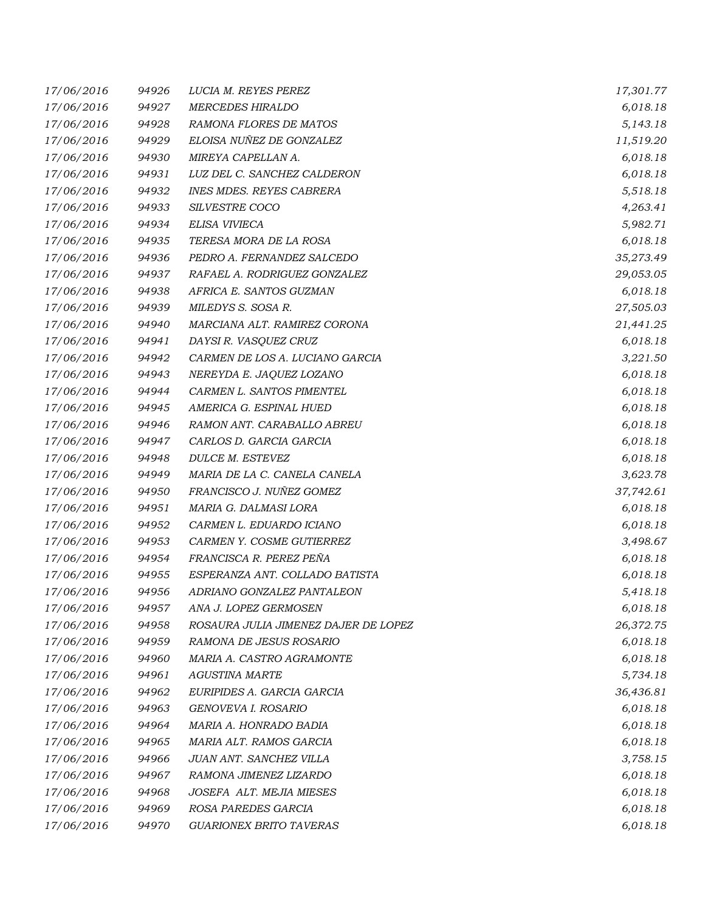| 17/06/2016 | 94926 | LUCIA M. REYES PEREZ                 | 17,301.77 |
|------------|-------|--------------------------------------|-----------|
| 17/06/2016 | 94927 | <b>MERCEDES HIRALDO</b>              | 6,018.18  |
| 17/06/2016 | 94928 | RAMONA FLORES DE MATOS               | 5,143.18  |
| 17/06/2016 | 94929 | ELOISA NUÑEZ DE GONZALEZ             | 11,519.20 |
| 17/06/2016 | 94930 | MIREYA CAPELLAN A.                   | 6,018.18  |
| 17/06/2016 | 94931 | LUZ DEL C. SANCHEZ CALDERON          | 6,018.18  |
| 17/06/2016 | 94932 | <b>INES MDES. REYES CABRERA</b>      | 5,518.18  |
| 17/06/2016 | 94933 | SILVESTRE COCO                       | 4,263.41  |
| 17/06/2016 | 94934 | ELISA VIVIECA                        | 5,982.71  |
| 17/06/2016 | 94935 | TERESA MORA DE LA ROSA               | 6,018.18  |
| 17/06/2016 | 94936 | PEDRO A. FERNANDEZ SALCEDO           | 35,273.49 |
| 17/06/2016 | 94937 | RAFAEL A. RODRIGUEZ GONZALEZ         | 29,053.05 |
| 17/06/2016 | 94938 | AFRICA E. SANTOS GUZMAN              | 6,018.18  |
| 17/06/2016 | 94939 | MILEDYS S. SOSA R.                   | 27,505.03 |
| 17/06/2016 | 94940 | MARCIANA ALT. RAMIREZ CORONA         | 21,441.25 |
| 17/06/2016 | 94941 | DAYSI R. VASQUEZ CRUZ                | 6,018.18  |
| 17/06/2016 | 94942 | CARMEN DE LOS A. LUCIANO GARCIA      | 3,221.50  |
| 17/06/2016 | 94943 | NEREYDA E. JAQUEZ LOZANO             | 6,018.18  |
| 17/06/2016 | 94944 | CARMEN L. SANTOS PIMENTEL            | 6,018.18  |
| 17/06/2016 | 94945 | AMERICA G. ESPINAL HUED              | 6,018.18  |
| 17/06/2016 | 94946 | RAMON ANT. CARABALLO ABREU           | 6,018.18  |
| 17/06/2016 | 94947 | CARLOS D. GARCIA GARCIA              | 6,018.18  |
| 17/06/2016 | 94948 | DULCE M. ESTEVEZ                     | 6,018.18  |
| 17/06/2016 | 94949 | MARIA DE LA C. CANELA CANELA         | 3,623.78  |
| 17/06/2016 | 94950 | FRANCISCO J. NUÑEZ GOMEZ             | 37,742.61 |
| 17/06/2016 | 94951 | MARIA G. DALMASI LORA                | 6,018.18  |
| 17/06/2016 | 94952 | CARMEN L. EDUARDO ICIANO             | 6,018.18  |
| 17/06/2016 | 94953 | CARMEN Y. COSME GUTIERREZ            | 3,498.67  |
| 17/06/2016 | 94954 | FRANCISCA R. PEREZ PEÑA              | 6,018.18  |
| 17/06/2016 | 94955 | ESPERANZA ANT. COLLADO BATISTA       | 6,018.18  |
| 17/06/2016 | 94956 | ADRIANO GONZALEZ PANTALEON           | 5,418.18  |
| 17/06/2016 | 94957 | ANA J. LOPEZ GERMOSEN                | 6,018.18  |
| 17/06/2016 | 94958 | ROSAURA JULIA JIMENEZ DAJER DE LOPEZ | 26,372.75 |
| 17/06/2016 | 94959 | RAMONA DE JESUS ROSARIO              | 6,018.18  |
| 17/06/2016 | 94960 | MARIA A. CASTRO AGRAMONTE            | 6,018.18  |
| 17/06/2016 | 94961 | <b>AGUSTINA MARTE</b>                | 5,734.18  |
| 17/06/2016 | 94962 | EURIPIDES A. GARCIA GARCIA           | 36,436.81 |
| 17/06/2016 | 94963 | GENOVEVA I. ROSARIO                  | 6,018.18  |
| 17/06/2016 | 94964 | MARIA A. HONRADO BADIA               | 6,018.18  |
| 17/06/2016 | 94965 | MARIA ALT. RAMOS GARCIA              | 6,018.18  |
| 17/06/2016 | 94966 | JUAN ANT. SANCHEZ VILLA              | 3,758.15  |
| 17/06/2016 | 94967 | RAMONA JIMENEZ LIZARDO               | 6,018.18  |
| 17/06/2016 | 94968 | JOSEFA ALT. MEJIA MIESES             | 6,018.18  |
| 17/06/2016 | 94969 | ROSA PAREDES GARCIA                  | 6,018.18  |
| 17/06/2016 | 94970 | GUARIONEX BRITO TAVERAS              | 6,018.18  |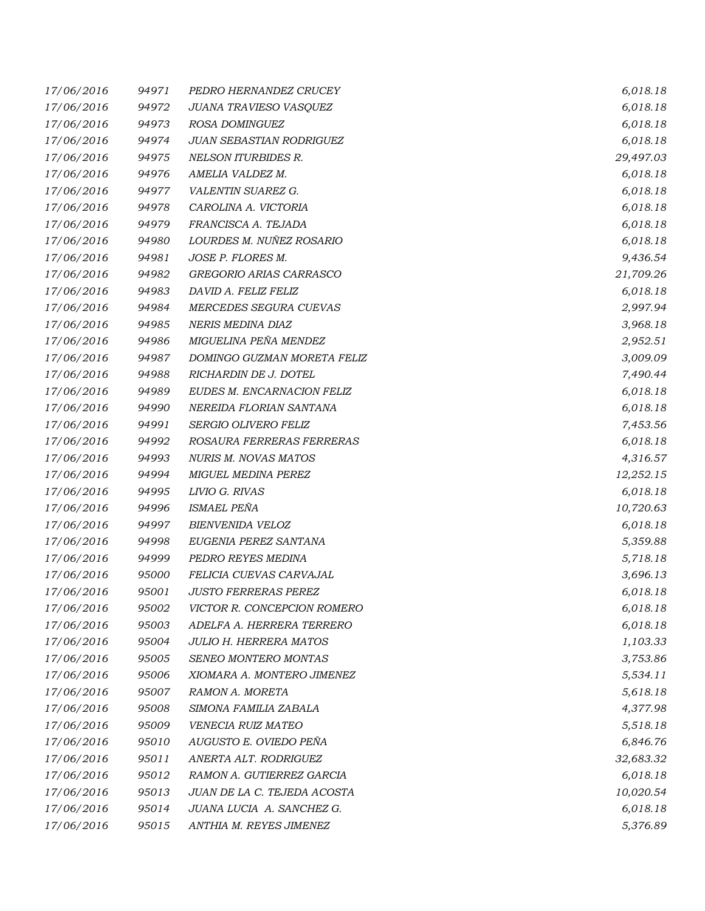| 17/06/2016 | 94971 | PEDRO HERNANDEZ CRUCEY        | 6,018.18  |
|------------|-------|-------------------------------|-----------|
| 17/06/2016 | 94972 | JUANA TRAVIESO VASQUEZ        | 6,018.18  |
| 17/06/2016 | 94973 | ROSA DOMINGUEZ                | 6,018.18  |
| 17/06/2016 | 94974 | JUAN SEBASTIAN RODRIGUEZ      | 6,018.18  |
| 17/06/2016 | 94975 | NELSON ITURBIDES R.           | 29,497.03 |
| 17/06/2016 | 94976 | AMELIA VALDEZ M.              | 6,018.18  |
| 17/06/2016 | 94977 | VALENTIN SUAREZ G.            | 6,018.18  |
| 17/06/2016 | 94978 | CAROLINA A. VICTORIA          | 6,018.18  |
| 17/06/2016 | 94979 | FRANCISCA A. TEJADA           | 6,018.18  |
| 17/06/2016 | 94980 | LOURDES M. NUÑEZ ROSARIO      | 6,018.18  |
| 17/06/2016 | 94981 | JOSE P. FLORES M.             | 9,436.54  |
| 17/06/2016 | 94982 | GREGORIO ARIAS CARRASCO       | 21,709.26 |
| 17/06/2016 | 94983 | DAVID A. FELIZ FELIZ          | 6,018.18  |
| 17/06/2016 | 94984 | MERCEDES SEGURA CUEVAS        | 2,997.94  |
| 17/06/2016 | 94985 | NERIS MEDINA DIAZ             | 3,968.18  |
| 17/06/2016 | 94986 | MIGUELINA PEÑA MENDEZ         | 2,952.51  |
| 17/06/2016 | 94987 | DOMINGO GUZMAN MORETA FELIZ   | 3,009.09  |
| 17/06/2016 | 94988 | RICHARDIN DE J. DOTEL         | 7,490.44  |
| 17/06/2016 | 94989 | EUDES M. ENCARNACION FELIZ    | 6,018.18  |
| 17/06/2016 | 94990 | NEREIDA FLORIAN SANTANA       | 6,018.18  |
| 17/06/2016 | 94991 | SERGIO OLIVERO FELIZ          | 7,453.56  |
| 17/06/2016 | 94992 | ROSAURA FERRERAS FERRERAS     | 6,018.18  |
| 17/06/2016 | 94993 | NURIS M. NOVAS MATOS          | 4,316.57  |
| 17/06/2016 | 94994 | MIGUEL MEDINA PEREZ           | 12,252.15 |
| 17/06/2016 | 94995 | LIVIO G. RIVAS                | 6,018.18  |
| 17/06/2016 | 94996 | ISMAEL PEÑA                   | 10,720.63 |
| 17/06/2016 | 94997 | BIENVENIDA VELOZ              | 6,018.18  |
| 17/06/2016 | 94998 | EUGENIA PEREZ SANTANA         | 5,359.88  |
| 17/06/2016 | 94999 | PEDRO REYES MEDINA            | 5,718.18  |
| 17/06/2016 | 95000 | FELICIA CUEVAS CARVAJAL       | 3,696.13  |
| 17/06/2016 | 95001 | <b>JUSTO FERRERAS PEREZ</b>   | 6,018.18  |
| 17/06/2016 | 95002 | VICTOR R. CONCEPCION ROMERO   | 6,018.18  |
| 17/06/2016 | 95003 | ADELFA A. HERRERA TERRERO     | 6,018.18  |
| 17/06/2016 | 95004 | <b>JULIO H. HERRERA MATOS</b> | 1,103.33  |
| 17/06/2016 | 95005 | SENEO MONTERO MONTAS          | 3,753.86  |
| 17/06/2016 | 95006 | XIOMARA A. MONTERO JIMENEZ    | 5,534.11  |
| 17/06/2016 | 95007 | RAMON A. MORETA               | 5,618.18  |
| 17/06/2016 | 95008 | SIMONA FAMILIA ZABALA         | 4,377.98  |
| 17/06/2016 | 95009 | VENECIA RUIZ MATEO            | 5,518.18  |
| 17/06/2016 | 95010 | AUGUSTO E. OVIEDO PEÑA        | 6,846.76  |
| 17/06/2016 | 95011 | ANERTA ALT. RODRIGUEZ         | 32,683.32 |
| 17/06/2016 | 95012 | RAMON A. GUTIERREZ GARCIA     | 6,018.18  |
| 17/06/2016 | 95013 | JUAN DE LA C. TEJEDA ACOSTA   | 10,020.54 |
| 17/06/2016 | 95014 | JUANA LUCIA A. SANCHEZ G.     | 6,018.18  |
| 17/06/2016 | 95015 | ANTHIA M. REYES JIMENEZ       | 5,376.89  |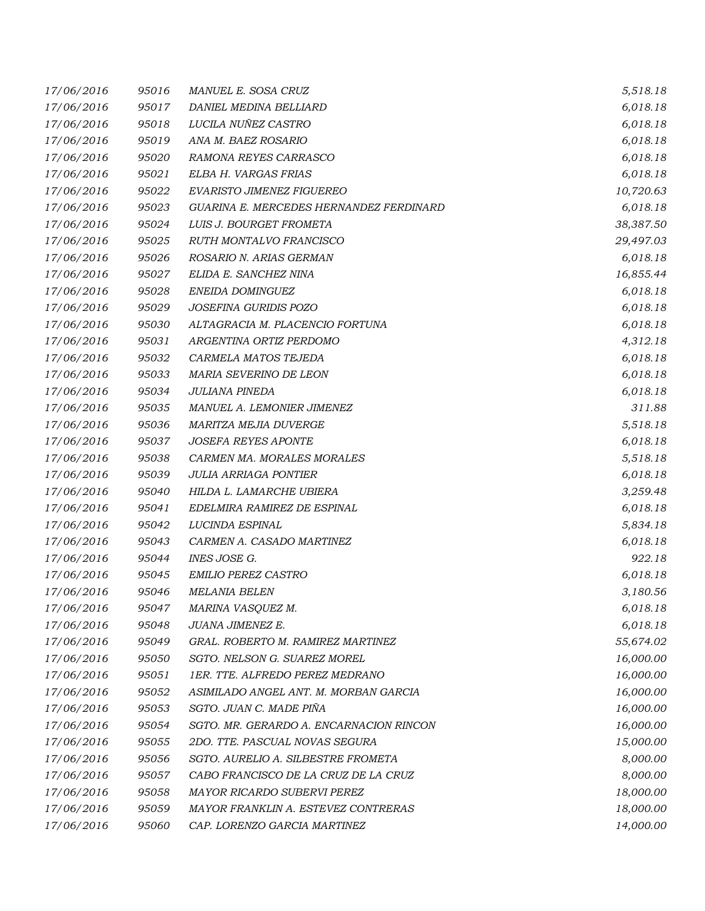| 17/06/2016 | 95016 | MANUEL E. SOSA CRUZ                     | 5,518.18  |
|------------|-------|-----------------------------------------|-----------|
| 17/06/2016 | 95017 | DANIEL MEDINA BELLIARD                  | 6,018.18  |
| 17/06/2016 | 95018 | LUCILA NUÑEZ CASTRO                     | 6,018.18  |
| 17/06/2016 | 95019 | ANA M. BAEZ ROSARIO                     | 6,018.18  |
| 17/06/2016 | 95020 | RAMONA REYES CARRASCO                   | 6,018.18  |
| 17/06/2016 | 95021 | ELBA H. VARGAS FRIAS                    | 6,018.18  |
| 17/06/2016 | 95022 | EVARISTO JIMENEZ FIGUEREO               | 10,720.63 |
| 17/06/2016 | 95023 | GUARINA E. MERCEDES HERNANDEZ FERDINARD | 6,018.18  |
| 17/06/2016 | 95024 | LUIS J. BOURGET FROMETA                 | 38,387.50 |
| 17/06/2016 | 95025 | RUTH MONTALVO FRANCISCO                 | 29,497.03 |
| 17/06/2016 | 95026 | ROSARIO N. ARIAS GERMAN                 | 6,018.18  |
| 17/06/2016 | 95027 | ELIDA E. SANCHEZ NINA                   | 16,855.44 |
| 17/06/2016 | 95028 | ENEIDA DOMINGUEZ                        | 6,018.18  |
| 17/06/2016 | 95029 | JOSEFINA GURIDIS POZO                   | 6,018.18  |
| 17/06/2016 | 95030 | ALTAGRACIA M. PLACENCIO FORTUNA         | 6,018.18  |
| 17/06/2016 | 95031 | ARGENTINA ORTIZ PERDOMO                 | 4,312.18  |
| 17/06/2016 | 95032 | CARMELA MATOS TEJEDA                    | 6,018.18  |
| 17/06/2016 | 95033 | MARIA SEVERINO DE LEON                  | 6,018.18  |
| 17/06/2016 | 95034 | <b>JULIANA PINEDA</b>                   | 6,018.18  |
| 17/06/2016 | 95035 | MANUEL A. LEMONIER JIMENEZ              | 311.88    |
| 17/06/2016 | 95036 | MARITZA MEJIA DUVERGE                   | 5,518.18  |
| 17/06/2016 | 95037 | JOSEFA REYES APONTE                     | 6,018.18  |
| 17/06/2016 | 95038 | CARMEN MA. MORALES MORALES              | 5,518.18  |
| 17/06/2016 | 95039 | <b>JULIA ARRIAGA PONTIER</b>            | 6,018.18  |
| 17/06/2016 | 95040 | HILDA L. LAMARCHE UBIERA                | 3,259.48  |
| 17/06/2016 | 95041 | EDELMIRA RAMIREZ DE ESPINAL             | 6,018.18  |
| 17/06/2016 | 95042 | <i>LUCINDA ESPINAL</i>                  | 5,834.18  |
| 17/06/2016 | 95043 | CARMEN A. CASADO MARTINEZ               | 6,018.18  |
| 17/06/2016 | 95044 | INES JOSE G.                            | 922.18    |
| 17/06/2016 | 95045 | <b>EMILIO PEREZ CASTRO</b>              | 6,018.18  |
| 17/06/2016 | 95046 | <b>MELANIA BELEN</b>                    | 3,180.56  |
| 17/06/2016 | 95047 | MARINA VASQUEZ M.                       | 6,018.18  |
| 17/06/2016 | 95048 | JUANA JIMENEZ E.                        | 6,018.18  |
| 17/06/2016 | 95049 | GRAL, ROBERTO M. RAMIREZ MARTINEZ       | 55,674.02 |
| 17/06/2016 | 95050 | SGTO. NELSON G. SUAREZ MOREL            | 16,000.00 |
| 17/06/2016 | 95051 | 1ER. TTE. ALFREDO PEREZ MEDRANO         | 16,000.00 |
| 17/06/2016 | 95052 | ASIMILADO ANGEL ANT. M. MORBAN GARCIA   | 16,000.00 |
| 17/06/2016 | 95053 | SGTO. JUAN C. MADE PIÑA                 | 16,000.00 |
| 17/06/2016 | 95054 | SGTO. MR. GERARDO A. ENCARNACION RINCON | 16,000.00 |
| 17/06/2016 | 95055 | 2DO. TTE. PASCUAL NOVAS SEGURA          | 15,000.00 |
| 17/06/2016 | 95056 | SGTO. AURELIO A. SILBESTRE FROMETA      | 8,000.00  |
| 17/06/2016 | 95057 | CABO FRANCISCO DE LA CRUZ DE LA CRUZ    | 8,000.00  |
| 17/06/2016 | 95058 | MAYOR RICARDO SUBERVI PEREZ             | 18,000.00 |
| 17/06/2016 | 95059 | MAYOR FRANKLIN A. ESTEVEZ CONTRERAS     | 18,000.00 |
| 17/06/2016 | 95060 | CAP. LORENZO GARCIA MARTINEZ            | 14,000.00 |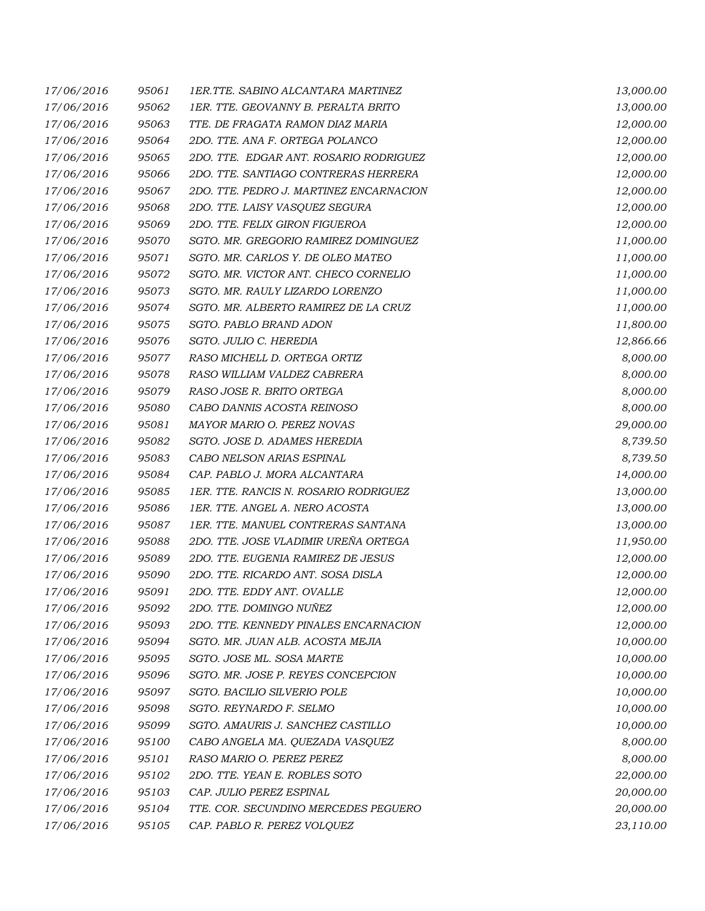| 17/06/2016 | 95061 | 1ER.TTE. SABINO ALCANTARA MARTINEZ      | 13,000.00 |
|------------|-------|-----------------------------------------|-----------|
| 17/06/2016 | 95062 | 1ER. TTE. GEOVANNY B. PERALTA BRITO     | 13,000.00 |
| 17/06/2016 | 95063 | TTE. DE FRAGATA RAMON DIAZ MARIA        | 12,000.00 |
| 17/06/2016 | 95064 | 2DO. TTE. ANA F. ORTEGA POLANCO         | 12,000.00 |
| 17/06/2016 | 95065 | 2DO. TTE. EDGAR ANT. ROSARIO RODRIGUEZ  | 12,000.00 |
| 17/06/2016 | 95066 | 2DO. TTE. SANTIAGO CONTRERAS HERRERA    | 12,000.00 |
| 17/06/2016 | 95067 | 2DO. TTE. PEDRO J. MARTINEZ ENCARNACION | 12,000.00 |
| 17/06/2016 | 95068 | 2DO. TTE. LAISY VASQUEZ SEGURA          | 12,000.00 |
| 17/06/2016 | 95069 | 2DO. TTE. FELIX GIRON FIGUEROA          | 12,000.00 |
| 17/06/2016 | 95070 | SGTO. MR. GREGORIO RAMIREZ DOMINGUEZ    | 11,000.00 |
| 17/06/2016 | 95071 | SGTO. MR. CARLOS Y. DE OLEO MATEO       | 11,000.00 |
| 17/06/2016 | 95072 | SGTO. MR. VICTOR ANT. CHECO CORNELIO    | 11,000.00 |
| 17/06/2016 | 95073 | SGTO. MR. RAULY LIZARDO LORENZO         | 11,000.00 |
| 17/06/2016 | 95074 | SGTO. MR. ALBERTO RAMIREZ DE LA CRUZ    | 11,000.00 |
| 17/06/2016 | 95075 | SGTO. PABLO BRAND ADON                  | 11,800.00 |
| 17/06/2016 | 95076 | SGTO. JULIO C. HEREDIA                  | 12,866.66 |
| 17/06/2016 | 95077 | RASO MICHELL D. ORTEGA ORTIZ            | 8,000.00  |
| 17/06/2016 | 95078 | RASO WILLIAM VALDEZ CABRERA             | 8,000.00  |
| 17/06/2016 | 95079 | RASO JOSE R. BRITO ORTEGA               | 8,000.00  |
| 17/06/2016 | 95080 | CABO DANNIS ACOSTA REINOSO              | 8,000.00  |
| 17/06/2016 | 95081 | MAYOR MARIO O. PEREZ NOVAS              | 29,000.00 |
| 17/06/2016 | 95082 | SGTO. JOSE D. ADAMES HEREDIA            | 8,739.50  |
| 17/06/2016 | 95083 | CABO NELSON ARIAS ESPINAL               | 8,739.50  |
| 17/06/2016 | 95084 | CAP. PABLO J. MORA ALCANTARA            | 14,000.00 |
| 17/06/2016 | 95085 | 1ER. TTE. RANCIS N. ROSARIO RODRIGUEZ   | 13,000.00 |
| 17/06/2016 | 95086 | 1ER. TTE. ANGEL A. NERO ACOSTA          | 13,000.00 |
| 17/06/2016 | 95087 | 1ER. TTE. MANUEL CONTRERAS SANTANA      | 13,000.00 |
| 17/06/2016 | 95088 | 2DO. TTE. JOSE VLADIMIR UREÑA ORTEGA    | 11,950.00 |
| 17/06/2016 | 95089 | 2DO. TTE. EUGENIA RAMIREZ DE JESUS      | 12,000.00 |
| 17/06/2016 | 95090 | 2DO. TTE. RICARDO ANT. SOSA DISLA       | 12,000.00 |
| 17/06/2016 | 95091 | 2DO. TTE. EDDY ANT. OVALLE              | 12,000.00 |
| 17/06/2016 | 95092 | 2DO. TTE. DOMINGO NUÑEZ                 | 12,000.00 |
| 17/06/2016 | 95093 | 2DO. TTE. KENNEDY PINALES ENCARNACION   | 12,000.00 |
| 17/06/2016 | 95094 | SGTO. MR. JUAN ALB. ACOSTA MEJIA        | 10,000.00 |
| 17/06/2016 | 95095 | SGTO. JOSE ML. SOSA MARTE               | 10,000.00 |
| 17/06/2016 | 95096 | SGTO. MR. JOSE P. REYES CONCEPCION      | 10,000.00 |
| 17/06/2016 | 95097 | SGTO. BACILIO SILVERIO POLE             | 10,000.00 |
| 17/06/2016 | 95098 | SGTO. REYNARDO F. SELMO                 | 10,000.00 |
| 17/06/2016 | 95099 | SGTO. AMAURIS J. SANCHEZ CASTILLO       | 10,000.00 |
| 17/06/2016 | 95100 | CABO ANGELA MA. QUEZADA VASQUEZ         | 8,000.00  |
| 17/06/2016 | 95101 | RASO MARIO O. PEREZ PEREZ               | 8,000.00  |
| 17/06/2016 | 95102 | 2DO. TTE. YEAN E. ROBLES SOTO           | 22,000.00 |
| 17/06/2016 | 95103 | CAP. JULIO PEREZ ESPINAL                | 20,000.00 |
| 17/06/2016 | 95104 | TTE. COR. SECUNDINO MERCEDES PEGUERO    | 20,000.00 |
| 17/06/2016 | 95105 | CAP. PABLO R. PEREZ VOLQUEZ             | 23,110.00 |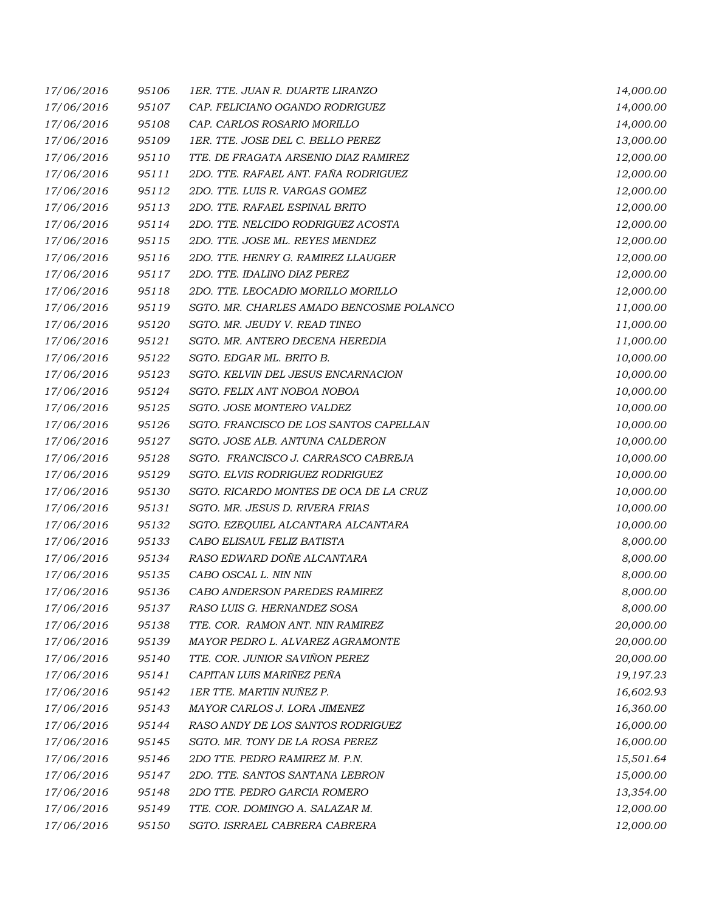| 17/06/2016 | 95106 | 1ER. TTE. JUAN R. DUARTE LIRANZO         | 14,000.00 |
|------------|-------|------------------------------------------|-----------|
| 17/06/2016 | 95107 | CAP. FELICIANO OGANDO RODRIGUEZ          | 14,000.00 |
| 17/06/2016 | 95108 | CAP. CARLOS ROSARIO MORILLO              | 14,000.00 |
| 17/06/2016 | 95109 | 1ER. TTE. JOSE DEL C. BELLO PEREZ        | 13,000.00 |
| 17/06/2016 | 95110 | TTE. DE FRAGATA ARSENIO DIAZ RAMIREZ     | 12,000.00 |
| 17/06/2016 | 95111 | 2DO. TTE. RAFAEL ANT. FAÑA RODRIGUEZ     | 12,000.00 |
| 17/06/2016 | 95112 | 2DO. TTE. LUIS R. VARGAS GOMEZ           | 12,000.00 |
| 17/06/2016 | 95113 | 2DO. TTE. RAFAEL ESPINAL BRITO           | 12,000.00 |
| 17/06/2016 | 95114 | 2DO. TTE. NELCIDO RODRIGUEZ ACOSTA       | 12,000.00 |
| 17/06/2016 | 95115 | 2DO. TTE. JOSE ML. REYES MENDEZ          | 12,000.00 |
| 17/06/2016 | 95116 | 2DO. TTE. HENRY G. RAMIREZ LLAUGER       | 12,000.00 |
| 17/06/2016 | 95117 | 2DO. TTE. IDALINO DIAZ PEREZ             | 12,000.00 |
| 17/06/2016 | 95118 | 2DO. TTE. LEOCADIO MORILLO MORILLO       | 12,000.00 |
| 17/06/2016 | 95119 | SGTO. MR. CHARLES AMADO BENCOSME POLANCO | 11,000.00 |
| 17/06/2016 | 95120 | SGTO. MR. JEUDY V. READ TINEO            | 11,000.00 |
| 17/06/2016 | 95121 | SGTO. MR. ANTERO DECENA HEREDIA          | 11,000.00 |
| 17/06/2016 | 95122 | SGTO. EDGAR ML. BRITO B.                 | 10,000.00 |
| 17/06/2016 | 95123 | SGTO. KELVIN DEL JESUS ENCARNACION       | 10,000.00 |
| 17/06/2016 | 95124 | SGTO. FELIX ANT NOBOA NOBOA              | 10,000.00 |
| 17/06/2016 | 95125 | SGTO. JOSE MONTERO VALDEZ                | 10,000.00 |
| 17/06/2016 | 95126 | SGTO. FRANCISCO DE LOS SANTOS CAPELLAN   | 10,000.00 |
| 17/06/2016 | 95127 | SGTO. JOSE ALB. ANTUNA CALDERON          | 10,000.00 |
| 17/06/2016 | 95128 | SGTO. FRANCISCO J. CARRASCO CABREJA      | 10,000.00 |
| 17/06/2016 | 95129 | SGTO. ELVIS RODRIGUEZ RODRIGUEZ          | 10,000.00 |
| 17/06/2016 | 95130 | SGTO. RICARDO MONTES DE OCA DE LA CRUZ   | 10,000.00 |
| 17/06/2016 | 95131 | SGTO. MR. JESUS D. RIVERA FRIAS          | 10,000.00 |
| 17/06/2016 | 95132 | SGTO. EZEQUIEL ALCANTARA ALCANTARA       | 10,000.00 |
| 17/06/2016 | 95133 | CABO ELISAUL FELIZ BATISTA               | 8,000.00  |
| 17/06/2016 | 95134 | RASO EDWARD DOÑE ALCANTARA               | 8,000.00  |
| 17/06/2016 | 95135 | CABO OSCAL L. NIN NIN                    | 8,000.00  |
| 17/06/2016 | 95136 | CABO ANDERSON PAREDES RAMIREZ            | 8,000.00  |
| 17/06/2016 | 95137 | RASO LUIS G. HERNANDEZ SOSA              | 8,000.00  |
| 17/06/2016 | 95138 | TTE. COR. RAMON ANT. NIN RAMIREZ         | 20,000.00 |
| 17/06/2016 | 95139 | MAYOR PEDRO L. ALVAREZ AGRAMONTE         | 20,000.00 |
| 17/06/2016 | 95140 | TTE. COR. JUNIOR SAVIÑON PEREZ           | 20,000.00 |
| 17/06/2016 | 95141 | CAPITAN LUIS MARIÑEZ PEÑA                | 19,197.23 |
| 17/06/2016 | 95142 | 1ER TTE. MARTIN NUÑEZ P.                 | 16,602.93 |
| 17/06/2016 | 95143 | MAYOR CARLOS J. LORA JIMENEZ             | 16,360.00 |
| 17/06/2016 | 95144 | RASO ANDY DE LOS SANTOS RODRIGUEZ        | 16,000.00 |
| 17/06/2016 | 95145 | SGTO. MR. TONY DE LA ROSA PEREZ          | 16,000.00 |
| 17/06/2016 | 95146 | 2DO TTE. PEDRO RAMIREZ M. P.N.           | 15,501.64 |
| 17/06/2016 | 95147 | 2DO. TTE. SANTOS SANTANA LEBRON          | 15,000.00 |
| 17/06/2016 | 95148 | 2DO TTE. PEDRO GARCIA ROMERO             | 13,354.00 |
| 17/06/2016 | 95149 | TTE. COR. DOMINGO A. SALAZAR M.          | 12,000.00 |
| 17/06/2016 | 95150 | SGTO. ISRRAEL CABRERA CABRERA            | 12,000.00 |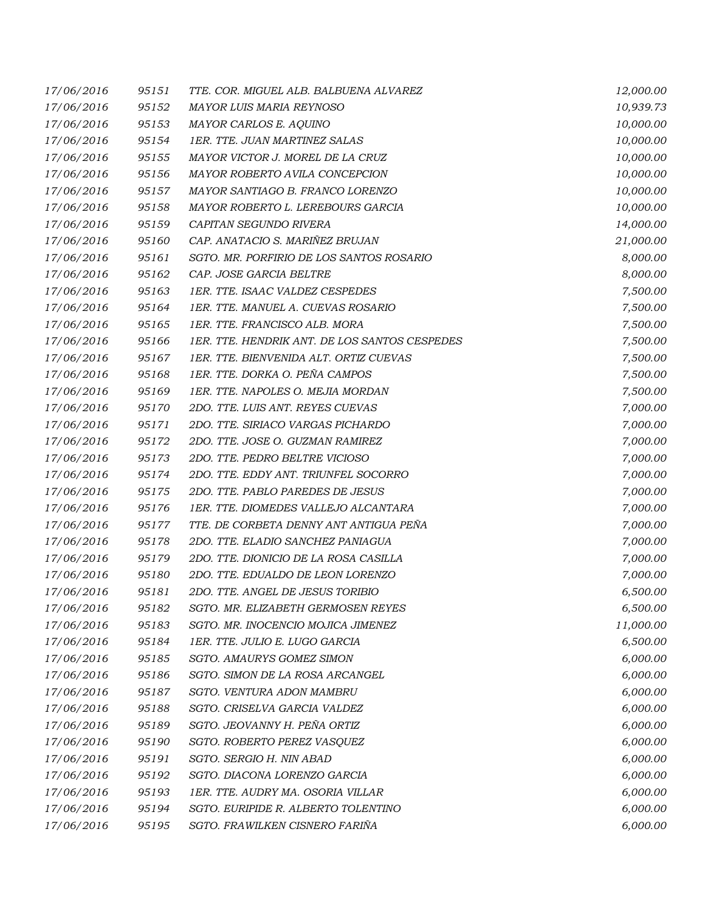| 17/06/2016 | 95151 | TTE. COR. MIGUEL ALB. BALBUENA ALVAREZ        | 12,000.00 |
|------------|-------|-----------------------------------------------|-----------|
| 17/06/2016 | 95152 | MAYOR LUIS MARIA REYNOSO                      | 10,939.73 |
| 17/06/2016 | 95153 | MAYOR CARLOS E. AQUINO                        | 10,000.00 |
| 17/06/2016 | 95154 | 1ER. TTE. JUAN MARTINEZ SALAS                 | 10,000.00 |
| 17/06/2016 | 95155 | MAYOR VICTOR J. MOREL DE LA CRUZ              | 10,000.00 |
| 17/06/2016 | 95156 | MAYOR ROBERTO AVILA CONCEPCION                | 10,000.00 |
| 17/06/2016 | 95157 | MAYOR SANTIAGO B. FRANCO LORENZO              | 10,000.00 |
| 17/06/2016 | 95158 | MAYOR ROBERTO L. LEREBOURS GARCIA             | 10,000.00 |
| 17/06/2016 | 95159 | CAPITAN SEGUNDO RIVERA                        | 14,000.00 |
| 17/06/2016 | 95160 | CAP. ANATACIO S. MARIÑEZ BRUJAN               | 21,000.00 |
| 17/06/2016 | 95161 | SGTO. MR. PORFIRIO DE LOS SANTOS ROSARIO      | 8,000.00  |
| 17/06/2016 | 95162 | CAP. JOSE GARCIA BELTRE                       | 8,000.00  |
| 17/06/2016 | 95163 | 1ER. TTE. ISAAC VALDEZ CESPEDES               | 7,500.00  |
| 17/06/2016 | 95164 | 1ER. TTE. MANUEL A. CUEVAS ROSARIO            | 7,500.00  |
| 17/06/2016 | 95165 | 1ER. TTE. FRANCISCO ALB. MORA                 | 7,500.00  |
| 17/06/2016 | 95166 | 1ER. TTE. HENDRIK ANT. DE LOS SANTOS CESPEDES | 7,500.00  |
| 17/06/2016 | 95167 | 1ER. TTE. BIENVENIDA ALT. ORTIZ CUEVAS        | 7,500.00  |
| 17/06/2016 | 95168 | 1ER. TTE. DORKA O. PEÑA CAMPOS                | 7,500.00  |
| 17/06/2016 | 95169 | 1ER. TTE. NAPOLES O. MEJIA MORDAN             | 7,500.00  |
| 17/06/2016 | 95170 | 2DO. TTE. LUIS ANT. REYES CUEVAS              | 7,000.00  |
| 17/06/2016 | 95171 | 2DO. TTE. SIRIACO VARGAS PICHARDO             | 7,000.00  |
| 17/06/2016 | 95172 | 2DO. TTE. JOSE O. GUZMAN RAMIREZ              | 7,000.00  |
| 17/06/2016 | 95173 | 2DO. TTE. PEDRO BELTRE VICIOSO                | 7,000.00  |
| 17/06/2016 | 95174 | 2DO. TTE. EDDY ANT. TRIUNFEL SOCORRO          | 7,000.00  |
| 17/06/2016 | 95175 | 2DO. TTE. PABLO PAREDES DE JESUS              | 7,000.00  |
| 17/06/2016 | 95176 | 1ER. TTE. DIOMEDES VALLEJO ALCANTARA          | 7,000.00  |
| 17/06/2016 | 95177 | TTE. DE CORBETA DENNY ANT ANTIGUA PEÑA        | 7,000.00  |
| 17/06/2016 | 95178 | 2DO. TTE. ELADIO SANCHEZ PANIAGUA             | 7,000.00  |
| 17/06/2016 | 95179 | 2DO. TTE. DIONICIO DE LA ROSA CASILLA         | 7,000.00  |
| 17/06/2016 | 95180 | 2DO. TTE. EDUALDO DE LEON LORENZO             | 7,000.00  |
| 17/06/2016 | 95181 | 2DO. TTE. ANGEL DE JESUS TORIBIO              | 6,500.00  |
| 17/06/2016 | 95182 | SGTO. MR. ELIZABETH GERMOSEN REYES            | 6,500.00  |
| 17/06/2016 | 95183 | SGTO. MR. INOCENCIO MOJICA JIMENEZ            | 11,000.00 |
| 17/06/2016 | 95184 | 1ER. TTE. JULIO E. LUGO GARCIA                | 6,500.00  |
| 17/06/2016 | 95185 | SGTO. AMAURYS GOMEZ SIMON                     | 6,000.00  |
| 17/06/2016 | 95186 | SGTO. SIMON DE LA ROSA ARCANGEL               | 6,000.00  |
| 17/06/2016 | 95187 | <b>SGTO. VENTURA ADON MAMBRU</b>              | 6,000.00  |
| 17/06/2016 | 95188 | SGTO. CRISELVA GARCIA VALDEZ                  | 6,000.00  |
| 17/06/2016 | 95189 | SGTO. JEOVANNY H. PEÑA ORTIZ                  | 6,000.00  |
| 17/06/2016 | 95190 | SGTO. ROBERTO PEREZ VASQUEZ                   | 6,000.00  |
| 17/06/2016 | 95191 | SGTO. SERGIO H. NIN ABAD                      | 6,000.00  |
| 17/06/2016 | 95192 | SGTO. DIACONA LORENZO GARCIA                  | 6,000.00  |
| 17/06/2016 | 95193 | 1ER. TTE. AUDRY MA. OSORIA VILLAR             | 6,000.00  |
| 17/06/2016 | 95194 | SGTO. EURIPIDE R. ALBERTO TOLENTINO           | 6,000.00  |
| 17/06/2016 | 95195 | SGTO. FRAWILKEN CISNERO FARIÑA                | 6,000.00  |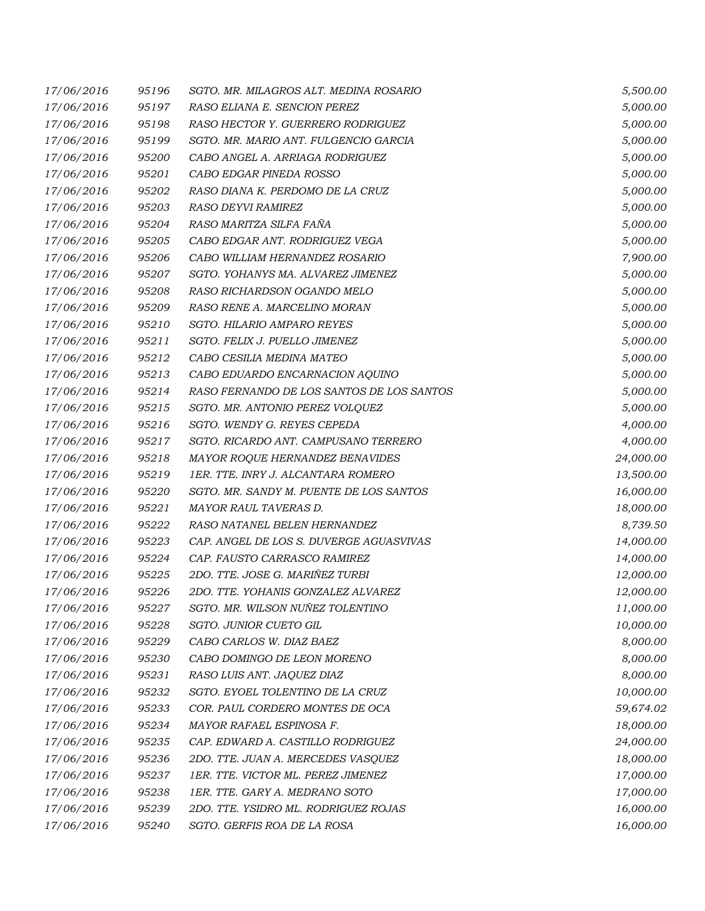| 17/06/2016 | 95196 | SGTO. MR. MILAGROS ALT. MEDINA ROSARIO    | 5,500.00  |
|------------|-------|-------------------------------------------|-----------|
| 17/06/2016 | 95197 | RASO ELIANA E. SENCION PEREZ              | 5,000.00  |
| 17/06/2016 | 95198 | RASO HECTOR Y. GUERRERO RODRIGUEZ         | 5,000.00  |
| 17/06/2016 | 95199 | SGTO. MR. MARIO ANT. FULGENCIO GARCIA     | 5,000.00  |
| 17/06/2016 | 95200 | CABO ANGEL A. ARRIAGA RODRIGUEZ           | 5,000.00  |
| 17/06/2016 | 95201 | CABO EDGAR PINEDA ROSSO                   | 5,000.00  |
| 17/06/2016 | 95202 | RASO DIANA K. PERDOMO DE LA CRUZ          | 5,000.00  |
| 17/06/2016 | 95203 | RASO DEYVI RAMIREZ                        | 5,000.00  |
| 17/06/2016 | 95204 | RASO MARITZA SILFA FAÑA                   | 5,000.00  |
| 17/06/2016 | 95205 | CABO EDGAR ANT. RODRIGUEZ VEGA            | 5,000.00  |
| 17/06/2016 | 95206 | CABO WILLIAM HERNANDEZ ROSARIO            | 7,900.00  |
| 17/06/2016 | 95207 | SGTO. YOHANYS MA. ALVAREZ JIMENEZ         | 5,000.00  |
| 17/06/2016 | 95208 | RASO RICHARDSON OGANDO MELO               | 5,000.00  |
| 17/06/2016 | 95209 | RASO RENE A. MARCELINO MORAN              | 5,000.00  |
| 17/06/2016 | 95210 | <b>SGTO. HILARIO AMPARO REYES</b>         | 5,000.00  |
| 17/06/2016 | 95211 | SGTO. FELIX J. PUELLO JIMENEZ             | 5,000.00  |
| 17/06/2016 | 95212 | CABO CESILIA MEDINA MATEO                 | 5,000.00  |
| 17/06/2016 | 95213 | CABO EDUARDO ENCARNACION AQUINO           | 5,000.00  |
| 17/06/2016 | 95214 | RASO FERNANDO DE LOS SANTOS DE LOS SANTOS | 5,000.00  |
| 17/06/2016 | 95215 | SGTO. MR. ANTONIO PEREZ VOLQUEZ           | 5,000.00  |
| 17/06/2016 | 95216 | SGTO. WENDY G. REYES CEPEDA               | 4,000.00  |
| 17/06/2016 | 95217 | SGTO. RICARDO ANT. CAMPUSANO TERRERO      | 4,000.00  |
| 17/06/2016 | 95218 | MAYOR ROQUE HERNANDEZ BENAVIDES           | 24,000.00 |
| 17/06/2016 | 95219 | 1ER. TTE. INRY J. ALCANTARA ROMERO        | 13,500.00 |
| 17/06/2016 | 95220 | SGTO. MR. SANDY M. PUENTE DE LOS SANTOS   | 16,000.00 |
| 17/06/2016 | 95221 | MAYOR RAUL TAVERAS D.                     | 18,000.00 |
| 17/06/2016 | 95222 | RASO NATANEL BELEN HERNANDEZ              | 8,739.50  |
| 17/06/2016 | 95223 | CAP. ANGEL DE LOS S. DUVERGE AGUASVIVAS   | 14,000.00 |
| 17/06/2016 | 95224 | CAP. FAUSTO CARRASCO RAMIREZ              | 14,000.00 |
| 17/06/2016 | 95225 | 2DO. TTE. JOSE G. MARIÑEZ TURBI           | 12,000.00 |
| 17/06/2016 | 95226 | 2DO. TTE. YOHANIS GONZALEZ ALVAREZ        | 12,000.00 |
| 17/06/2016 | 95227 | SGTO. MR. WILSON NUÑEZ TOLENTINO          | 11,000.00 |
| 17/06/2016 | 95228 | SGTO. JUNIOR CUETO GIL                    | 10,000.00 |
| 17/06/2016 | 95229 | CABO CARLOS W. DIAZ BAEZ                  | 8,000.00  |
| 17/06/2016 | 95230 | CABO DOMINGO DE LEON MORENO               | 8,000.00  |
| 17/06/2016 | 95231 | RASO LUIS ANT. JAQUEZ DIAZ                | 8,000.00  |
| 17/06/2016 | 95232 | SGTO. EYOEL TOLENTINO DE LA CRUZ          | 10,000.00 |
| 17/06/2016 | 95233 | COR. PAUL CORDERO MONTES DE OCA           | 59,674.02 |
| 17/06/2016 | 95234 | MAYOR RAFAEL ESPINOSA F.                  | 18,000.00 |
| 17/06/2016 | 95235 | CAP. EDWARD A. CASTILLO RODRIGUEZ         | 24,000.00 |
| 17/06/2016 | 95236 | 2DO. TTE. JUAN A. MERCEDES VASQUEZ        | 18,000.00 |
| 17/06/2016 | 95237 | 1ER. TTE. VICTOR ML. PEREZ JIMENEZ        | 17,000.00 |
| 17/06/2016 | 95238 | 1ER. TTE. GARY A. MEDRANO SOTO            | 17,000.00 |
| 17/06/2016 | 95239 | 2DO. TTE. YSIDRO ML. RODRIGUEZ ROJAS      | 16,000.00 |
| 17/06/2016 | 95240 | SGTO. GERFIS ROA DE LA ROSA               | 16,000.00 |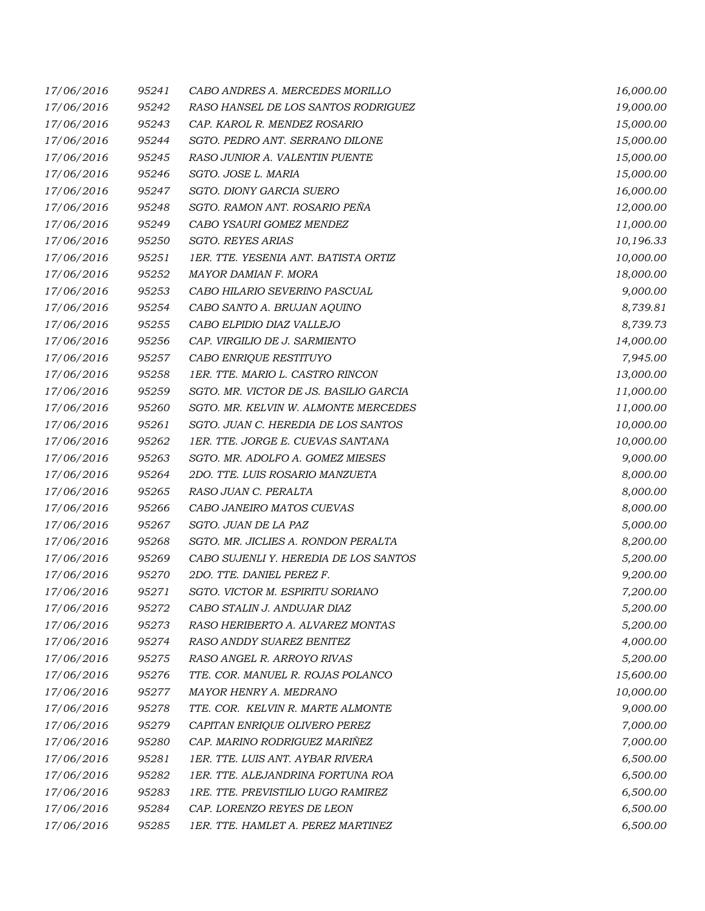| 17/06/2016 | 95241 | CABO ANDRES A. MERCEDES MORILLO        | 16,000.00 |
|------------|-------|----------------------------------------|-----------|
| 17/06/2016 | 95242 | RASO HANSEL DE LOS SANTOS RODRIGUEZ    | 19,000.00 |
| 17/06/2016 | 95243 | CAP. KAROL R. MENDEZ ROSARIO           | 15,000.00 |
| 17/06/2016 | 95244 | SGTO. PEDRO ANT. SERRANO DILONE        | 15,000.00 |
| 17/06/2016 | 95245 | RASO JUNIOR A. VALENTIN PUENTE         | 15,000.00 |
| 17/06/2016 | 95246 | SGTO. JOSE L. MARIA                    | 15,000.00 |
| 17/06/2016 | 95247 | SGTO. DIONY GARCIA SUERO               | 16,000.00 |
| 17/06/2016 | 95248 | SGTO. RAMON ANT. ROSARIO PEÑA          | 12,000.00 |
| 17/06/2016 | 95249 | CABO YSAURI GOMEZ MENDEZ               | 11,000.00 |
| 17/06/2016 | 95250 | <b>SGTO. REYES ARIAS</b>               | 10,196.33 |
| 17/06/2016 | 95251 | 1ER. TTE. YESENIA ANT. BATISTA ORTIZ   | 10,000.00 |
| 17/06/2016 | 95252 | MAYOR DAMIAN F. MORA                   | 18,000.00 |
| 17/06/2016 | 95253 | CABO HILARIO SEVERINO PASCUAL          | 9,000.00  |
| 17/06/2016 | 95254 | CABO SANTO A. BRUJAN AQUINO            | 8,739.81  |
| 17/06/2016 | 95255 | CABO ELPIDIO DIAZ VALLEJO              | 8,739.73  |
| 17/06/2016 | 95256 | CAP. VIRGILIO DE J. SARMIENTO          | 14,000.00 |
| 17/06/2016 | 95257 | CABO ENRIQUE RESTITUYO                 | 7,945.00  |
| 17/06/2016 | 95258 | 1ER. TTE. MARIO L. CASTRO RINCON       | 13,000.00 |
| 17/06/2016 | 95259 | SGTO. MR. VICTOR DE JS. BASILIO GARCIA | 11,000.00 |
| 17/06/2016 | 95260 | SGTO. MR. KELVIN W. ALMONTE MERCEDES   | 11,000.00 |
| 17/06/2016 | 95261 | SGTO. JUAN C. HEREDIA DE LOS SANTOS    | 10,000.00 |
| 17/06/2016 | 95262 | 1ER. TTE. JORGE E. CUEVAS SANTANA      | 10,000.00 |
| 17/06/2016 | 95263 | SGTO. MR. ADOLFO A. GOMEZ MIESES       | 9,000.00  |
| 17/06/2016 | 95264 | 2DO. TTE. LUIS ROSARIO MANZUETA        | 8,000.00  |
| 17/06/2016 | 95265 | RASO JUAN C. PERALTA                   | 8,000.00  |
| 17/06/2016 | 95266 | CABO JANEIRO MATOS CUEVAS              | 8,000.00  |
| 17/06/2016 | 95267 | SGTO. JUAN DE LA PAZ                   | 5,000.00  |
| 17/06/2016 | 95268 | SGTO. MR. JICLIES A. RONDON PERALTA    | 8,200.00  |
| 17/06/2016 | 95269 | CABO SUJENLI Y. HEREDIA DE LOS SANTOS  | 5,200.00  |
| 17/06/2016 | 95270 | 2DO. TTE. DANIEL PEREZ F.              | 9,200.00  |
| 17/06/2016 | 95271 | SGTO. VICTOR M. ESPIRITU SORIANO       | 7,200.00  |
| 17/06/2016 | 95272 | CABO STALIN J. ANDUJAR DIAZ            | 5,200.00  |
| 17/06/2016 | 95273 | RASO HERIBERTO A. ALVAREZ MONTAS       | 5,200.00  |
| 17/06/2016 | 95274 | RASO ANDDY SUAREZ BENITEZ              | 4,000.00  |
| 17/06/2016 | 95275 | RASO ANGEL R. ARROYO RIVAS             | 5,200.00  |
| 17/06/2016 | 95276 | TTE. COR. MANUEL R. ROJAS POLANCO      | 15,600.00 |
| 17/06/2016 | 95277 | MAYOR HENRY A. MEDRANO                 | 10,000.00 |
| 17/06/2016 | 95278 | TTE. COR. KELVIN R. MARTE ALMONTE      | 9,000.00  |
| 17/06/2016 | 95279 | CAPITAN ENRIQUE OLIVERO PEREZ          | 7,000.00  |
| 17/06/2016 | 95280 | CAP. MARINO RODRIGUEZ MARIÑEZ          | 7,000.00  |
| 17/06/2016 | 95281 | 1ER. TTE. LUIS ANT. AYBAR RIVERA       | 6,500.00  |
| 17/06/2016 | 95282 | 1ER. TTE. ALEJANDRINA FORTUNA ROA      | 6,500.00  |
| 17/06/2016 | 95283 | 1RE. TTE. PREVISTILIO LUGO RAMIREZ     | 6,500.00  |
| 17/06/2016 | 95284 | CAP. LORENZO REYES DE LEON             | 6,500.00  |
| 17/06/2016 | 95285 | 1ER. TTE. HAMLET A. PEREZ MARTINEZ     | 6,500.00  |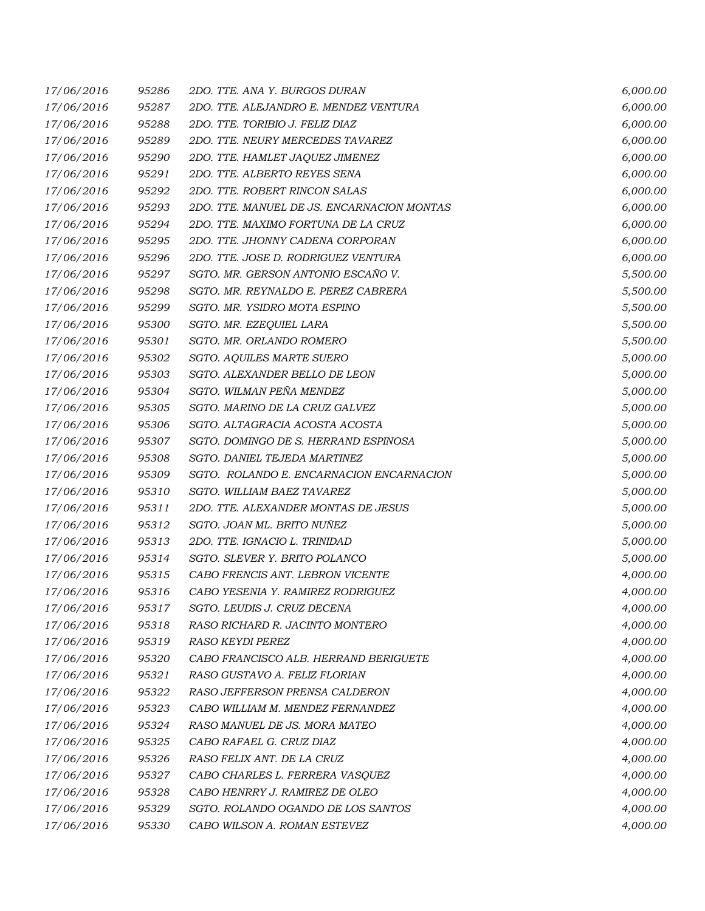| 17/06/2016 | 95286 | 2DO. TTE, ANA Y. BURGOS DURAN              | 6,000.00 |
|------------|-------|--------------------------------------------|----------|
| 17/06/2016 | 95287 | 2DO. TTE. ALEJANDRO E. MENDEZ VENTURA      | 6,000.00 |
| 17/06/2016 | 95288 | 2DO. TTE. TORIBIO J. FELIZ DIAZ            | 6,000.00 |
| 17/06/2016 | 95289 | 2DO. TTE. NEURY MERCEDES TAVAREZ           | 6,000.00 |
| 17/06/2016 | 95290 | 2DO. TTE. HAMLET JAQUEZ JIMENEZ            | 6,000.00 |
| 17/06/2016 | 95291 | 2DO. TTE. ALBERTO REYES SENA               | 6,000.00 |
| 17/06/2016 | 95292 | 2DO. TTE. ROBERT RINCON SALAS              | 6,000.00 |
| 17/06/2016 | 95293 | 2DO. TTE. MANUEL DE JS. ENCARNACION MONTAS | 6,000.00 |
| 17/06/2016 | 95294 | 2DO. TTE. MAXIMO FORTUNA DE LA CRUZ        | 6,000.00 |
| 17/06/2016 | 95295 | 2DO. TTE. JHONNY CADENA CORPORAN           | 6,000.00 |
| 17/06/2016 | 95296 | 2DO. TTE. JOSE D. RODRIGUEZ VENTURA        | 6,000.00 |
| 17/06/2016 | 95297 | SGTO. MR. GERSON ANTONIO ESCAÑO V.         | 5,500.00 |
| 17/06/2016 | 95298 | SGTO. MR. REYNALDO E. PEREZ CABRERA        | 5,500.00 |
| 17/06/2016 | 95299 | SGTO. MR. YSIDRO MOTA ESPINO               | 5,500.00 |
| 17/06/2016 | 95300 | SGTO. MR. EZEQUIEL LARA                    | 5,500.00 |
| 17/06/2016 | 95301 | SGTO. MR. ORLANDO ROMERO                   | 5,500.00 |
| 17/06/2016 | 95302 | SGTO. AQUILES MARTE SUERO                  | 5,000.00 |
| 17/06/2016 | 95303 | SGTO. ALEXANDER BELLO DE LEON              | 5,000.00 |
| 17/06/2016 | 95304 | SGTO. WILMAN PEÑA MENDEZ                   | 5,000.00 |
| 17/06/2016 | 95305 | SGTO. MARINO DE LA CRUZ GALVEZ             | 5,000.00 |
| 17/06/2016 | 95306 | SGTO. ALTAGRACIA ACOSTA ACOSTA             | 5,000.00 |
| 17/06/2016 | 95307 | SGTO. DOMINGO DE S. HERRAND ESPINOSA       | 5,000.00 |
| 17/06/2016 | 95308 | SGTO. DANIEL TEJEDA MARTINEZ               | 5,000.00 |
| 17/06/2016 | 95309 | SGTO. ROLANDO E. ENCARNACION ENCARNACION   | 5,000.00 |
| 17/06/2016 | 95310 | SGTO. WILLIAM BAEZ TAVAREZ                 | 5,000.00 |
| 17/06/2016 | 95311 | 2DO. TTE. ALEXANDER MONTAS DE JESUS        | 5,000.00 |
| 17/06/2016 | 95312 | SGTO. JOAN ML. BRITO NUÑEZ                 | 5,000.00 |
| 17/06/2016 | 95313 | 2DO. TTE. IGNACIO L. TRINIDAD              | 5,000.00 |
| 17/06/2016 | 95314 | SGTO. SLEVER Y. BRITO POLANCO              | 5,000.00 |
| 17/06/2016 | 95315 | CABO FRENCIS ANT. LEBRON VICENTE           | 4,000.00 |
| 17/06/2016 | 95316 | CABO YESENIA Y. RAMIREZ RODRIGUEZ          | 4,000.00 |
| 17/06/2016 | 95317 | SGTO. LEUDIS J. CRUZ DECENA                | 4,000.00 |
| 17/06/2016 | 95318 | RASO RICHARD R. JACINTO MONTERO            | 4,000.00 |
| 17/06/2016 | 95319 | RASO KEYDI PEREZ                           | 4,000.00 |
| 17/06/2016 | 95320 | CABO FRANCISCO ALB. HERRAND BERIGUETE      | 4,000.00 |
| 17/06/2016 | 95321 | RASO GUSTAVO A. FELIZ FLORIAN              | 4,000.00 |
| 17/06/2016 | 95322 | RASO JEFFERSON PRENSA CALDERON             | 4,000.00 |
| 17/06/2016 | 95323 | CABO WILLIAM M. MENDEZ FERNANDEZ           | 4,000.00 |
| 17/06/2016 | 95324 | RASO MANUEL DE JS. MORA MATEO              | 4,000.00 |
| 17/06/2016 | 95325 | CABO RAFAEL G. CRUZ DIAZ                   | 4,000.00 |
| 17/06/2016 | 95326 | RASO FELIX ANT. DE LA CRUZ                 | 4,000.00 |
| 17/06/2016 | 95327 | CABO CHARLES L. FERRERA VASQUEZ            | 4,000.00 |
| 17/06/2016 | 95328 | CABO HENRRY J. RAMIREZ DE OLEO             | 4,000.00 |
| 17/06/2016 | 95329 | SGTO. ROLANDO OGANDO DE LOS SANTOS         | 4,000.00 |
| 17/06/2016 | 95330 | CABO WILSON A. ROMAN ESTEVEZ               | 4,000.00 |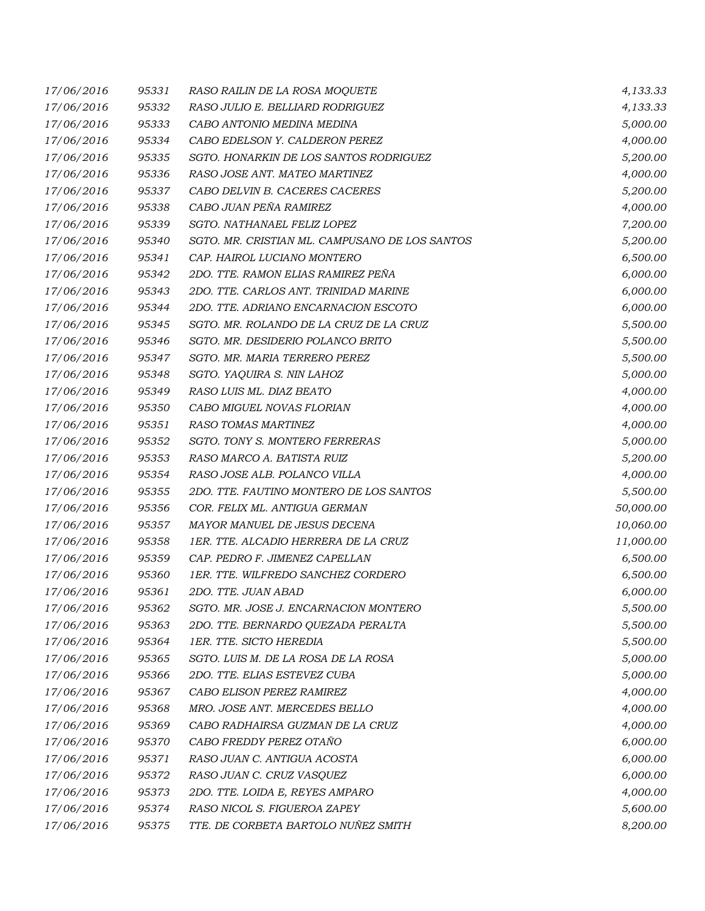| 17/06/2016 | 95331 | RASO RAILIN DE LA ROSA MOQUETE                 | 4,133.33  |
|------------|-------|------------------------------------------------|-----------|
| 17/06/2016 | 95332 | RASO JULIO E. BELLIARD RODRIGUEZ               | 4,133.33  |
| 17/06/2016 | 95333 | CABO ANTONIO MEDINA MEDINA                     | 5,000.00  |
| 17/06/2016 | 95334 | CABO EDELSON Y. CALDERON PEREZ                 | 4,000.00  |
| 17/06/2016 | 95335 | SGTO. HONARKIN DE LOS SANTOS RODRIGUEZ         | 5,200.00  |
| 17/06/2016 | 95336 | RASO JOSE ANT. MATEO MARTINEZ                  | 4,000.00  |
| 17/06/2016 | 95337 | CABO DELVIN B. CACERES CACERES                 | 5,200.00  |
| 17/06/2016 | 95338 | CABO JUAN PEÑA RAMIREZ                         | 4,000.00  |
| 17/06/2016 | 95339 | SGTO. NATHANAEL FELIZ LOPEZ                    | 7,200.00  |
| 17/06/2016 | 95340 | SGTO. MR. CRISTIAN ML. CAMPUSANO DE LOS SANTOS | 5,200.00  |
| 17/06/2016 | 95341 | CAP. HAIROL LUCIANO MONTERO                    | 6,500.00  |
| 17/06/2016 | 95342 | 2DO. TTE. RAMON ELIAS RAMIREZ PEÑA             | 6,000.00  |
| 17/06/2016 | 95343 | 2DO. TTE. CARLOS ANT. TRINIDAD MARINE          | 6,000.00  |
| 17/06/2016 | 95344 | 2DO. TTE. ADRIANO ENCARNACION ESCOTO           | 6,000.00  |
| 17/06/2016 | 95345 | SGTO. MR. ROLANDO DE LA CRUZ DE LA CRUZ        | 5,500.00  |
| 17/06/2016 | 95346 | SGTO. MR. DESIDERIO POLANCO BRITO              | 5,500.00  |
| 17/06/2016 | 95347 | SGTO. MR. MARIA TERRERO PEREZ                  | 5,500.00  |
| 17/06/2016 | 95348 | SGTO. YAQUIRA S. NIN LAHOZ                     | 5,000.00  |
| 17/06/2016 | 95349 | RASO LUIS ML. DIAZ BEATO                       | 4,000.00  |
| 17/06/2016 | 95350 | CABO MIGUEL NOVAS FLORIAN                      | 4,000.00  |
| 17/06/2016 | 95351 | <b>RASO TOMAS MARTINEZ</b>                     | 4,000.00  |
| 17/06/2016 | 95352 | SGTO. TONY S. MONTERO FERRERAS                 | 5,000.00  |
| 17/06/2016 | 95353 | RASO MARCO A. BATISTA RUIZ                     | 5,200.00  |
| 17/06/2016 | 95354 | RASO JOSE ALB. POLANCO VILLA                   | 4,000.00  |
| 17/06/2016 | 95355 | 2DO. TTE. FAUTINO MONTERO DE LOS SANTOS        | 5,500.00  |
| 17/06/2016 | 95356 | COR. FELIX ML. ANTIGUA GERMAN                  | 50,000.00 |
| 17/06/2016 | 95357 | MAYOR MANUEL DE JESUS DECENA                   | 10,060.00 |
| 17/06/2016 | 95358 | 1ER. TTE. ALCADIO HERRERA DE LA CRUZ           | 11,000.00 |
| 17/06/2016 | 95359 | CAP. PEDRO F. JIMENEZ CAPELLAN                 | 6,500.00  |
| 17/06/2016 | 95360 | 1ER. TTE. WILFREDO SANCHEZ CORDERO             | 6,500.00  |
| 17/06/2016 | 95361 | 2DO. TTE. JUAN ABAD                            | 6,000.00  |
| 17/06/2016 | 95362 | SGTO. MR. JOSE J. ENCARNACION MONTERO          | 5,500.00  |
| 17/06/2016 | 95363 | 2DO. TTE. BERNARDO QUEZADA PERALTA             | 5,500.00  |
| 17/06/2016 | 95364 | 1ER. TTE. SICTO HEREDIA                        | 5,500.00  |
| 17/06/2016 | 95365 | SGTO. LUIS M. DE LA ROSA DE LA ROSA            | 5,000.00  |
| 17/06/2016 | 95366 | 2DO. TTE. ELIAS ESTEVEZ CUBA                   | 5,000.00  |
| 17/06/2016 | 95367 | CABO ELISON PEREZ RAMIREZ                      | 4,000.00  |
| 17/06/2016 | 95368 | MRO. JOSE ANT. MERCEDES BELLO                  | 4,000.00  |
| 17/06/2016 | 95369 | CABO RADHAIRSA GUZMAN DE LA CRUZ               | 4,000.00  |
| 17/06/2016 | 95370 | CABO FREDDY PEREZ OTAÑO                        | 6,000.00  |
| 17/06/2016 | 95371 | RASO JUAN C. ANTIGUA ACOSTA                    | 6,000.00  |
| 17/06/2016 | 95372 | RASO JUAN C. CRUZ VASQUEZ                      | 6,000.00  |
| 17/06/2016 | 95373 | 2DO. TTE. LOIDA E, REYES AMPARO                | 4,000.00  |
| 17/06/2016 | 95374 | RASO NICOL S. FIGUEROA ZAPEY                   | 5,600.00  |
| 17/06/2016 | 95375 | TTE. DE CORBETA BARTOLO NUÑEZ SMITH            | 8,200.00  |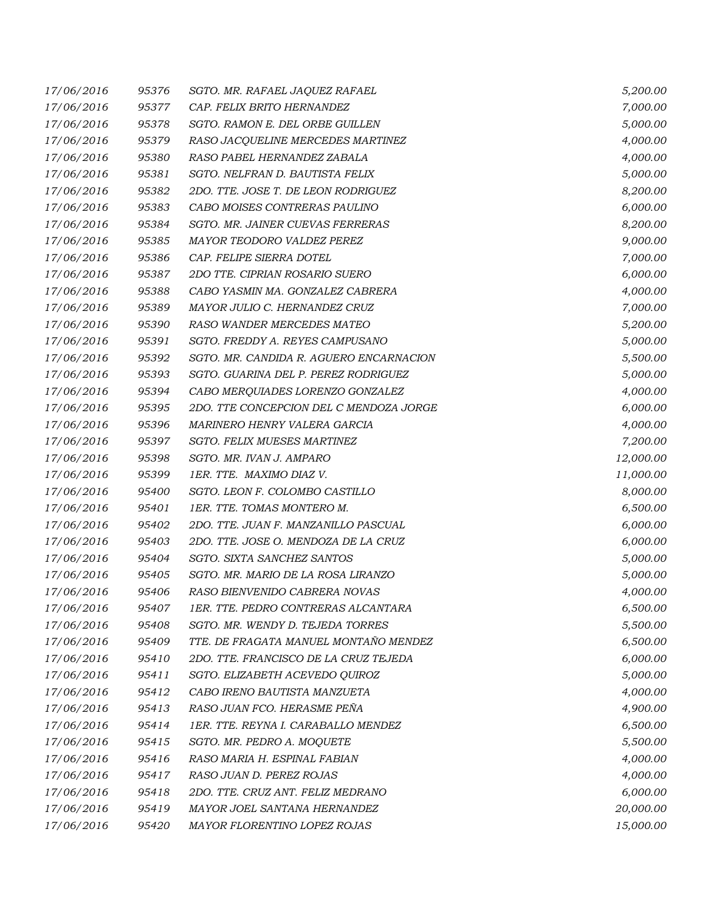| 17/06/2016 | 95376 | SGTO. MR. RAFAEL JAQUEZ RAFAEL          | 5,200.00  |
|------------|-------|-----------------------------------------|-----------|
| 17/06/2016 | 95377 | CAP. FELIX BRITO HERNANDEZ              | 7,000.00  |
| 17/06/2016 | 95378 | SGTO. RAMON E. DEL ORBE GUILLEN         | 5,000.00  |
| 17/06/2016 | 95379 | RASO JACQUELINE MERCEDES MARTINEZ       | 4,000.00  |
| 17/06/2016 | 95380 | RASO PABEL HERNANDEZ ZABALA             | 4,000.00  |
| 17/06/2016 | 95381 | SGTO. NELFRAN D. BAUTISTA FELIX         | 5,000.00  |
| 17/06/2016 | 95382 | 2DO. TTE. JOSE T. DE LEON RODRIGUEZ     | 8,200.00  |
| 17/06/2016 | 95383 | CABO MOISES CONTRERAS PAULINO           | 6,000.00  |
| 17/06/2016 | 95384 | SGTO. MR. JAINER CUEVAS FERRERAS        | 8,200.00  |
| 17/06/2016 | 95385 | MAYOR TEODORO VALDEZ PEREZ              | 9,000.00  |
| 17/06/2016 | 95386 | CAP. FELIPE SIERRA DOTEL                | 7,000.00  |
| 17/06/2016 | 95387 | 2DO TTE. CIPRIAN ROSARIO SUERO          | 6,000.00  |
| 17/06/2016 | 95388 | CABO YASMIN MA. GONZALEZ CABRERA        | 4,000.00  |
| 17/06/2016 | 95389 | MAYOR JULIO C. HERNANDEZ CRUZ           | 7,000.00  |
| 17/06/2016 | 95390 | RASO WANDER MERCEDES MATEO              | 5,200.00  |
| 17/06/2016 | 95391 | SGTO. FREDDY A. REYES CAMPUSANO         | 5,000.00  |
| 17/06/2016 | 95392 | SGTO. MR. CANDIDA R. AGUERO ENCARNACION | 5,500.00  |
| 17/06/2016 | 95393 | SGTO. GUARINA DEL P. PEREZ RODRIGUEZ    | 5,000.00  |
| 17/06/2016 | 95394 | CABO MERQUIADES LORENZO GONZALEZ        | 4,000.00  |
| 17/06/2016 | 95395 | 2DO. TTE CONCEPCION DEL C MENDOZA JORGE | 6,000.00  |
| 17/06/2016 | 95396 | MARINERO HENRY VALERA GARCIA            | 4,000.00  |
| 17/06/2016 | 95397 | SGTO. FELIX MUESES MARTINEZ             | 7,200.00  |
| 17/06/2016 | 95398 | SGTO. MR. IVAN J. AMPARO                | 12,000.00 |
| 17/06/2016 | 95399 | 1ER. TTE. MAXIMO DIAZ V.                | 11,000.00 |
| 17/06/2016 | 95400 | SGTO. LEON F. COLOMBO CASTILLO          | 8,000.00  |
| 17/06/2016 | 95401 | 1ER. TTE. TOMAS MONTERO M.              | 6,500.00  |
| 17/06/2016 | 95402 | 2DO. TTE. JUAN F. MANZANILLO PASCUAL    | 6,000.00  |
| 17/06/2016 | 95403 | 2DO. TTE. JOSE O. MENDOZA DE LA CRUZ    | 6,000.00  |
| 17/06/2016 | 95404 | SGTO. SIXTA SANCHEZ SANTOS              | 5,000.00  |
| 17/06/2016 | 95405 | SGTO. MR. MARIO DE LA ROSA LIRANZO      | 5,000.00  |
| 17/06/2016 | 95406 | RASO BIENVENIDO CABRERA NOVAS           | 4,000.00  |
| 17/06/2016 | 95407 | 1ER. TTE. PEDRO CONTRERAS ALCANTARA     | 6,500.00  |
| 17/06/2016 | 95408 | SGTO. MR. WENDY D. TEJEDA TORRES        | 5,500.00  |
| 17/06/2016 | 95409 | TTE. DE FRAGATA MANUEL MONTAÑO MENDEZ   | 6,500.00  |
| 17/06/2016 | 95410 | 2DO. TTE. FRANCISCO DE LA CRUZ TEJEDA   | 6,000.00  |
| 17/06/2016 | 95411 | SGTO. ELIZABETH ACEVEDO QUIROZ          | 5,000.00  |
| 17/06/2016 | 95412 | CABO IRENO BAUTISTA MANZUETA            | 4,000.00  |
| 17/06/2016 | 95413 | RASO JUAN FCO. HERASME PEÑA             | 4,900.00  |
| 17/06/2016 | 95414 | 1ER. TTE. REYNA I. CARABALLO MENDEZ     | 6,500.00  |
| 17/06/2016 | 95415 | SGTO. MR. PEDRO A. MOQUETE              | 5,500.00  |
| 17/06/2016 | 95416 | RASO MARIA H. ESPINAL FABIAN            | 4,000.00  |
| 17/06/2016 | 95417 | RASO JUAN D. PEREZ ROJAS                | 4,000.00  |
| 17/06/2016 | 95418 | 2DO. TTE. CRUZ ANT. FELIZ MEDRANO       | 6,000.00  |
| 17/06/2016 | 95419 | MAYOR JOEL SANTANA HERNANDEZ            | 20,000.00 |
| 17/06/2016 | 95420 | MAYOR FLORENTINO LOPEZ ROJAS            | 15,000.00 |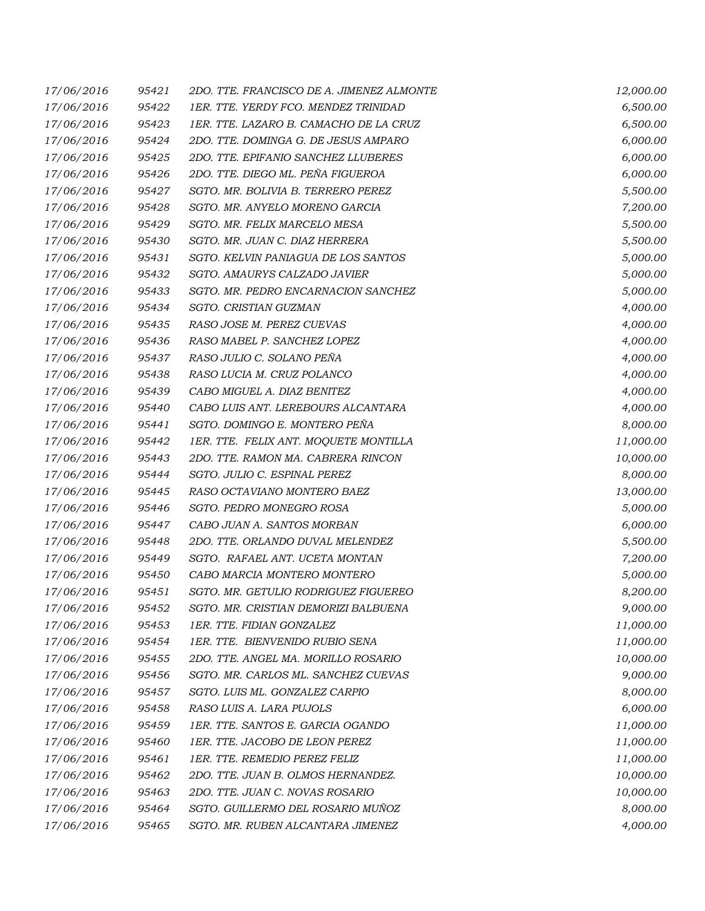| 17/06/2016 | 95421 | 2DO. TTE. FRANCISCO DE A. JIMENEZ ALMONTE | 12,000.00 |
|------------|-------|-------------------------------------------|-----------|
| 17/06/2016 | 95422 | 1ER. TTE. YERDY FCO. MENDEZ TRINIDAD      | 6,500.00  |
| 17/06/2016 | 95423 | 1ER. TTE. LAZARO B. CAMACHO DE LA CRUZ    | 6,500.00  |
| 17/06/2016 | 95424 | 2DO. TTE. DOMINGA G. DE JESUS AMPARO      | 6,000.00  |
| 17/06/2016 | 95425 | 2DO. TTE. EPIFANIO SANCHEZ LLUBERES       | 6,000.00  |
| 17/06/2016 | 95426 | 2DO. TTE. DIEGO ML. PEÑA FIGUEROA         | 6,000.00  |
| 17/06/2016 | 95427 | SGTO. MR. BOLIVIA B. TERRERO PEREZ        | 5,500.00  |
| 17/06/2016 | 95428 | SGTO. MR. ANYELO MORENO GARCIA            | 7,200.00  |
| 17/06/2016 | 95429 | SGTO. MR. FELIX MARCELO MESA              | 5,500.00  |
| 17/06/2016 | 95430 | SGTO. MR. JUAN C. DIAZ HERRERA            | 5,500.00  |
| 17/06/2016 | 95431 | SGTO. KELVIN PANIAGUA DE LOS SANTOS       | 5,000.00  |
| 17/06/2016 | 95432 | SGTO. AMAURYS CALZADO JAVIER              | 5,000.00  |
| 17/06/2016 | 95433 | SGTO. MR. PEDRO ENCARNACION SANCHEZ       | 5,000.00  |
| 17/06/2016 | 95434 | SGTO. CRISTIAN GUZMAN                     | 4,000.00  |
| 17/06/2016 | 95435 | RASO JOSE M. PEREZ CUEVAS                 | 4,000.00  |
| 17/06/2016 | 95436 | RASO MABEL P. SANCHEZ LOPEZ               | 4,000.00  |
| 17/06/2016 | 95437 | RASO JULIO C. SOLANO PEÑA                 | 4,000.00  |
| 17/06/2016 | 95438 | RASO LUCIA M. CRUZ POLANCO                | 4,000.00  |
| 17/06/2016 | 95439 | CABO MIGUEL A. DIAZ BENITEZ               | 4,000.00  |
| 17/06/2016 | 95440 | CABO LUIS ANT. LEREBOURS ALCANTARA        | 4,000.00  |
| 17/06/2016 | 95441 | SGTO. DOMINGO E. MONTERO PEÑA             | 8,000.00  |
| 17/06/2016 | 95442 | 1ER. TTE. FELIX ANT. MOQUETE MONTILLA     | 11,000.00 |
| 17/06/2016 | 95443 | 2DO. TTE. RAMON MA. CABRERA RINCON        | 10,000.00 |
| 17/06/2016 | 95444 | SGTO. JULIO C. ESPINAL PEREZ              | 8,000.00  |
| 17/06/2016 | 95445 | RASO OCTAVIANO MONTERO BAEZ               | 13,000.00 |
| 17/06/2016 | 95446 | SGTO. PEDRO MONEGRO ROSA                  | 5,000.00  |
| 17/06/2016 | 95447 | CABO JUAN A. SANTOS MORBAN                | 6,000.00  |
| 17/06/2016 | 95448 | 2DO. TTE. ORLANDO DUVAL MELENDEZ          | 5,500.00  |
| 17/06/2016 | 95449 | SGTO. RAFAEL ANT. UCETA MONTAN            | 7,200.00  |
| 17/06/2016 | 95450 | CABO MARCIA MONTERO MONTERO               | 5,000.00  |
| 17/06/2016 | 95451 | SGTO. MR. GETULIO RODRIGUEZ FIGUEREO      | 8,200.00  |
| 17/06/2016 | 95452 | SGTO. MR. CRISTIAN DEMORIZI BALBUENA      | 9,000.00  |
| 17/06/2016 | 95453 | 1ER. TTE. FIDIAN GONZALEZ                 | 11,000.00 |
| 17/06/2016 | 95454 | 1ER. TTE. BIENVENIDO RUBIO SENA           | 11,000.00 |
| 17/06/2016 | 95455 | 2DO. TTE. ANGEL MA. MORILLO ROSARIO       | 10,000.00 |
| 17/06/2016 | 95456 | SGTO. MR. CARLOS ML. SANCHEZ CUEVAS       | 9,000.00  |
| 17/06/2016 | 95457 | SGTO. LUIS ML. GONZALEZ CARPIO            | 8,000.00  |
| 17/06/2016 | 95458 | RASO LUIS A. LARA PUJOLS                  | 6,000.00  |
| 17/06/2016 | 95459 | 1ER. TTE. SANTOS E. GARCIA OGANDO         | 11,000.00 |
| 17/06/2016 | 95460 | 1ER. TTE. JACOBO DE LEON PEREZ            | 11,000.00 |
| 17/06/2016 | 95461 | 1ER. TTE. REMEDIO PEREZ FELIZ             | 11,000.00 |
| 17/06/2016 | 95462 | 2DO. TTE. JUAN B. OLMOS HERNANDEZ.        | 10,000.00 |
| 17/06/2016 | 95463 | 2DO. TTE. JUAN C. NOVAS ROSARIO           | 10,000.00 |
| 17/06/2016 | 95464 | SGTO. GUILLERMO DEL ROSARIO MUÑOZ         | 8,000.00  |
| 17/06/2016 | 95465 | SGTO. MR. RUBEN ALCANTARA JIMENEZ         | 4,000.00  |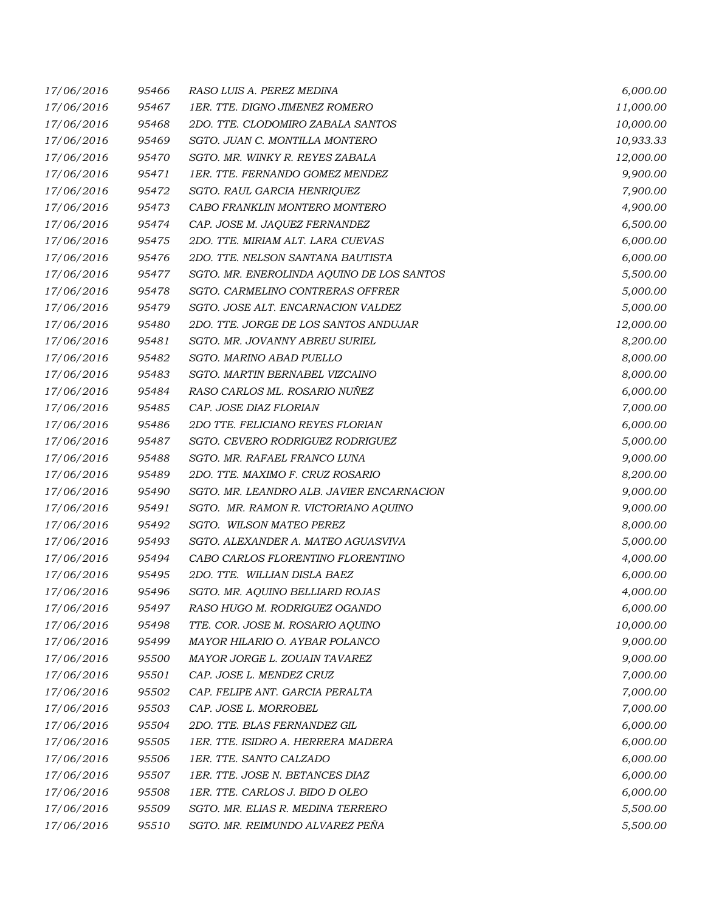| 17/06/2016 | 95466 | RASO LUIS A. PEREZ MEDINA                 | 6,000.00  |
|------------|-------|-------------------------------------------|-----------|
| 17/06/2016 | 95467 | 1ER. TTE. DIGNO JIMENEZ ROMERO            | 11,000.00 |
| 17/06/2016 | 95468 | 2DO. TTE. CLODOMIRO ZABALA SANTOS         | 10,000.00 |
| 17/06/2016 | 95469 | SGTO. JUAN C. MONTILLA MONTERO            | 10,933.33 |
| 17/06/2016 | 95470 | SGTO. MR. WINKY R. REYES ZABALA           | 12,000.00 |
| 17/06/2016 | 95471 | 1ER. TTE. FERNANDO GOMEZ MENDEZ           | 9,900.00  |
| 17/06/2016 | 95472 | SGTO. RAUL GARCIA HENRIQUEZ               | 7,900.00  |
| 17/06/2016 | 95473 | CABO FRANKLIN MONTERO MONTERO             | 4,900.00  |
| 17/06/2016 | 95474 | CAP. JOSE M. JAQUEZ FERNANDEZ             | 6,500.00  |
| 17/06/2016 | 95475 | 2DO. TTE. MIRIAM ALT. LARA CUEVAS         | 6,000.00  |
| 17/06/2016 | 95476 | 2DO. TTE. NELSON SANTANA BAUTISTA         | 6,000.00  |
| 17/06/2016 | 95477 | SGTO. MR. ENEROLINDA AQUINO DE LOS SANTOS | 5,500.00  |
| 17/06/2016 | 95478 | SGTO. CARMELINO CONTRERAS OFFRER          | 5,000.00  |
| 17/06/2016 | 95479 | SGTO. JOSE ALT. ENCARNACION VALDEZ        | 5,000.00  |
| 17/06/2016 | 95480 | 2DO. TTE. JORGE DE LOS SANTOS ANDUJAR     | 12,000.00 |
| 17/06/2016 | 95481 | SGTO. MR. JOVANNY ABREU SURIEL            | 8,200.00  |
| 17/06/2016 | 95482 | SGTO. MARINO ABAD PUELLO                  | 8,000.00  |
| 17/06/2016 | 95483 | SGTO. MARTIN BERNABEL VIZCAINO            | 8,000.00  |
| 17/06/2016 | 95484 | RASO CARLOS ML. ROSARIO NUÑEZ             | 6,000.00  |
| 17/06/2016 | 95485 | CAP. JOSE DIAZ FLORIAN                    | 7,000.00  |
| 17/06/2016 | 95486 | 2DO TTE. FELICIANO REYES FLORIAN          | 6,000.00  |
| 17/06/2016 | 95487 | SGTO. CEVERO RODRIGUEZ RODRIGUEZ          | 5,000.00  |
| 17/06/2016 | 95488 | SGTO. MR. RAFAEL FRANCO LUNA              | 9,000.00  |
| 17/06/2016 | 95489 | 2DO. TTE. MAXIMO F. CRUZ ROSARIO          | 8,200.00  |
| 17/06/2016 | 95490 | SGTO. MR. LEANDRO ALB. JAVIER ENCARNACION | 9,000.00  |
| 17/06/2016 | 95491 | SGTO. MR. RAMON R. VICTORIANO AQUINO      | 9,000.00  |
| 17/06/2016 | 95492 | SGTO. WILSON MATEO PEREZ                  | 8,000.00  |
| 17/06/2016 | 95493 | SGTO. ALEXANDER A. MATEO AGUASVIVA        | 5,000.00  |
| 17/06/2016 | 95494 | CABO CARLOS FLORENTINO FLORENTINO         | 4,000.00  |
| 17/06/2016 | 95495 | 2DO. TTE. WILLIAN DISLA BAEZ              | 6,000.00  |
| 17/06/2016 | 95496 | SGTO. MR. AQUINO BELLIARD ROJAS           | 4,000.00  |
| 17/06/2016 | 95497 | RASO HUGO M. RODRIGUEZ OGANDO             | 6,000.00  |
| 17/06/2016 | 95498 | TTE. COR. JOSE M. ROSARIO AQUINO          | 10,000.00 |
| 17/06/2016 | 95499 | MAYOR HILARIO O. AYBAR POLANCO            | 9,000.00  |
| 17/06/2016 | 95500 | MAYOR JORGE L. ZOUAIN TAVAREZ             | 9,000.00  |
| 17/06/2016 | 95501 | CAP. JOSE L. MENDEZ CRUZ                  | 7,000.00  |
| 17/06/2016 | 95502 | CAP. FELIPE ANT. GARCIA PERALTA           | 7,000.00  |
| 17/06/2016 | 95503 | CAP. JOSE L. MORROBEL                     | 7,000.00  |
| 17/06/2016 | 95504 | 2DO. TTE. BLAS FERNANDEZ GIL              | 6,000.00  |
| 17/06/2016 | 95505 | 1ER. TTE. ISIDRO A. HERRERA MADERA        | 6,000.00  |
| 17/06/2016 | 95506 | 1ER. TTE. SANTO CALZADO                   | 6,000.00  |
| 17/06/2016 | 95507 | 1ER. TTE. JOSE N. BETANCES DIAZ           | 6,000.00  |
| 17/06/2016 | 95508 | 1ER. TTE. CARLOS J. BIDO D OLEO           | 6,000.00  |
| 17/06/2016 | 95509 | SGTO. MR. ELIAS R. MEDINA TERRERO         | 5,500.00  |
| 17/06/2016 | 95510 | SGTO. MR. REIMUNDO ALVAREZ PEÑA           | 5,500.00  |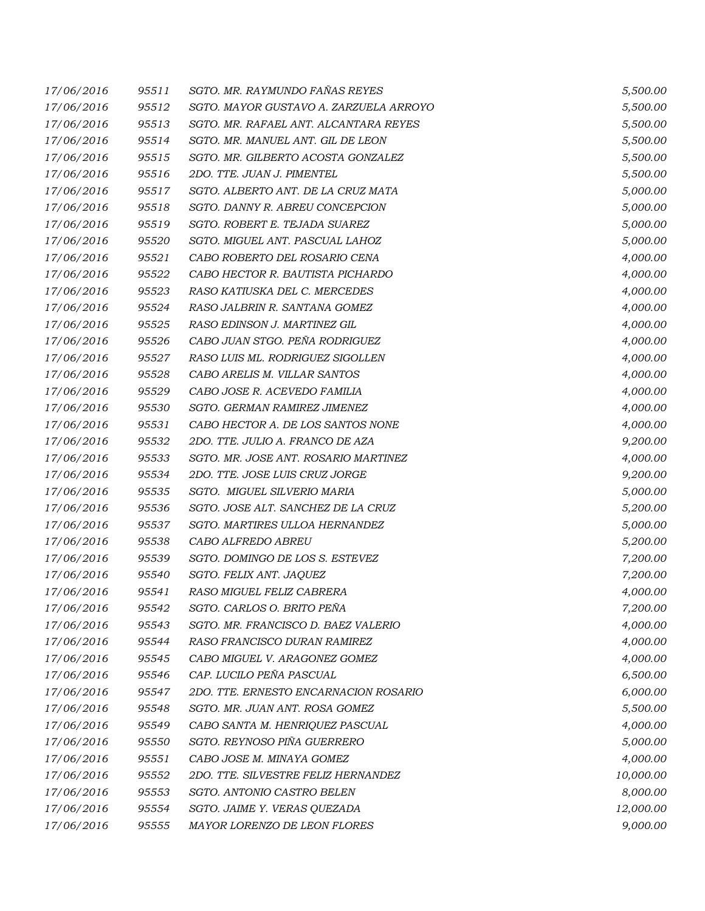| 17/06/2016 | 95511 | SGTO. MR. RAYMUNDO FAÑAS REYES         | 5,500.00  |
|------------|-------|----------------------------------------|-----------|
| 17/06/2016 | 95512 | SGTO. MAYOR GUSTAVO A. ZARZUELA ARROYO | 5,500.00  |
| 17/06/2016 | 95513 | SGTO. MR. RAFAEL ANT. ALCANTARA REYES  | 5,500.00  |
| 17/06/2016 | 95514 | SGTO. MR. MANUEL ANT. GIL DE LEON      | 5,500.00  |
| 17/06/2016 | 95515 | SGTO. MR. GILBERTO ACOSTA GONZALEZ     | 5,500.00  |
| 17/06/2016 | 95516 | 2DO. TTE. JUAN J. PIMENTEL             | 5,500.00  |
| 17/06/2016 | 95517 | SGTO. ALBERTO ANT. DE LA CRUZ MATA     | 5,000.00  |
| 17/06/2016 | 95518 | SGTO. DANNY R. ABREU CONCEPCION        | 5,000.00  |
| 17/06/2016 | 95519 | SGTO. ROBERT E. TEJADA SUAREZ          | 5,000.00  |
| 17/06/2016 | 95520 | SGTO. MIGUEL ANT. PASCUAL LAHOZ        | 5,000.00  |
| 17/06/2016 | 95521 | CABO ROBERTO DEL ROSARIO CENA          | 4,000.00  |
| 17/06/2016 | 95522 | CABO HECTOR R. BAUTISTA PICHARDO       | 4,000.00  |
| 17/06/2016 | 95523 | RASO KATIUSKA DEL C. MERCEDES          | 4,000.00  |
| 17/06/2016 | 95524 | RASO JALBRIN R. SANTANA GOMEZ          | 4,000.00  |
| 17/06/2016 | 95525 | RASO EDINSON J. MARTINEZ GIL           | 4,000.00  |
| 17/06/2016 | 95526 | CABO JUAN STGO. PEÑA RODRIGUEZ         | 4,000.00  |
| 17/06/2016 | 95527 | RASO LUIS ML. RODRIGUEZ SIGOLLEN       | 4,000.00  |
| 17/06/2016 | 95528 | CABO ARELIS M. VILLAR SANTOS           | 4,000.00  |
| 17/06/2016 | 95529 | CABO JOSE R. ACEVEDO FAMILIA           | 4,000.00  |
| 17/06/2016 | 95530 | SGTO. GERMAN RAMIREZ JIMENEZ           | 4,000.00  |
| 17/06/2016 | 95531 | CABO HECTOR A. DE LOS SANTOS NONE      | 4,000.00  |
| 17/06/2016 | 95532 | 2DO. TTE. JULIO A. FRANCO DE AZA       | 9,200.00  |
| 17/06/2016 | 95533 | SGTO. MR. JOSE ANT. ROSARIO MARTINEZ   | 4,000.00  |
| 17/06/2016 | 95534 | 2DO. TTE. JOSE LUIS CRUZ JORGE         | 9,200.00  |
| 17/06/2016 | 95535 | SGTO. MIGUEL SILVERIO MARIA            | 5,000.00  |
| 17/06/2016 | 95536 | SGTO. JOSE ALT. SANCHEZ DE LA CRUZ     | 5,200.00  |
| 17/06/2016 | 95537 | SGTO. MARTIRES ULLOA HERNANDEZ         | 5,000.00  |
| 17/06/2016 | 95538 | CABO ALFREDO ABREU                     | 5,200.00  |
| 17/06/2016 | 95539 | SGTO. DOMINGO DE LOS S. ESTEVEZ        | 7,200.00  |
| 17/06/2016 | 95540 | SGTO. FELIX ANT. JAQUEZ                | 7,200.00  |
| 17/06/2016 | 95541 | RASO MIGUEL FELIZ CABRERA              | 4,000.00  |
| 17/06/2016 | 95542 | SGTO. CARLOS O. BRITO PEÑA             | 7,200.00  |
| 17/06/2016 | 95543 | SGTO. MR. FRANCISCO D. BAEZ VALERIO    | 4,000.00  |
| 17/06/2016 | 95544 | RASO FRANCISCO DURAN RAMIREZ           | 4,000.00  |
| 17/06/2016 | 95545 | CABO MIGUEL V. ARAGONEZ GOMEZ          | 4,000.00  |
| 17/06/2016 | 95546 | CAP. LUCILO PEÑA PASCUAL               | 6,500.00  |
| 17/06/2016 | 95547 | 2DO. TTE. ERNESTO ENCARNACION ROSARIO  | 6,000.00  |
| 17/06/2016 | 95548 | SGTO. MR. JUAN ANT. ROSA GOMEZ         | 5,500.00  |
| 17/06/2016 | 95549 | CABO SANTA M. HENRIQUEZ PASCUAL        | 4,000.00  |
| 17/06/2016 | 95550 | SGTO. REYNOSO PIÑA GUERRERO            | 5,000.00  |
| 17/06/2016 | 95551 | CABO JOSE M. MINAYA GOMEZ              | 4,000.00  |
| 17/06/2016 | 95552 | 2DO. TTE. SILVESTRE FELIZ HERNANDEZ    | 10,000.00 |
| 17/06/2016 | 95553 | SGTO. ANTONIO CASTRO BELEN             | 8,000.00  |
| 17/06/2016 | 95554 | SGTO. JAIME Y. VERAS QUEZADA           | 12,000.00 |
| 17/06/2016 | 95555 | MAYOR LORENZO DE LEON FLORES           | 9,000.00  |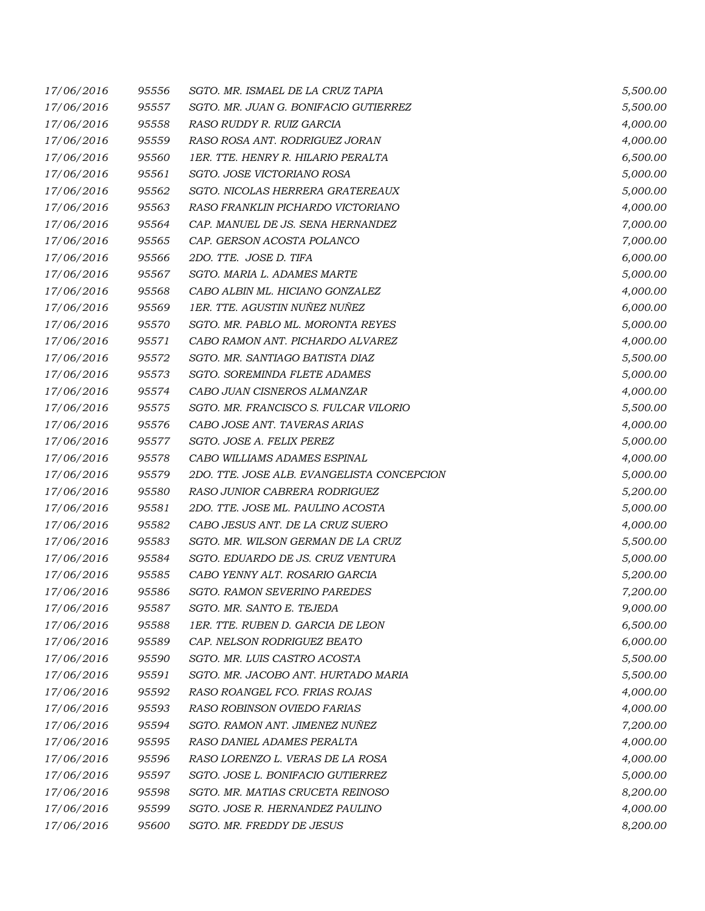| 17/06/2016 | 95556 | SGTO. MR. ISMAEL DE LA CRUZ TAPIA          | 5,500.00 |
|------------|-------|--------------------------------------------|----------|
| 17/06/2016 | 95557 | SGTO. MR. JUAN G. BONIFACIO GUTIERREZ      | 5,500.00 |
| 17/06/2016 | 95558 | RASO RUDDY R. RUIZ GARCIA                  | 4,000.00 |
| 17/06/2016 | 95559 | RASO ROSA ANT. RODRIGUEZ JORAN             | 4,000.00 |
| 17/06/2016 | 95560 | 1ER. TTE. HENRY R. HILARIO PERALTA         | 6,500.00 |
| 17/06/2016 | 95561 | SGTO. JOSE VICTORIANO ROSA                 | 5,000.00 |
| 17/06/2016 | 95562 | SGTO. NICOLAS HERRERA GRATEREAUX           | 5,000.00 |
| 17/06/2016 | 95563 | RASO FRANKLIN PICHARDO VICTORIANO          | 4,000.00 |
| 17/06/2016 | 95564 | CAP. MANUEL DE JS. SENA HERNANDEZ          | 7,000.00 |
| 17/06/2016 | 95565 | CAP. GERSON ACOSTA POLANCO                 | 7,000.00 |
| 17/06/2016 | 95566 | 2DO. TTE. JOSE D. TIFA                     | 6,000.00 |
| 17/06/2016 | 95567 | SGTO. MARIA L. ADAMES MARTE                | 5,000.00 |
| 17/06/2016 | 95568 | CABO ALBIN ML. HICIANO GONZALEZ            | 4,000.00 |
| 17/06/2016 | 95569 | 1ER. TTE. AGUSTIN NUÑEZ NUÑEZ              | 6,000.00 |
| 17/06/2016 | 95570 | SGTO. MR. PABLO ML. MORONTA REYES          | 5,000.00 |
| 17/06/2016 | 95571 | CABO RAMON ANT. PICHARDO ALVAREZ           | 4,000.00 |
| 17/06/2016 | 95572 | SGTO. MR. SANTIAGO BATISTA DIAZ            | 5,500.00 |
| 17/06/2016 | 95573 | SGTO. SOREMINDA FLETE ADAMES               | 5,000.00 |
| 17/06/2016 | 95574 | CABO JUAN CISNEROS ALMANZAR                | 4,000.00 |
| 17/06/2016 | 95575 | SGTO. MR. FRANCISCO S. FULCAR VILORIO      | 5,500.00 |
| 17/06/2016 | 95576 | CABO JOSE ANT. TAVERAS ARIAS               | 4,000.00 |
| 17/06/2016 | 95577 | SGTO. JOSE A. FELIX PEREZ                  | 5,000.00 |
| 17/06/2016 | 95578 | CABO WILLIAMS ADAMES ESPINAL               | 4,000.00 |
| 17/06/2016 | 95579 | 2DO. TTE. JOSE ALB. EVANGELISTA CONCEPCION | 5,000.00 |
| 17/06/2016 | 95580 | RASO JUNIOR CABRERA RODRIGUEZ              | 5,200.00 |
| 17/06/2016 | 95581 | 2DO. TTE. JOSE ML. PAULINO ACOSTA          | 5,000.00 |
| 17/06/2016 | 95582 | CABO JESUS ANT. DE LA CRUZ SUERO           | 4,000.00 |
| 17/06/2016 | 95583 | SGTO. MR. WILSON GERMAN DE LA CRUZ         | 5,500.00 |
| 17/06/2016 | 95584 | SGTO. EDUARDO DE JS. CRUZ VENTURA          | 5,000.00 |
| 17/06/2016 | 95585 | CABO YENNY ALT. ROSARIO GARCIA             | 5,200.00 |
| 17/06/2016 | 95586 | SGTO. RAMON SEVERINO PAREDES               | 7,200.00 |
| 17/06/2016 | 95587 | SGTO. MR. SANTO E. TEJEDA                  | 9,000.00 |
| 17/06/2016 | 95588 | 1ER. TTE. RUBEN D. GARCIA DE LEON          | 6,500.00 |
| 17/06/2016 | 95589 | CAP. NELSON RODRIGUEZ BEATO                | 6,000.00 |
| 17/06/2016 | 95590 | SGTO. MR. LUIS CASTRO ACOSTA               | 5,500.00 |
| 17/06/2016 | 95591 | SGTO. MR. JACOBO ANT. HURTADO MARIA        | 5,500.00 |
| 17/06/2016 | 95592 | RASO ROANGEL FCO. FRIAS ROJAS              | 4,000.00 |
| 17/06/2016 | 95593 | RASO ROBINSON OVIEDO FARIAS                | 4,000.00 |
| 17/06/2016 | 95594 | SGTO. RAMON ANT. JIMENEZ NUÑEZ             | 7,200.00 |
| 17/06/2016 | 95595 | RASO DANIEL ADAMES PERALTA                 | 4,000.00 |
| 17/06/2016 | 95596 | RASO LORENZO L. VERAS DE LA ROSA           | 4,000.00 |
| 17/06/2016 | 95597 | SGTO. JOSE L. BONIFACIO GUTIERREZ          | 5,000.00 |
| 17/06/2016 | 95598 | SGTO. MR. MATIAS CRUCETA REINOSO           | 8,200.00 |
| 17/06/2016 | 95599 | SGTO. JOSE R. HERNANDEZ PAULINO            | 4,000.00 |
| 17/06/2016 | 95600 | SGTO. MR. FREDDY DE JESUS                  | 8,200.00 |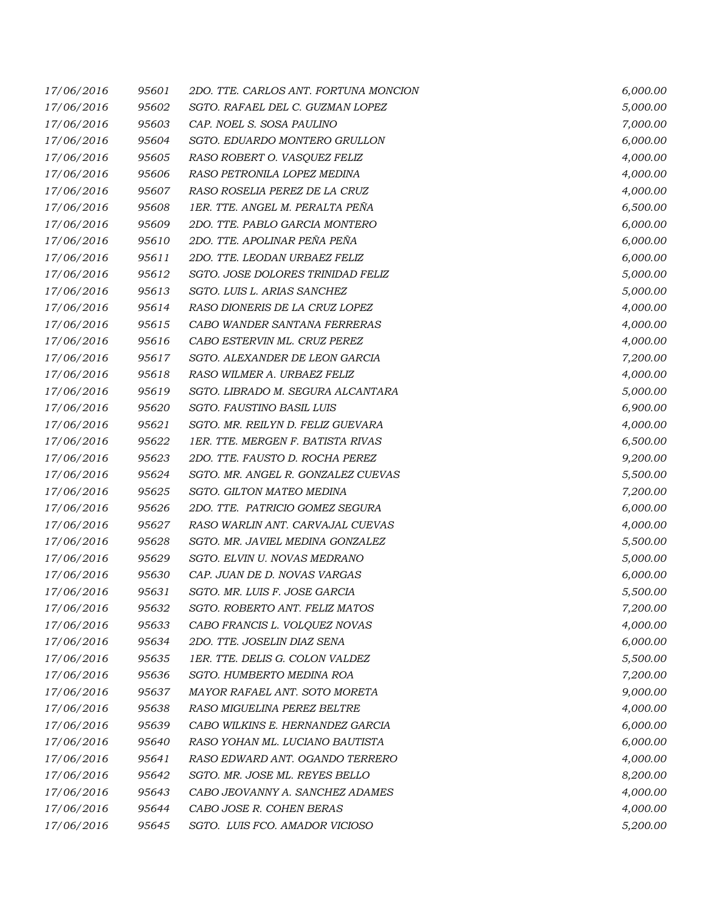| 17/06/2016 | 95601 | 2DO. TTE. CARLOS ANT. FORTUNA MONCION | 6,000.00 |
|------------|-------|---------------------------------------|----------|
| 17/06/2016 | 95602 | SGTO. RAFAEL DEL C. GUZMAN LOPEZ      | 5,000.00 |
| 17/06/2016 | 95603 | CAP. NOEL S. SOSA PAULINO             | 7,000.00 |
| 17/06/2016 | 95604 | SGTO. EDUARDO MONTERO GRULLON         | 6,000.00 |
| 17/06/2016 | 95605 | RASO ROBERT O. VASQUEZ FELIZ          | 4,000.00 |
| 17/06/2016 | 95606 | RASO PETRONILA LOPEZ MEDINA           | 4,000.00 |
| 17/06/2016 | 95607 | RASO ROSELIA PEREZ DE LA CRUZ         | 4,000.00 |
| 17/06/2016 | 95608 | 1ER. TTE. ANGEL M. PERALTA PEÑA       | 6,500.00 |
| 17/06/2016 | 95609 | 2DO. TTE. PABLO GARCIA MONTERO        | 6,000.00 |
| 17/06/2016 | 95610 | 2DO. TTE. APOLINAR PEÑA PEÑA          | 6,000.00 |
| 17/06/2016 | 95611 | 2DO. TTE. LEODAN URBAEZ FELIZ         | 6,000.00 |
| 17/06/2016 | 95612 | SGTO. JOSE DOLORES TRINIDAD FELIZ     | 5,000.00 |
| 17/06/2016 | 95613 | SGTO. LUIS L. ARIAS SANCHEZ           | 5,000.00 |
| 17/06/2016 | 95614 | RASO DIONERIS DE LA CRUZ LOPEZ        | 4,000.00 |
| 17/06/2016 | 95615 | CABO WANDER SANTANA FERRERAS          | 4,000.00 |
| 17/06/2016 | 95616 | CABO ESTERVIN ML. CRUZ PEREZ          | 4,000.00 |
| 17/06/2016 | 95617 | SGTO. ALEXANDER DE LEON GARCIA        | 7,200.00 |
| 17/06/2016 | 95618 | RASO WILMER A. URBAEZ FELIZ           | 4,000.00 |
| 17/06/2016 | 95619 | SGTO. LIBRADO M. SEGURA ALCANTARA     | 5,000.00 |
| 17/06/2016 | 95620 | SGTO. FAUSTINO BASIL LUIS             | 6,900.00 |
| 17/06/2016 | 95621 | SGTO. MR. REILYN D. FELIZ GUEVARA     | 4,000.00 |
| 17/06/2016 | 95622 | 1ER. TTE. MERGEN F. BATISTA RIVAS     | 6,500.00 |
| 17/06/2016 | 95623 | 2DO. TTE. FAUSTO D. ROCHA PEREZ       | 9,200.00 |
| 17/06/2016 | 95624 | SGTO. MR. ANGEL R. GONZALEZ CUEVAS    | 5,500.00 |
| 17/06/2016 | 95625 | SGTO. GILTON MATEO MEDINA             | 7,200.00 |
| 17/06/2016 | 95626 | 2DO. TTE. PATRICIO GOMEZ SEGURA       | 6,000.00 |
| 17/06/2016 | 95627 | RASO WARLIN ANT. CARVAJAL CUEVAS      | 4,000.00 |
| 17/06/2016 | 95628 | SGTO. MR. JAVIEL MEDINA GONZALEZ      | 5,500.00 |
| 17/06/2016 | 95629 | SGTO. ELVIN U. NOVAS MEDRANO          | 5,000.00 |
| 17/06/2016 | 95630 | CAP. JUAN DE D. NOVAS VARGAS          | 6,000.00 |
| 17/06/2016 | 95631 | SGTO. MR. LUIS F. JOSE GARCIA         | 5,500.00 |
| 17/06/2016 | 95632 | SGTO. ROBERTO ANT. FELIZ MATOS        | 7,200.00 |
| 17/06/2016 | 95633 | CABO FRANCIS L. VOLQUEZ NOVAS         | 4,000.00 |
| 17/06/2016 | 95634 | 2DO. TTE. JOSELIN DIAZ SENA           | 6,000.00 |
| 17/06/2016 | 95635 | 1ER. TTE. DELIS G. COLON VALDEZ       | 5,500.00 |
| 17/06/2016 | 95636 | SGTO. HUMBERTO MEDINA ROA             | 7,200.00 |
| 17/06/2016 | 95637 | MAYOR RAFAEL ANT. SOTO MORETA         | 9,000.00 |
| 17/06/2016 | 95638 | RASO MIGUELINA PEREZ BELTRE           | 4,000.00 |
| 17/06/2016 | 95639 | CABO WILKINS E. HERNANDEZ GARCIA      | 6,000.00 |
| 17/06/2016 | 95640 | RASO YOHAN ML. LUCIANO BAUTISTA       | 6,000.00 |
| 17/06/2016 | 95641 | RASO EDWARD ANT. OGANDO TERRERO       | 4,000.00 |
| 17/06/2016 | 95642 | SGTO. MR. JOSE ML. REYES BELLO        | 8,200.00 |
| 17/06/2016 | 95643 | CABO JEOVANNY A. SANCHEZ ADAMES       | 4,000.00 |
| 17/06/2016 | 95644 | CABO JOSE R. COHEN BERAS              | 4,000.00 |
| 17/06/2016 | 95645 | SGTO. LUIS FCO. AMADOR VICIOSO        | 5,200.00 |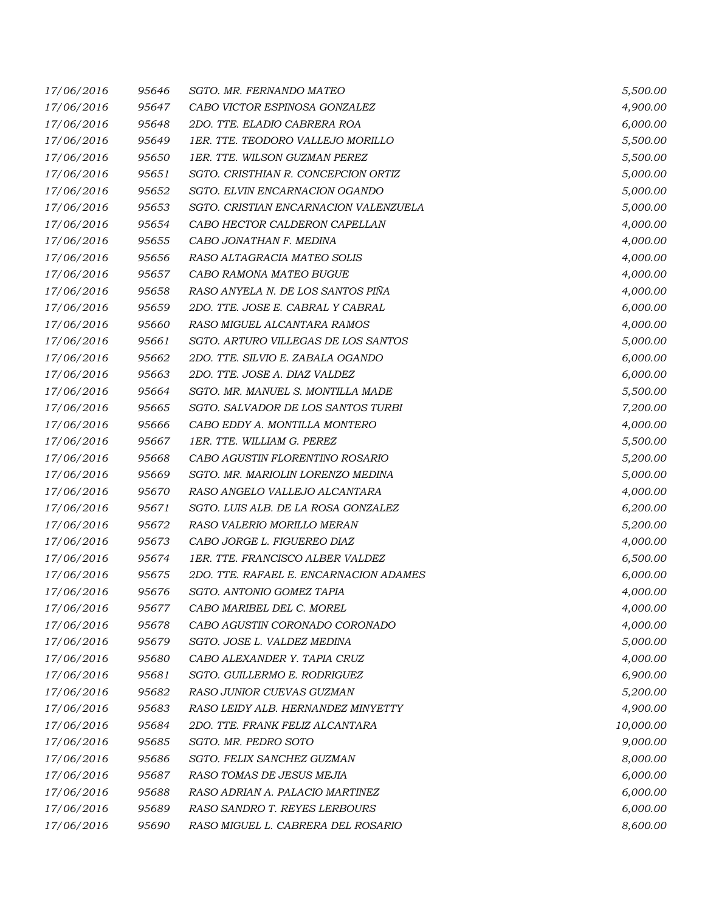| 17/06/2016 | 95646 | SGTO. MR. FERNANDO MATEO               | 5,500.00  |
|------------|-------|----------------------------------------|-----------|
| 17/06/2016 | 95647 | CABO VICTOR ESPINOSA GONZALEZ          | 4,900.00  |
| 17/06/2016 | 95648 | 2DO. TTE. ELADIO CABRERA ROA           | 6,000.00  |
| 17/06/2016 | 95649 | 1ER. TTE. TEODORO VALLEJO MORILLO      | 5,500.00  |
| 17/06/2016 | 95650 | 1ER. TTE. WILSON GUZMAN PEREZ          | 5,500.00  |
| 17/06/2016 | 95651 | SGTO. CRISTHIAN R. CONCEPCION ORTIZ    | 5,000.00  |
| 17/06/2016 | 95652 | SGTO. ELVIN ENCARNACION OGANDO         | 5,000.00  |
| 17/06/2016 | 95653 | SGTO. CRISTIAN ENCARNACION VALENZUELA  | 5,000.00  |
| 17/06/2016 | 95654 | CABO HECTOR CALDERON CAPELLAN          | 4,000.00  |
| 17/06/2016 | 95655 | CABO JONATHAN F. MEDINA                | 4,000.00  |
| 17/06/2016 | 95656 | RASO ALTAGRACIA MATEO SOLIS            | 4,000.00  |
| 17/06/2016 | 95657 | CABO RAMONA MATEO BUGUE                | 4,000.00  |
| 17/06/2016 | 95658 | RASO ANYELA N. DE LOS SANTOS PIÑA      | 4,000.00  |
| 17/06/2016 | 95659 | 2DO. TTE. JOSE E. CABRAL Y CABRAL      | 6,000.00  |
| 17/06/2016 | 95660 | RASO MIGUEL ALCANTARA RAMOS            | 4,000.00  |
| 17/06/2016 | 95661 | SGTO. ARTURO VILLEGAS DE LOS SANTOS    | 5,000.00  |
| 17/06/2016 | 95662 | 2DO. TTE. SILVIO E. ZABALA OGANDO      | 6,000.00  |
| 17/06/2016 | 95663 | 2DO. TTE. JOSE A. DIAZ VALDEZ          | 6,000.00  |
| 17/06/2016 | 95664 | SGTO. MR. MANUEL S. MONTILLA MADE      | 5,500.00  |
| 17/06/2016 | 95665 | SGTO. SALVADOR DE LOS SANTOS TURBI     | 7,200.00  |
| 17/06/2016 | 95666 | CABO EDDY A. MONTILLA MONTERO          | 4,000.00  |
| 17/06/2016 | 95667 | 1ER. TTE. WILLIAM G. PEREZ             | 5,500.00  |
| 17/06/2016 | 95668 | CABO AGUSTIN FLORENTINO ROSARIO        | 5,200.00  |
| 17/06/2016 | 95669 | SGTO. MR. MARIOLIN LORENZO MEDINA      | 5,000.00  |
| 17/06/2016 | 95670 | RASO ANGELO VALLEJO ALCANTARA          | 4,000.00  |
| 17/06/2016 | 95671 | SGTO. LUIS ALB. DE LA ROSA GONZALEZ    | 6,200.00  |
| 17/06/2016 | 95672 | RASO VALERIO MORILLO MERAN             | 5,200.00  |
| 17/06/2016 | 95673 | CABO JORGE L. FIGUEREO DIAZ            | 4,000.00  |
| 17/06/2016 | 95674 | 1ER. TTE. FRANCISCO ALBER VALDEZ       | 6,500.00  |
| 17/06/2016 | 95675 | 2DO. TTE. RAFAEL E. ENCARNACION ADAMES | 6,000.00  |
| 17/06/2016 | 95676 | SGTO. ANTONIO GOMEZ TAPIA              | 4,000.00  |
| 17/06/2016 | 95677 | CABO MARIBEL DEL C. MOREL              | 4,000.00  |
| 17/06/2016 | 95678 | CABO AGUSTIN CORONADO CORONADO         | 4,000.00  |
| 17/06/2016 | 95679 | SGTO. JOSE L. VALDEZ MEDINA            | 5,000.00  |
| 17/06/2016 | 95680 | CABO ALEXANDER Y. TAPIA CRUZ           | 4,000.00  |
| 17/06/2016 | 95681 | SGTO. GUILLERMO E. RODRIGUEZ           | 6,900.00  |
| 17/06/2016 | 95682 | RASO JUNIOR CUEVAS GUZMAN              | 5,200.00  |
| 17/06/2016 | 95683 | RASO LEIDY ALB. HERNANDEZ MINYETTY     | 4,900.00  |
| 17/06/2016 | 95684 | 2DO. TTE. FRANK FELIZ ALCANTARA        | 10,000.00 |
| 17/06/2016 | 95685 | SGTO. MR. PEDRO SOTO                   | 9,000.00  |
| 17/06/2016 | 95686 | SGTO. FELIX SANCHEZ GUZMAN             | 8,000.00  |
| 17/06/2016 | 95687 | RASO TOMAS DE JESUS MEJIA              | 6,000.00  |
| 17/06/2016 | 95688 | RASO ADRIAN A. PALACIO MARTINEZ        | 6,000.00  |
| 17/06/2016 | 95689 | RASO SANDRO T. REYES LERBOURS          | 6,000.00  |
| 17/06/2016 | 95690 | RASO MIGUEL L. CABRERA DEL ROSARIO     | 8,600.00  |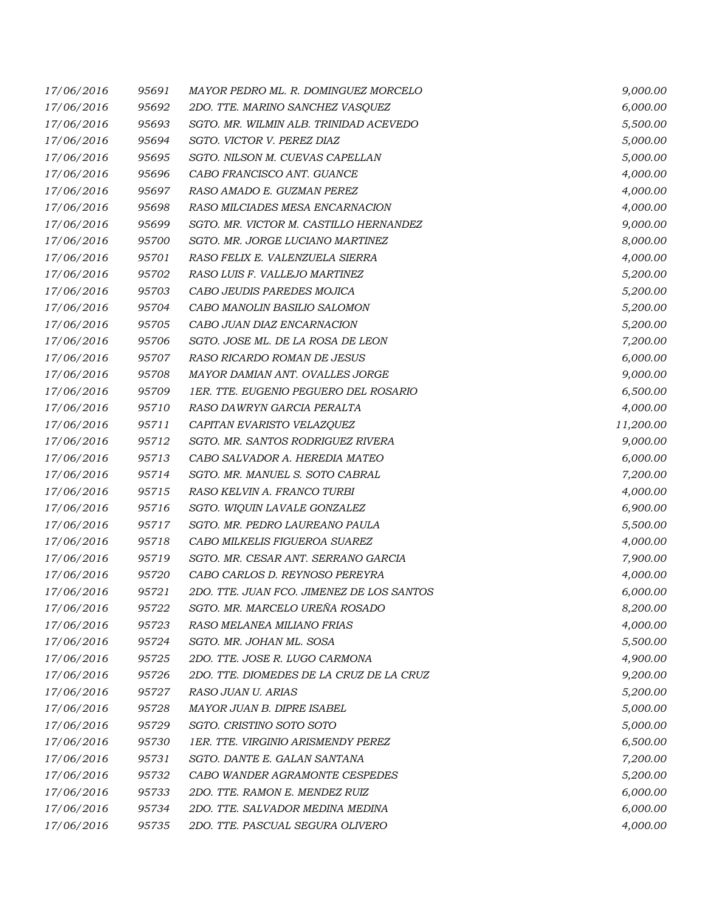| 17/06/2016 | 95691 | MAYOR PEDRO ML. R. DOMINGUEZ MORCELO      | 9,000.00  |
|------------|-------|-------------------------------------------|-----------|
| 17/06/2016 | 95692 | 2DO. TTE. MARINO SANCHEZ VASQUEZ          | 6,000.00  |
| 17/06/2016 | 95693 | SGTO. MR. WILMIN ALB. TRINIDAD ACEVEDO    | 5,500.00  |
| 17/06/2016 | 95694 | SGTO. VICTOR V. PEREZ DIAZ                | 5,000.00  |
| 17/06/2016 | 95695 | SGTO. NILSON M. CUEVAS CAPELLAN           | 5,000.00  |
| 17/06/2016 | 95696 | CABO FRANCISCO ANT. GUANCE                | 4,000.00  |
| 17/06/2016 | 95697 | RASO AMADO E. GUZMAN PEREZ                | 4,000.00  |
| 17/06/2016 | 95698 | RASO MILCIADES MESA ENCARNACION           | 4,000.00  |
| 17/06/2016 | 95699 | SGTO. MR. VICTOR M. CASTILLO HERNANDEZ    | 9,000.00  |
| 17/06/2016 | 95700 | SGTO. MR. JORGE LUCIANO MARTINEZ          | 8,000.00  |
| 17/06/2016 | 95701 | RASO FELIX E. VALENZUELA SIERRA           | 4,000.00  |
| 17/06/2016 | 95702 | RASO LUIS F. VALLEJO MARTINEZ             | 5,200.00  |
| 17/06/2016 | 95703 | CABO JEUDIS PAREDES MOJICA                | 5,200.00  |
| 17/06/2016 | 95704 | CABO MANOLIN BASILIO SALOMON              | 5,200.00  |
| 17/06/2016 | 95705 | CABO JUAN DIAZ ENCARNACION                | 5,200.00  |
| 17/06/2016 | 95706 | SGTO. JOSE ML. DE LA ROSA DE LEON         | 7,200.00  |
| 17/06/2016 | 95707 | RASO RICARDO ROMAN DE JESUS               | 6,000.00  |
| 17/06/2016 | 95708 | MAYOR DAMIAN ANT. OVALLES JORGE           | 9,000.00  |
| 17/06/2016 | 95709 | 1ER. TTE. EUGENIO PEGUERO DEL ROSARIO     | 6,500.00  |
| 17/06/2016 | 95710 | RASO DAWRYN GARCIA PERALTA                | 4,000.00  |
| 17/06/2016 | 95711 | CAPITAN EVARISTO VELAZQUEZ                | 11,200.00 |
| 17/06/2016 | 95712 | SGTO. MR. SANTOS RODRIGUEZ RIVERA         | 9,000.00  |
| 17/06/2016 | 95713 | CABO SALVADOR A. HEREDIA MATEO            | 6,000.00  |
| 17/06/2016 | 95714 | SGTO. MR. MANUEL S. SOTO CABRAL           | 7,200.00  |
| 17/06/2016 | 95715 | RASO KELVIN A. FRANCO TURBI               | 4,000.00  |
| 17/06/2016 | 95716 | SGTO. WIQUIN LAVALE GONZALEZ              | 6,900.00  |
| 17/06/2016 | 95717 | SGTO. MR. PEDRO LAUREANO PAULA            | 5,500.00  |
| 17/06/2016 | 95718 | CABO MILKELIS FIGUEROA SUAREZ             | 4,000.00  |
| 17/06/2016 | 95719 | SGTO. MR. CESAR ANT. SERRANO GARCIA       | 7,900.00  |
| 17/06/2016 | 95720 | CABO CARLOS D. REYNOSO PEREYRA            | 4,000.00  |
| 17/06/2016 | 95721 | 2DO. TTE. JUAN FCO. JIMENEZ DE LOS SANTOS | 6,000.00  |
| 17/06/2016 | 95722 | SGTO. MR. MARCELO UREÑA ROSADO            | 8,200.00  |
| 17/06/2016 | 95723 | RASO MELANEA MILIANO FRIAS                | 4,000.00  |
| 17/06/2016 | 95724 | SGTO. MR. JOHAN ML. SOSA                  | 5,500.00  |
| 17/06/2016 | 95725 | 2DO. TTE. JOSE R. LUGO CARMONA            | 4,900.00  |
| 17/06/2016 | 95726 | 2DO. TTE. DIOMEDES DE LA CRUZ DE LA CRUZ  | 9,200.00  |
| 17/06/2016 | 95727 | RASO JUAN U. ARIAS                        | 5,200.00  |
| 17/06/2016 | 95728 | MAYOR JUAN B. DIPRE ISABEL                | 5,000.00  |
| 17/06/2016 | 95729 | SGTO. CRISTINO SOTO SOTO                  | 5,000.00  |
| 17/06/2016 | 95730 | 1ER. TTE. VIRGINIO ARISMENDY PEREZ        | 6,500.00  |
| 17/06/2016 | 95731 | SGTO. DANTE E. GALAN SANTANA              | 7,200.00  |
| 17/06/2016 | 95732 | CABO WANDER AGRAMONTE CESPEDES            | 5,200.00  |
| 17/06/2016 | 95733 | 2DO. TTE. RAMON E. MENDEZ RUIZ            | 6,000.00  |
| 17/06/2016 | 95734 | 2DO. TTE. SALVADOR MEDINA MEDINA          | 6,000.00  |
| 17/06/2016 | 95735 | 2DO. TTE. PASCUAL SEGURA OLIVERO          | 4,000.00  |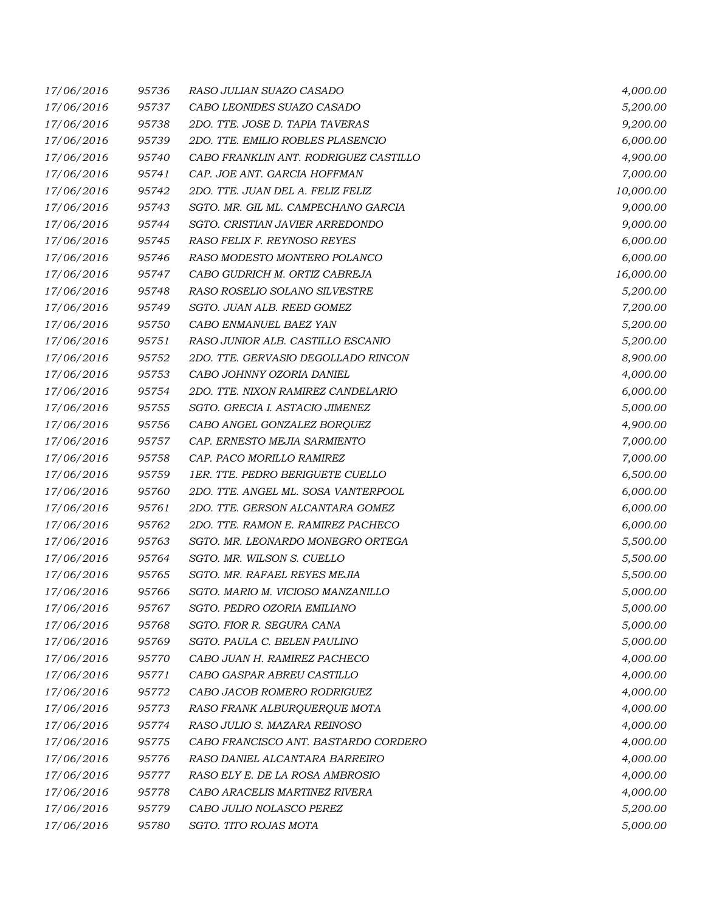| 17/06/2016 | 95736 | RASO JULIAN SUAZO CASADO              | 4,000.00  |
|------------|-------|---------------------------------------|-----------|
| 17/06/2016 | 95737 | CABO LEONIDES SUAZO CASADO            | 5,200.00  |
| 17/06/2016 | 95738 | 2DO. TTE. JOSE D. TAPIA TAVERAS       | 9,200.00  |
| 17/06/2016 | 95739 | 2DO. TTE. EMILIO ROBLES PLASENCIO     | 6,000.00  |
| 17/06/2016 | 95740 | CABO FRANKLIN ANT. RODRIGUEZ CASTILLO | 4,900.00  |
| 17/06/2016 | 95741 | CAP. JOE ANT. GARCIA HOFFMAN          | 7,000.00  |
| 17/06/2016 | 95742 | 2DO. TTE. JUAN DEL A. FELIZ FELIZ     | 10,000.00 |
| 17/06/2016 | 95743 | SGTO. MR. GIL ML. CAMPECHANO GARCIA   | 9,000.00  |
| 17/06/2016 | 95744 | SGTO. CRISTIAN JAVIER ARREDONDO       | 9,000.00  |
| 17/06/2016 | 95745 | RASO FELIX F. REYNOSO REYES           | 6,000.00  |
| 17/06/2016 | 95746 | RASO MODESTO MONTERO POLANCO          | 6,000.00  |
| 17/06/2016 | 95747 | CABO GUDRICH M. ORTIZ CABREJA         | 16,000.00 |
| 17/06/2016 | 95748 | RASO ROSELIO SOLANO SILVESTRE         | 5,200.00  |
| 17/06/2016 | 95749 | SGTO. JUAN ALB. REED GOMEZ            | 7,200.00  |
| 17/06/2016 | 95750 | CABO ENMANUEL BAEZ YAN                | 5,200.00  |
| 17/06/2016 | 95751 | RASO JUNIOR ALB. CASTILLO ESCANIO     | 5,200.00  |
| 17/06/2016 | 95752 | 2DO. TTE. GERVASIO DEGOLLADO RINCON   | 8,900.00  |
| 17/06/2016 | 95753 | CABO JOHNNY OZORIA DANIEL             | 4,000.00  |
| 17/06/2016 | 95754 | 2DO. TTE. NIXON RAMIREZ CANDELARIO    | 6,000.00  |
| 17/06/2016 | 95755 | SGTO. GRECIA I. ASTACIO JIMENEZ       | 5,000.00  |
| 17/06/2016 | 95756 | CABO ANGEL GONZALEZ BORQUEZ           | 4,900.00  |
| 17/06/2016 | 95757 | CAP. ERNESTO MEJIA SARMIENTO          | 7,000.00  |
| 17/06/2016 | 95758 | CAP. PACO MORILLO RAMIREZ             | 7,000.00  |
| 17/06/2016 | 95759 | 1ER. TTE. PEDRO BERIGUETE CUELLO      | 6,500.00  |
| 17/06/2016 | 95760 | 2DO. TTE. ANGEL ML. SOSA VANTERPOOL   | 6,000.00  |
| 17/06/2016 | 95761 | 2DO. TTE. GERSON ALCANTARA GOMEZ      | 6,000.00  |
| 17/06/2016 | 95762 | 2DO. TTE. RAMON E. RAMIREZ PACHECO    | 6,000.00  |
| 17/06/2016 | 95763 | SGTO. MR. LEONARDO MONEGRO ORTEGA     | 5,500.00  |
| 17/06/2016 | 95764 | SGTO. MR. WILSON S. CUELLO            | 5,500.00  |
| 17/06/2016 | 95765 | SGTO. MR. RAFAEL REYES MEJIA          | 5,500.00  |
| 17/06/2016 | 95766 | SGTO. MARIO M. VICIOSO MANZANILLO     | 5,000.00  |
| 17/06/2016 | 95767 | SGTO. PEDRO OZORIA EMILIANO           | 5,000.00  |
| 17/06/2016 | 95768 | SGTO. FIOR R. SEGURA CANA             | 5,000.00  |
| 17/06/2016 | 95769 | SGTO. PAULA C. BELEN PAULINO          | 5,000.00  |
| 17/06/2016 | 95770 | CABO JUAN H. RAMIREZ PACHECO          | 4,000.00  |
| 17/06/2016 | 95771 | CABO GASPAR ABREU CASTILLO            | 4,000.00  |
| 17/06/2016 | 95772 | CABO JACOB ROMERO RODRIGUEZ           | 4,000.00  |
| 17/06/2016 | 95773 | RASO FRANK ALBURQUERQUE MOTA          | 4,000.00  |
| 17/06/2016 | 95774 | RASO JULIO S. MAZARA REINOSO          | 4,000.00  |
| 17/06/2016 | 95775 | CABO FRANCISCO ANT. BASTARDO CORDERO  | 4,000.00  |
| 17/06/2016 | 95776 | RASO DANIEL ALCANTARA BARREIRO        | 4,000.00  |
| 17/06/2016 | 95777 | RASO ELY E. DE LA ROSA AMBROSIO       | 4,000.00  |
| 17/06/2016 | 95778 | CABO ARACELIS MARTINEZ RIVERA         | 4,000.00  |
| 17/06/2016 | 95779 | CABO JULIO NOLASCO PEREZ              | 5,200.00  |
| 17/06/2016 | 95780 | SGTO. TITO ROJAS MOTA                 | 5,000.00  |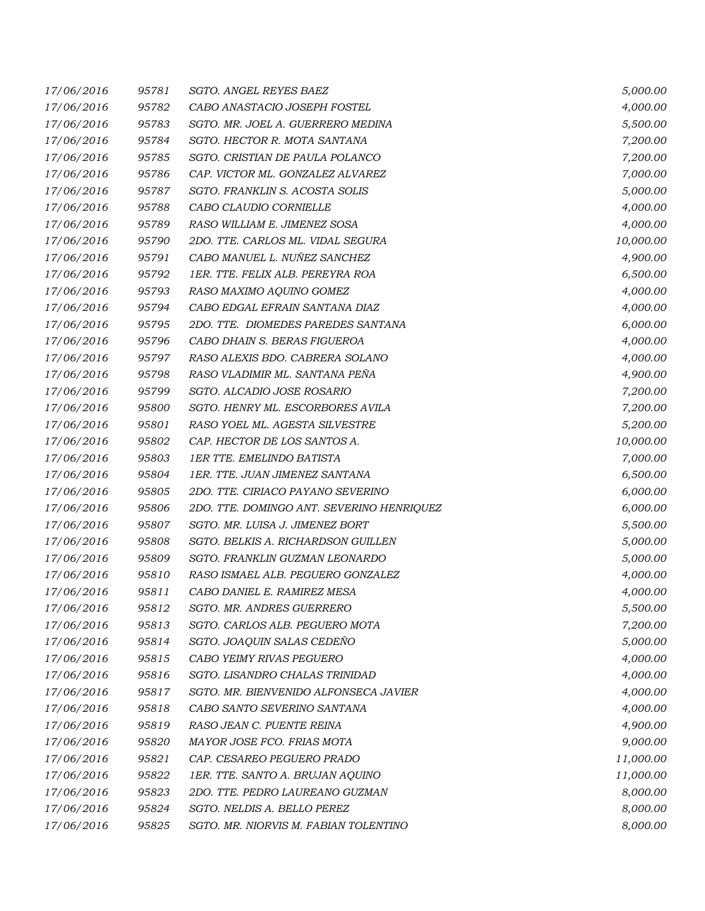| 17/06/2016 | 95781 | SGTO. ANGEL REYES BAEZ                    | 5,000.00  |
|------------|-------|-------------------------------------------|-----------|
| 17/06/2016 | 95782 | CABO ANASTACIO JOSEPH FOSTEL              | 4,000.00  |
| 17/06/2016 | 95783 | SGTO. MR. JOEL A. GUERRERO MEDINA         | 5,500.00  |
| 17/06/2016 | 95784 | SGTO. HECTOR R. MOTA SANTANA              | 7,200.00  |
| 17/06/2016 | 95785 | SGTO. CRISTIAN DE PAULA POLANCO           | 7,200.00  |
| 17/06/2016 | 95786 | CAP. VICTOR ML. GONZALEZ ALVAREZ          | 7,000.00  |
| 17/06/2016 | 95787 | SGTO. FRANKLIN S. ACOSTA SOLIS            | 5,000.00  |
| 17/06/2016 | 95788 | CABO CLAUDIO CORNIELLE                    | 4,000.00  |
| 17/06/2016 | 95789 | RASO WILLIAM E. JIMENEZ SOSA              | 4,000.00  |
| 17/06/2016 | 95790 | 2DO. TTE. CARLOS ML. VIDAL SEGURA         | 10,000.00 |
| 17/06/2016 | 95791 | CABO MANUEL L. NUÑEZ SANCHEZ              | 4,900.00  |
| 17/06/2016 | 95792 | 1ER. TTE. FELIX ALB. PEREYRA ROA          | 6,500.00  |
| 17/06/2016 | 95793 | RASO MAXIMO AQUINO GOMEZ                  | 4,000.00  |
| 17/06/2016 | 95794 | CABO EDGAL EFRAIN SANTANA DIAZ            | 4,000.00  |
| 17/06/2016 | 95795 | 2DO. TTE. DIOMEDES PAREDES SANTANA        | 6,000.00  |
| 17/06/2016 | 95796 | CABO DHAIN S. BERAS FIGUEROA              | 4,000.00  |
| 17/06/2016 | 95797 | RASO ALEXIS BDO. CABRERA SOLANO           | 4,000.00  |
| 17/06/2016 | 95798 | RASO VLADIMIR ML. SANTANA PEÑA            | 4,900.00  |
| 17/06/2016 | 95799 | SGTO. ALCADIO JOSE ROSARIO                | 7,200.00  |
| 17/06/2016 | 95800 | SGTO. HENRY ML. ESCORBORES AVILA          | 7,200.00  |
| 17/06/2016 | 95801 | RASO YOEL ML. AGESTA SILVESTRE            | 5,200.00  |
| 17/06/2016 | 95802 | CAP. HECTOR DE LOS SANTOS A.              | 10,000.00 |
| 17/06/2016 | 95803 | <b>1ER TTE. EMELINDO BATISTA</b>          | 7,000.00  |
| 17/06/2016 | 95804 | 1ER. TTE. JUAN JIMENEZ SANTANA            | 6,500.00  |
| 17/06/2016 | 95805 | 2DO. TTE. CIRIACO PAYANO SEVERINO         | 6,000.00  |
| 17/06/2016 | 95806 | 2DO. TTE. DOMINGO ANT. SEVERINO HENRIQUEZ | 6,000.00  |
| 17/06/2016 | 95807 | SGTO. MR. LUISA J. JIMENEZ BORT           | 5,500.00  |
| 17/06/2016 | 95808 | SGTO. BELKIS A. RICHARDSON GUILLEN        | 5,000.00  |
| 17/06/2016 | 95809 | SGTO. FRANKLIN GUZMAN LEONARDO            | 5,000.00  |
| 17/06/2016 | 95810 | RASO ISMAEL ALB. PEGUERO GONZALEZ         | 4,000.00  |
| 17/06/2016 | 95811 | CABO DANIEL E. RAMIREZ MESA               | 4,000.00  |
| 17/06/2016 | 95812 | SGTO. MR. ANDRES GUERRERO                 | 5,500.00  |
| 17/06/2016 | 95813 | SGTO. CARLOS ALB. PEGUERO MOTA            | 7,200.00  |
| 17/06/2016 | 95814 | SGTO. JOAQUIN SALAS CEDEÑO                | 5,000.00  |
| 17/06/2016 | 95815 | CABO YEIMY RIVAS PEGUERO                  | 4,000.00  |
| 17/06/2016 | 95816 | SGTO. LISANDRO CHALAS TRINIDAD            | 4,000.00  |
| 17/06/2016 | 95817 | SGTO. MR. BIENVENIDO ALFONSECA JAVIER     | 4,000.00  |
| 17/06/2016 | 95818 | CABO SANTO SEVERINO SANTANA               | 4,000.00  |
| 17/06/2016 | 95819 | RASO JEAN C. PUENTE REINA                 | 4,900.00  |
| 17/06/2016 | 95820 | MAYOR JOSE FCO. FRIAS MOTA                | 9,000.00  |
| 17/06/2016 | 95821 | CAP. CESAREO PEGUERO PRADO                | 11,000.00 |
| 17/06/2016 | 95822 | 1ER. TTE. SANTO A. BRUJAN AQUINO          | 11,000.00 |
| 17/06/2016 | 95823 | 2DO. TTE. PEDRO LAUREANO GUZMAN           | 8,000.00  |
| 17/06/2016 | 95824 | SGTO. NELDIS A. BELLO PEREZ               | 8,000.00  |
| 17/06/2016 | 95825 | SGTO. MR. NIORVIS M. FABIAN TOLENTINO     | 8,000.00  |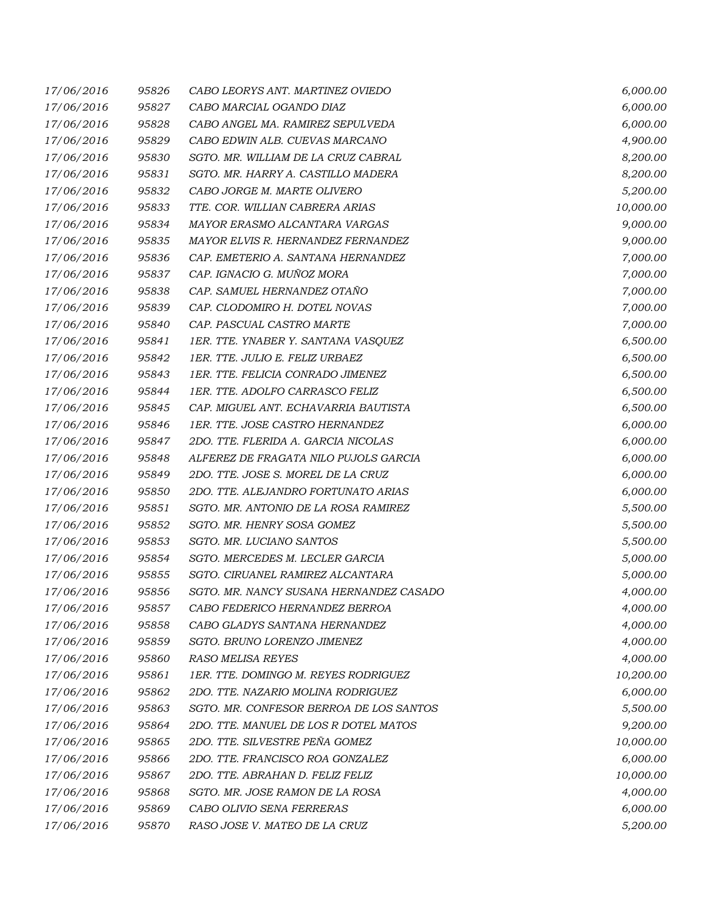| 17/06/2016 | 95826 | CABO LEORYS ANT. MARTINEZ OVIEDO        | 6,000.00  |
|------------|-------|-----------------------------------------|-----------|
| 17/06/2016 | 95827 | CABO MARCIAL OGANDO DIAZ                | 6,000.00  |
| 17/06/2016 | 95828 | CABO ANGEL MA. RAMIREZ SEPULVEDA        | 6,000.00  |
| 17/06/2016 | 95829 | CABO EDWIN ALB. CUEVAS MARCANO          | 4,900.00  |
| 17/06/2016 | 95830 | SGTO. MR. WILLIAM DE LA CRUZ CABRAL     | 8,200.00  |
| 17/06/2016 | 95831 | SGTO. MR. HARRY A. CASTILLO MADERA      | 8,200.00  |
| 17/06/2016 | 95832 | CABO JORGE M. MARTE OLIVERO             | 5,200.00  |
| 17/06/2016 | 95833 | TTE. COR. WILLIAN CABRERA ARIAS         | 10,000.00 |
| 17/06/2016 | 95834 | MAYOR ERASMO ALCANTARA VARGAS           | 9,000.00  |
| 17/06/2016 | 95835 | MAYOR ELVIS R. HERNANDEZ FERNANDEZ      | 9,000.00  |
| 17/06/2016 | 95836 | CAP. EMETERIO A. SANTANA HERNANDEZ      | 7,000.00  |
| 17/06/2016 | 95837 | CAP. IGNACIO G. MUÑOZ MORA              | 7,000.00  |
| 17/06/2016 | 95838 | CAP. SAMUEL HERNANDEZ OTAÑO             | 7,000.00  |
| 17/06/2016 | 95839 | CAP. CLODOMIRO H. DOTEL NOVAS           | 7,000.00  |
| 17/06/2016 | 95840 | CAP. PASCUAL CASTRO MARTE               | 7,000.00  |
| 17/06/2016 | 95841 | 1ER. TTE. YNABER Y. SANTANA VASQUEZ     | 6,500.00  |
| 17/06/2016 | 95842 | 1ER. TTE. JULIO E. FELIZ URBAEZ         | 6,500.00  |
| 17/06/2016 | 95843 | 1ER. TTE. FELICIA CONRADO JIMENEZ       | 6,500.00  |
| 17/06/2016 | 95844 | 1ER. TTE. ADOLFO CARRASCO FELIZ         | 6,500.00  |
| 17/06/2016 | 95845 | CAP. MIGUEL ANT. ECHAVARRIA BAUTISTA    | 6,500.00  |
| 17/06/2016 | 95846 | 1ER. TTE. JOSE CASTRO HERNANDEZ         | 6,000.00  |
| 17/06/2016 | 95847 | 2DO. TTE. FLERIDA A. GARCIA NICOLAS     | 6,000.00  |
| 17/06/2016 | 95848 | ALFEREZ DE FRAGATA NILO PUJOLS GARCIA   | 6,000.00  |
| 17/06/2016 | 95849 | 2DO. TTE. JOSE S. MOREL DE LA CRUZ      | 6,000.00  |
| 17/06/2016 | 95850 | 2DO. TTE. ALEJANDRO FORTUNATO ARIAS     | 6,000.00  |
| 17/06/2016 | 95851 | SGTO. MR. ANTONIO DE LA ROSA RAMIREZ    | 5,500.00  |
| 17/06/2016 | 95852 | SGTO. MR. HENRY SOSA GOMEZ              | 5,500.00  |
| 17/06/2016 | 95853 | SGTO. MR. LUCIANO SANTOS                | 5,500.00  |
| 17/06/2016 | 95854 | SGTO. MERCEDES M. LECLER GARCIA         | 5,000.00  |
| 17/06/2016 | 95855 | SGTO. CIRUANEL RAMIREZ ALCANTARA        | 5,000.00  |
| 17/06/2016 | 95856 | SGTO. MR. NANCY SUSANA HERNANDEZ CASADO | 4,000.00  |
| 17/06/2016 | 95857 | CABO FEDERICO HERNANDEZ BERROA          | 4,000.00  |
| 17/06/2016 | 95858 | CABO GLADYS SANTANA HERNANDEZ           | 4,000.00  |
| 17/06/2016 | 95859 | SGTO. BRUNO LORENZO JIMENEZ             | 4,000.00  |
| 17/06/2016 | 95860 | <b>RASO MELISA REYES</b>                | 4,000.00  |
| 17/06/2016 | 95861 | 1ER. TTE. DOMINGO M. REYES RODRIGUEZ    | 10,200.00 |
| 17/06/2016 | 95862 | 2DO. TTE. NAZARIO MOLINA RODRIGUEZ      | 6,000.00  |
| 17/06/2016 | 95863 | SGTO. MR. CONFESOR BERROA DE LOS SANTOS | 5,500.00  |
| 17/06/2016 | 95864 | 2DO. TTE. MANUEL DE LOS R DOTEL MATOS   | 9,200.00  |
| 17/06/2016 | 95865 | 2DO. TTE. SILVESTRE PEÑA GOMEZ          | 10,000.00 |
| 17/06/2016 | 95866 | 2DO. TTE. FRANCISCO ROA GONZALEZ        | 6,000.00  |
| 17/06/2016 | 95867 | 2DO. TTE. ABRAHAN D. FELIZ FELIZ        | 10,000.00 |
| 17/06/2016 | 95868 | SGTO. MR. JOSE RAMON DE LA ROSA         | 4,000.00  |
| 17/06/2016 | 95869 | CABO OLIVIO SENA FERRERAS               | 6,000.00  |
| 17/06/2016 | 95870 | RASO JOSE V. MATEO DE LA CRUZ           | 5,200.00  |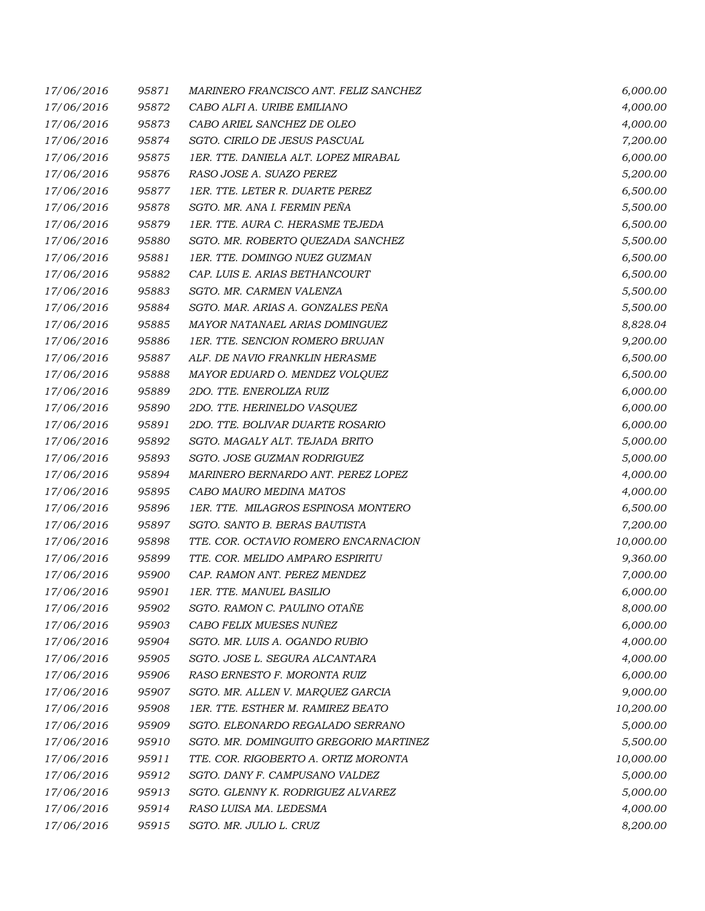| 17/06/2016 | 95871 | MARINERO FRANCISCO ANT. FELIZ SANCHEZ  | 6,000.00  |
|------------|-------|----------------------------------------|-----------|
| 17/06/2016 | 95872 | CABO ALFI A. URIBE EMILIANO            | 4,000.00  |
| 17/06/2016 | 95873 | CABO ARIEL SANCHEZ DE OLEO             | 4,000.00  |
| 17/06/2016 | 95874 | SGTO. CIRILO DE JESUS PASCUAL          | 7,200.00  |
| 17/06/2016 | 95875 | 1ER. TTE. DANIELA ALT. LOPEZ MIRABAL   | 6,000.00  |
| 17/06/2016 | 95876 | RASO JOSE A. SUAZO PEREZ               | 5,200.00  |
| 17/06/2016 | 95877 | 1ER. TTE. LETER R. DUARTE PEREZ        | 6,500.00  |
| 17/06/2016 | 95878 | SGTO. MR. ANA I. FERMIN PEÑA           | 5,500.00  |
| 17/06/2016 | 95879 | 1ER. TTE. AURA C. HERASME TEJEDA       | 6,500.00  |
| 17/06/2016 | 95880 | SGTO. MR. ROBERTO OUEZADA SANCHEZ      | 5,500.00  |
| 17/06/2016 | 95881 | 1ER. TTE. DOMINGO NUEZ GUZMAN          | 6,500.00  |
| 17/06/2016 | 95882 | CAP. LUIS E. ARIAS BETHANCOURT         | 6,500.00  |
| 17/06/2016 | 95883 | SGTO. MR. CARMEN VALENZA               | 5,500.00  |
| 17/06/2016 | 95884 | SGTO. MAR. ARIAS A. GONZALES PEÑA      | 5,500.00  |
| 17/06/2016 | 95885 | MAYOR NATANAEL ARIAS DOMINGUEZ         | 8,828.04  |
| 17/06/2016 | 95886 | 1ER. TTE. SENCION ROMERO BRUJAN        | 9,200.00  |
| 17/06/2016 | 95887 | ALF. DE NAVIO FRANKLIN HERASME         | 6,500.00  |
| 17/06/2016 | 95888 | MAYOR EDUARD O. MENDEZ VOLQUEZ         | 6,500.00  |
| 17/06/2016 | 95889 | 2DO. TTE. ENEROLIZA RUIZ               | 6,000.00  |
| 17/06/2016 | 95890 | 2DO. TTE. HERINELDO VASQUEZ            | 6,000.00  |
| 17/06/2016 | 95891 | 2DO. TTE. BOLIVAR DUARTE ROSARIO       | 6,000.00  |
| 17/06/2016 | 95892 | SGTO. MAGALY ALT. TEJADA BRITO         | 5,000.00  |
| 17/06/2016 | 95893 | SGTO. JOSE GUZMAN RODRIGUEZ            | 5,000.00  |
| 17/06/2016 | 95894 | MARINERO BERNARDO ANT. PEREZ LOPEZ     | 4,000.00  |
| 17/06/2016 | 95895 | CABO MAURO MEDINA MATOS                | 4,000.00  |
| 17/06/2016 | 95896 | 1ER. TTE. MILAGROS ESPINOSA MONTERO    | 6,500.00  |
| 17/06/2016 | 95897 | SGTO. SANTO B. BERAS BAUTISTA          | 7,200.00  |
| 17/06/2016 | 95898 | TTE. COR. OCTAVIO ROMERO ENCARNACION   | 10,000.00 |
| 17/06/2016 | 95899 | TTE. COR. MELIDO AMPARO ESPIRITU       | 9,360.00  |
| 17/06/2016 | 95900 | CAP. RAMON ANT. PEREZ MENDEZ           | 7,000.00  |
| 17/06/2016 | 95901 | 1ER. TTE. MANUEL BASILIO               | 6,000.00  |
| 17/06/2016 | 95902 | SGTO. RAMON C. PAULINO OTAÑE           | 8,000.00  |
| 17/06/2016 | 95903 | CABO FELIX MUESES NUÑEZ                | 6,000.00  |
| 17/06/2016 | 95904 | SGTO. MR. LUIS A. OGANDO RUBIO         | 4,000.00  |
| 17/06/2016 | 95905 | SGTO. JOSE L. SEGURA ALCANTARA         | 4,000.00  |
| 17/06/2016 | 95906 | RASO ERNESTO F. MORONTA RUIZ           | 6,000.00  |
| 17/06/2016 | 95907 | SGTO. MR. ALLEN V. MARQUEZ GARCIA      | 9,000.00  |
| 17/06/2016 | 95908 | 1ER. TTE. ESTHER M. RAMIREZ BEATO      | 10,200.00 |
| 17/06/2016 | 95909 | SGTO. ELEONARDO REGALADO SERRANO       | 5,000.00  |
| 17/06/2016 | 95910 | SGTO. MR. DOMINGUITO GREGORIO MARTINEZ | 5,500.00  |
| 17/06/2016 | 95911 | TTE. COR. RIGOBERTO A. ORTIZ MORONTA   | 10,000.00 |
| 17/06/2016 | 95912 | SGTO. DANY F. CAMPUSANO VALDEZ         | 5,000.00  |
| 17/06/2016 | 95913 | SGTO. GLENNY K. RODRIGUEZ ALVAREZ      | 5,000.00  |
| 17/06/2016 | 95914 | RASO LUISA MA. LEDESMA                 | 4,000.00  |
| 17/06/2016 | 95915 | SGTO. MR. JULIO L. CRUZ                | 8,200.00  |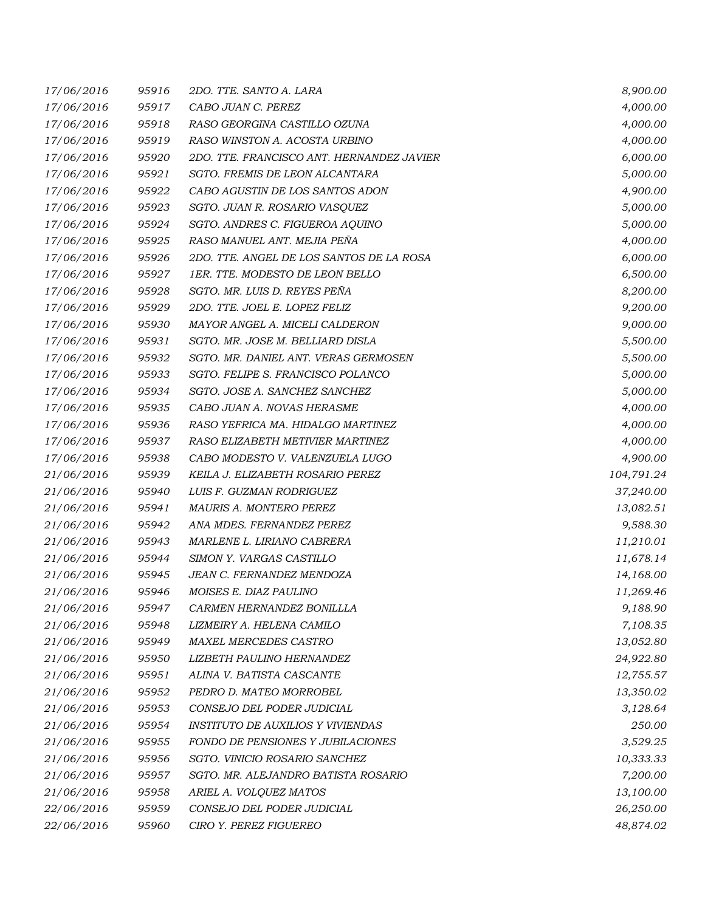| 17/06/2016 | 95916 | 2DO. TTE. SANTO A. LARA                   | 8,900.00   |
|------------|-------|-------------------------------------------|------------|
| 17/06/2016 | 95917 | CABO JUAN C. PEREZ                        | 4,000.00   |
| 17/06/2016 | 95918 | RASO GEORGINA CASTILLO OZUNA              | 4,000.00   |
| 17/06/2016 | 95919 | RASO WINSTON A. ACOSTA URBINO             | 4,000.00   |
| 17/06/2016 | 95920 | 2DO. TTE. FRANCISCO ANT. HERNANDEZ JAVIER | 6,000.00   |
| 17/06/2016 | 95921 | SGTO. FREMIS DE LEON ALCANTARA            | 5,000.00   |
| 17/06/2016 | 95922 | CABO AGUSTIN DE LOS SANTOS ADON           | 4,900.00   |
| 17/06/2016 | 95923 | SGTO. JUAN R. ROSARIO VASQUEZ             | 5,000.00   |
| 17/06/2016 | 95924 | SGTO. ANDRES C. FIGUEROA AQUINO           | 5,000.00   |
| 17/06/2016 | 95925 | RASO MANUEL ANT. MEJIA PEÑA               | 4,000.00   |
| 17/06/2016 | 95926 | 2DO. TTE. ANGEL DE LOS SANTOS DE LA ROSA  | 6,000.00   |
| 17/06/2016 | 95927 | 1ER. TTE. MODESTO DE LEON BELLO           | 6,500.00   |
| 17/06/2016 | 95928 | SGTO. MR. LUIS D. REYES PEÑA              | 8,200.00   |
| 17/06/2016 | 95929 | 2DO. TTE. JOEL E. LOPEZ FELIZ             | 9,200.00   |
| 17/06/2016 | 95930 | MAYOR ANGEL A. MICELI CALDERON            | 9,000.00   |
| 17/06/2016 | 95931 | SGTO. MR. JOSE M. BELLIARD DISLA          | 5,500.00   |
| 17/06/2016 | 95932 | SGTO. MR. DANIEL ANT. VERAS GERMOSEN      | 5,500.00   |
| 17/06/2016 | 95933 | SGTO. FELIPE S. FRANCISCO POLANCO         | 5,000.00   |
| 17/06/2016 | 95934 | SGTO. JOSE A. SANCHEZ SANCHEZ             | 5,000.00   |
| 17/06/2016 | 95935 | CABO JUAN A. NOVAS HERASME                | 4,000.00   |
| 17/06/2016 | 95936 | RASO YEFRICA MA. HIDALGO MARTINEZ         | 4,000.00   |
| 17/06/2016 | 95937 | RASO ELIZABETH METIVIER MARTINEZ          | 4,000.00   |
| 17/06/2016 | 95938 | CABO MODESTO V. VALENZUELA LUGO           | 4,900.00   |
| 21/06/2016 | 95939 | KEILA J. ELIZABETH ROSARIO PEREZ          | 104,791.24 |
| 21/06/2016 | 95940 | LUIS F. GUZMAN RODRIGUEZ                  | 37,240.00  |
| 21/06/2016 | 95941 | MAURIS A. MONTERO PEREZ                   | 13,082.51  |
| 21/06/2016 | 95942 | ANA MDES. FERNANDEZ PEREZ                 | 9,588.30   |
| 21/06/2016 | 95943 | MARLENE L. LIRIANO CABRERA                | 11,210.01  |
| 21/06/2016 | 95944 | SIMON Y. VARGAS CASTILLO                  | 11,678.14  |
| 21/06/2016 | 95945 | <b>JEAN C. FERNANDEZ MENDOZA</b>          | 14,168.00  |
| 21/06/2016 | 95946 | MOISES E. DIAZ PAULINO                    | 11,269.46  |
| 21/06/2016 | 95947 | CARMEN HERNANDEZ BONILLLA                 | 9,188.90   |
| 21/06/2016 | 95948 | LIZMEIRY A. HELENA CAMILO                 | 7,108.35   |
| 21/06/2016 | 95949 | MAXEL MERCEDES CASTRO                     | 13,052.80  |
| 21/06/2016 | 95950 | LIZBETH PAULINO HERNANDEZ                 | 24,922.80  |
| 21/06/2016 | 95951 | ALINA V. BATISTA CASCANTE                 | 12,755.57  |
| 21/06/2016 | 95952 | PEDRO D. MATEO MORROBEL                   | 13,350.02  |
| 21/06/2016 | 95953 | CONSEJO DEL PODER JUDICIAL                | 3,128.64   |
| 21/06/2016 | 95954 | <i>INSTITUTO DE AUXILIOS Y VIVIENDAS</i>  | 250.00     |
| 21/06/2016 | 95955 | FONDO DE PENSIONES Y JUBILACIONES         | 3,529.25   |
| 21/06/2016 | 95956 | SGTO. VINICIO ROSARIO SANCHEZ             | 10,333.33  |
| 21/06/2016 | 95957 | SGTO. MR. ALEJANDRO BATISTA ROSARIO       | 7,200.00   |
| 21/06/2016 | 95958 | ARIEL A. VOLQUEZ MATOS                    | 13,100.00  |
| 22/06/2016 | 95959 | CONSEJO DEL PODER JUDICIAL                | 26,250.00  |
| 22/06/2016 | 95960 | CIRO Y. PEREZ FIGUEREO                    | 48,874.02  |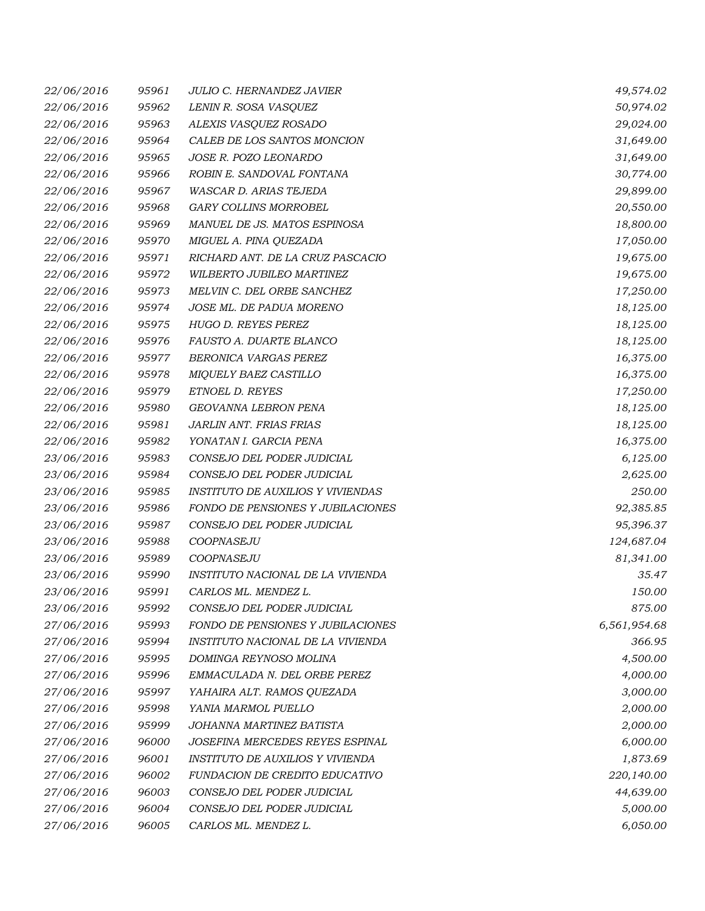| 22/06/2016 | 95961 | JULIO C. HERNANDEZ JAVIER                | 49,574.02    |
|------------|-------|------------------------------------------|--------------|
| 22/06/2016 | 95962 | LENIN R. SOSA VASQUEZ                    | 50,974.02    |
| 22/06/2016 | 95963 | ALEXIS VASQUEZ ROSADO                    | 29,024.00    |
| 22/06/2016 | 95964 | CALEB DE LOS SANTOS MONCION              | 31,649.00    |
| 22/06/2016 | 95965 | JOSE R. POZO LEONARDO                    | 31,649.00    |
| 22/06/2016 | 95966 | ROBIN E. SANDOVAL FONTANA                | 30,774.00    |
| 22/06/2016 | 95967 | WASCAR D. ARIAS TEJEDA                   | 29,899.00    |
| 22/06/2016 | 95968 | GARY COLLINS MORROBEL                    | 20,550.00    |
| 22/06/2016 | 95969 | MANUEL DE JS. MATOS ESPINOSA             | 18,800.00    |
| 22/06/2016 | 95970 | MIGUEL A. PINA QUEZADA                   | 17,050.00    |
| 22/06/2016 | 95971 | RICHARD ANT. DE LA CRUZ PASCACIO         | 19,675.00    |
| 22/06/2016 | 95972 | WILBERTO JUBILEO MARTINEZ                | 19,675.00    |
| 22/06/2016 | 95973 | MELVIN C. DEL ORBE SANCHEZ               | 17,250.00    |
| 22/06/2016 | 95974 | JOSE ML. DE PADUA MORENO                 | 18,125.00    |
| 22/06/2016 | 95975 | HUGO D. REYES PEREZ                      | 18,125.00    |
| 22/06/2016 | 95976 | FAUSTO A. DUARTE BLANCO                  | 18,125.00    |
| 22/06/2016 | 95977 | BERONICA VARGAS PEREZ                    | 16,375.00    |
| 22/06/2016 | 95978 | MIQUELY BAEZ CASTILLO                    | 16,375.00    |
| 22/06/2016 | 95979 | ETNOEL D. REYES                          | 17,250.00    |
| 22/06/2016 | 95980 | GEOVANNA LEBRON PENA                     | 18,125.00    |
| 22/06/2016 | 95981 | JARLIN ANT. FRIAS FRIAS                  | 18,125.00    |
| 22/06/2016 | 95982 | YONATAN I. GARCIA PENA                   | 16,375.00    |
| 23/06/2016 | 95983 | CONSEJO DEL PODER JUDICIAL               | 6,125.00     |
| 23/06/2016 | 95984 | CONSEJO DEL PODER JUDICIAL               | 2,625.00     |
| 23/06/2016 | 95985 | <b>INSTITUTO DE AUXILIOS Y VIVIENDAS</b> | 250.00       |
| 23/06/2016 | 95986 | FONDO DE PENSIONES Y JUBILACIONES        | 92,385.85    |
| 23/06/2016 | 95987 | CONSEJO DEL PODER JUDICIAL               | 95,396.37    |
| 23/06/2016 | 95988 | COOPNASEJU                               | 124,687.04   |
| 23/06/2016 | 95989 | COOPNASEJU                               | 81,341.00    |
| 23/06/2016 | 95990 | INSTITUTO NACIONAL DE LA VIVIENDA        | 35.47        |
| 23/06/2016 | 95991 | CARLOS ML. MENDEZ L.                     | 150.00       |
| 23/06/2016 | 95992 | CONSEJO DEL PODER JUDICIAL               | 875.00       |
| 27/06/2016 | 95993 | <b>FONDO DE PENSIONES Y JUBILACIONES</b> | 6,561,954.68 |
| 27/06/2016 | 95994 | INSTITUTO NACIONAL DE LA VIVIENDA        | 366.95       |
| 27/06/2016 | 95995 | DOMINGA REYNOSO MOLINA                   | 4,500.00     |
| 27/06/2016 | 95996 | EMMACULADA N. DEL ORBE PEREZ             | 4,000.00     |
| 27/06/2016 | 95997 | YAHAIRA ALT. RAMOS QUEZADA               | 3,000.00     |
| 27/06/2016 | 95998 | YANIA MARMOL PUELLO                      | 2,000.00     |
| 27/06/2016 | 95999 | JOHANNA MARTINEZ BATISTA                 | 2,000.00     |
| 27/06/2016 | 96000 | JOSEFINA MERCEDES REYES ESPINAL          | 6,000.00     |
| 27/06/2016 | 96001 | INSTITUTO DE AUXILIOS Y VIVIENDA         | 1,873.69     |
| 27/06/2016 | 96002 | <b>FUNDACION DE CREDITO EDUCATIVO</b>    | 220,140.00   |
| 27/06/2016 | 96003 | CONSEJO DEL PODER JUDICIAL               | 44,639.00    |
| 27/06/2016 | 96004 | CONSEJO DEL PODER JUDICIAL               | 5,000.00     |
| 27/06/2016 | 96005 | CARLOS ML. MENDEZ L.                     | 6,050.00     |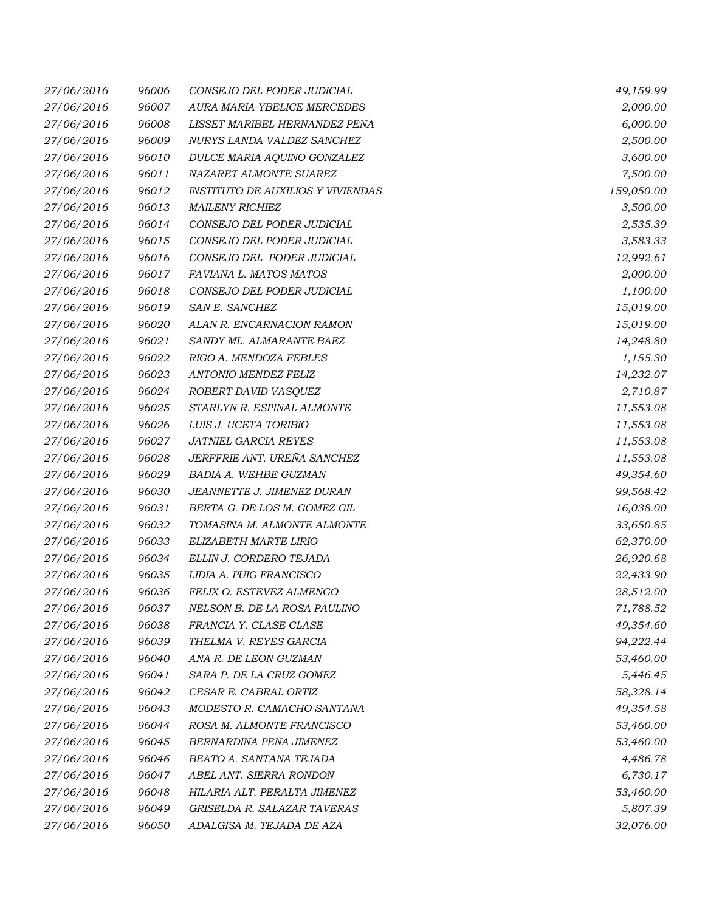| 27/06/2016 | 96006 | CONSEJO DEL PODER JUDICIAL               | 49,159.99  |
|------------|-------|------------------------------------------|------------|
| 27/06/2016 | 96007 | AURA MARIA YBELICE MERCEDES              | 2,000.00   |
| 27/06/2016 | 96008 | LISSET MARIBEL HERNANDEZ PENA            | 6,000.00   |
| 27/06/2016 | 96009 | NURYS LANDA VALDEZ SANCHEZ               | 2,500.00   |
| 27/06/2016 | 96010 | DULCE MARIA AQUINO GONZALEZ              | 3,600.00   |
| 27/06/2016 | 96011 | NAZARET ALMONTE SUAREZ                   | 7,500.00   |
| 27/06/2016 | 96012 | <b>INSTITUTO DE AUXILIOS Y VIVIENDAS</b> | 159,050.00 |
| 27/06/2016 | 96013 | <b>MAILENY RICHIEZ</b>                   | 3,500.00   |
| 27/06/2016 | 96014 | CONSEJO DEL PODER JUDICIAL               | 2,535.39   |
| 27/06/2016 | 96015 | CONSEJO DEL PODER JUDICIAL               | 3,583.33   |
| 27/06/2016 | 96016 | CONSEJO DEL PODER JUDICIAL               | 12,992.61  |
| 27/06/2016 | 96017 | FAVIANA L. MATOS MATOS                   | 2,000.00   |
| 27/06/2016 | 96018 | CONSEJO DEL PODER JUDICIAL               | 1,100.00   |
| 27/06/2016 | 96019 | SAN E. SANCHEZ                           | 15,019.00  |
| 27/06/2016 | 96020 | ALAN R. ENCARNACION RAMON                | 15,019.00  |
| 27/06/2016 | 96021 | SANDY ML. ALMARANTE BAEZ                 | 14,248.80  |
| 27/06/2016 | 96022 | RIGO A. MENDOZA FEBLES                   | 1,155.30   |
| 27/06/2016 | 96023 | ANTONIO MENDEZ FELIZ                     | 14,232.07  |
| 27/06/2016 | 96024 | ROBERT DAVID VASQUEZ                     | 2,710.87   |
| 27/06/2016 | 96025 | STARLYN R. ESPINAL ALMONTE               | 11,553.08  |
| 27/06/2016 | 96026 | LUIS J. UCETA TORIBIO                    | 11,553.08  |
| 27/06/2016 | 96027 | JATNIEL GARCIA REYES                     | 11,553.08  |
| 27/06/2016 | 96028 | JERFFRIE ANT. UREÑA SANCHEZ              | 11,553.08  |
| 27/06/2016 | 96029 | BADIA A. WEHBE GUZMAN                    | 49,354.60  |
| 27/06/2016 | 96030 | JEANNETTE J. JIMENEZ DURAN               | 99,568.42  |
| 27/06/2016 | 96031 | BERTA G. DE LOS M. GOMEZ GIL             | 16,038.00  |
| 27/06/2016 | 96032 | TOMASINA M. ALMONTE ALMONTE              | 33,650.85  |
| 27/06/2016 | 96033 | ELIZABETH MARTE LIRIO                    | 62,370.00  |
| 27/06/2016 | 96034 | ELLIN J. CORDERO TEJADA                  | 26,920.68  |
| 27/06/2016 | 96035 | LIDIA A. PUIG FRANCISCO                  | 22,433.90  |
| 27/06/2016 | 96036 | FELIX O. ESTEVEZ ALMENGO                 | 28,512.00  |
| 27/06/2016 | 96037 | NELSON B. DE LA ROSA PAULINO             | 71,788.52  |
| 27/06/2016 | 96038 | FRANCIA Y. CLASE CLASE                   | 49,354.60  |
| 27/06/2016 | 96039 | THELMA V. REYES GARCIA                   | 94,222.44  |
| 27/06/2016 | 96040 | ANA R. DE LEON GUZMAN                    | 53,460.00  |
| 27/06/2016 | 96041 | SARA P. DE LA CRUZ GOMEZ                 | 5,446.45   |
| 27/06/2016 | 96042 | CESAR E. CABRAL ORTIZ                    | 58,328.14  |
| 27/06/2016 | 96043 | MODESTO R. CAMACHO SANTANA               | 49,354.58  |
| 27/06/2016 | 96044 | ROSA M. ALMONTE FRANCISCO                | 53,460.00  |
| 27/06/2016 | 96045 | BERNARDINA PEÑA JIMENEZ                  | 53,460.00  |
| 27/06/2016 | 96046 | BEATO A. SANTANA TEJADA                  | 4,486.78   |
| 27/06/2016 | 96047 | ABEL ANT. SIERRA RONDON                  | 6,730.17   |
| 27/06/2016 | 96048 | HILARIA ALT. PERALTA JIMENEZ             | 53,460.00  |
| 27/06/2016 | 96049 | GRISELDA R. SALAZAR TAVERAS              | 5,807.39   |
| 27/06/2016 | 96050 | ADALGISA M. TEJADA DE AZA                | 32,076.00  |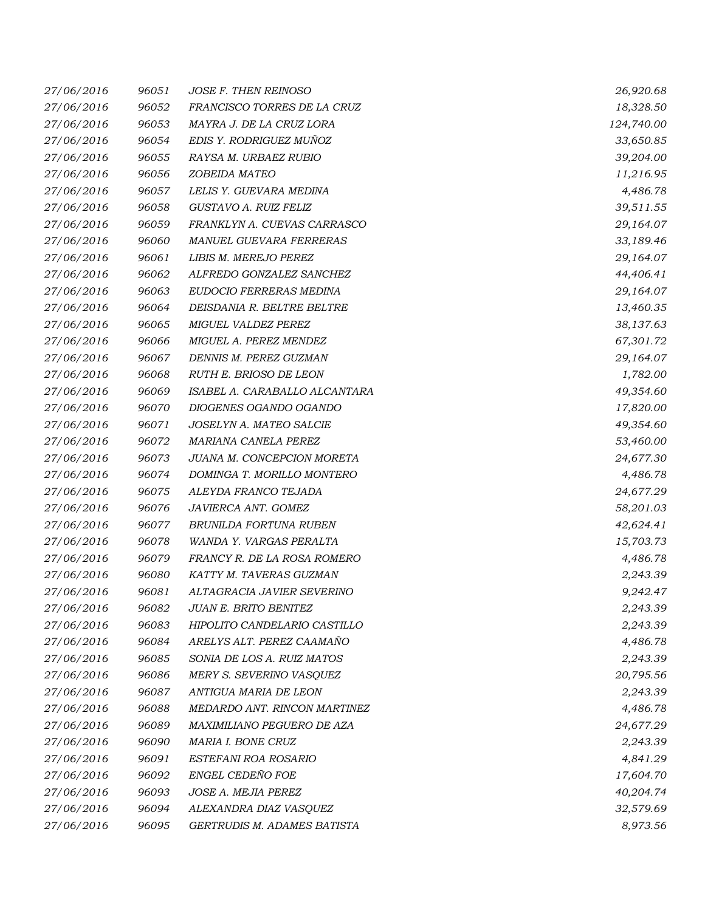| 27/06/2016 | 96051 | <b>JOSE F. THEN REINOSO</b>   | 26,920.68  |
|------------|-------|-------------------------------|------------|
| 27/06/2016 | 96052 | FRANCISCO TORRES DE LA CRUZ   | 18,328.50  |
| 27/06/2016 | 96053 | MAYRA J. DE LA CRUZ LORA      | 124,740.00 |
| 27/06/2016 | 96054 | EDIS Y. RODRIGUEZ MUÑOZ       | 33,650.85  |
| 27/06/2016 | 96055 | RAYSA M. URBAEZ RUBIO         | 39,204.00  |
| 27/06/2016 | 96056 | ZOBEIDA MATEO                 | 11,216.95  |
| 27/06/2016 | 96057 | LELIS Y. GUEVARA MEDINA       | 4,486.78   |
| 27/06/2016 | 96058 | GUSTAVO A. RUIZ FELIZ         | 39,511.55  |
| 27/06/2016 | 96059 | FRANKLYN A. CUEVAS CARRASCO   | 29,164.07  |
| 27/06/2016 | 96060 | MANUEL GUEVARA FERRERAS       | 33,189.46  |
| 27/06/2016 | 96061 | LIBIS M. MEREJO PEREZ         | 29,164.07  |
| 27/06/2016 | 96062 | ALFREDO GONZALEZ SANCHEZ      | 44,406.41  |
| 27/06/2016 | 96063 | EUDOCIO FERRERAS MEDINA       | 29,164.07  |
| 27/06/2016 | 96064 | DEISDANIA R. BELTRE BELTRE    | 13,460.35  |
| 27/06/2016 | 96065 | MIGUEL VALDEZ PEREZ           | 38,137.63  |
| 27/06/2016 | 96066 | MIGUEL A. PEREZ MENDEZ        | 67,301.72  |
| 27/06/2016 | 96067 | DENNIS M. PEREZ GUZMAN        | 29,164.07  |
| 27/06/2016 | 96068 | RUTH E. BRIOSO DE LEON        | 1,782.00   |
| 27/06/2016 | 96069 | ISABEL A. CARABALLO ALCANTARA | 49,354.60  |
| 27/06/2016 | 96070 | DIOGENES OGANDO OGANDO        | 17,820.00  |
| 27/06/2016 | 96071 | JOSELYN A. MATEO SALCIE       | 49,354.60  |
| 27/06/2016 | 96072 | MARIANA CANELA PEREZ          | 53,460.00  |
| 27/06/2016 | 96073 | JUANA M. CONCEPCION MORETA    | 24,677.30  |
| 27/06/2016 | 96074 | DOMINGA T. MORILLO MONTERO    | 4,486.78   |
| 27/06/2016 | 96075 | ALEYDA FRANCO TEJADA          | 24,677.29  |
| 27/06/2016 | 96076 | JAVIERCA ANT. GOMEZ           | 58,201.03  |
| 27/06/2016 | 96077 | BRUNILDA FORTUNA RUBEN        | 42,624.41  |
| 27/06/2016 | 96078 | WANDA Y. VARGAS PERALTA       | 15,703.73  |
| 27/06/2016 | 96079 | FRANCY R. DE LA ROSA ROMERO   | 4,486.78   |
| 27/06/2016 | 96080 | KATTY M. TAVERAS GUZMAN       | 2,243.39   |
| 27/06/2016 | 96081 | ALTAGRACIA JAVIER SEVERINO    | 9,242.47   |
| 27/06/2016 | 96082 | JUAN E. BRITO BENITEZ         | 2,243.39   |
| 27/06/2016 | 96083 | HIPOLITO CANDELARIO CASTILLO  | 2,243.39   |
| 27/06/2016 | 96084 | ARELYS ALT. PEREZ CAAMAÑO     | 4,486.78   |
| 27/06/2016 | 96085 | SONIA DE LOS A. RUIZ MATOS    | 2,243.39   |
| 27/06/2016 | 96086 | MERY S. SEVERINO VASQUEZ      | 20,795.56  |
| 27/06/2016 | 96087 | ANTIGUA MARIA DE LEON         | 2,243.39   |
| 27/06/2016 | 96088 | MEDARDO ANT. RINCON MARTINEZ  | 4,486.78   |
| 27/06/2016 | 96089 | MAXIMILIANO PEGUERO DE AZA    | 24,677.29  |
| 27/06/2016 | 96090 | MARIA I. BONE CRUZ            | 2,243.39   |
| 27/06/2016 | 96091 | ESTEFANI ROA ROSARIO          | 4,841.29   |
| 27/06/2016 | 96092 | ENGEL CEDEÑO FOE              | 17,604.70  |
| 27/06/2016 | 96093 | JOSE A. MEJIA PEREZ           | 40,204.74  |
| 27/06/2016 | 96094 | ALEXANDRA DIAZ VASQUEZ        | 32,579.69  |
| 27/06/2016 | 96095 | GERTRUDIS M. ADAMES BATISTA   | 8,973.56   |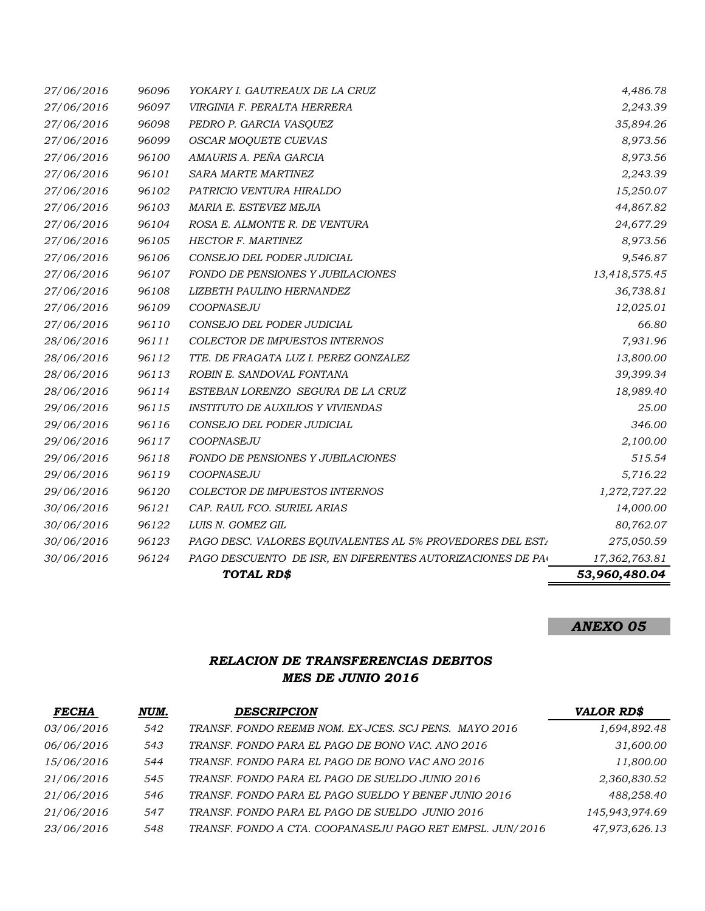|                          |                | TOTAL RD\$                                                     | 53,960,480.04              |
|--------------------------|----------------|----------------------------------------------------------------|----------------------------|
| 30/06/2016               | 96124          | PAGO DESCUENTO DE ISR, EN DIFERENTES AUTORIZACIONES DE PAC     | 17,362,763.81              |
| 30/06/2016               | 96123          | PAGO DESC. VALORES EQUIVALENTES AL 5% PROVEDORES DEL EST.      | 275,050.59                 |
| 30/06/2016               | 96122          | LUIS N. GOMEZ GIL                                              | 80,762.07                  |
| 30/06/2016               | 96121          | CAP. RAUL FCO. SURIEL ARIAS                                    | 14,000.00                  |
| 29/06/2016               | 96120          | COLECTOR DE IMPUESTOS INTERNOS                                 | 1,272,727.22               |
| 29/06/2016               | 96119          | COOPNASEJU                                                     | 5,716.22                   |
| 29/06/2016               | 96118          | FONDO DE PENSIONES Y JUBILACIONES                              | 515.54                     |
| 29/06/2016               | 96117          | COOPNASEJU                                                     | 2,100.00                   |
| 29/06/2016               | 96116          | CONSEJO DEL PODER JUDICIAL                                     | 346.00                     |
| 29/06/2016               | 96115          | INSTITUTO DE AUXILIOS Y VIVIENDAS                              | 25.00                      |
| 28/06/2016               | 96114          | ESTEBAN LORENZO SEGURA DE LA CRUZ                              | 18,989.40                  |
| 28/06/2016               | 96113          | ROBIN E. SANDOVAL FONTANA                                      | 39,399.34                  |
| 28/06/2016               | 96112          | TTE. DE FRAGATA LUZ I. PEREZ GONZALEZ                          | 13,800.00                  |
| 28/06/2016               | 96111          | COLECTOR DE IMPUESTOS INTERNOS                                 | 7,931.96                   |
| 27/06/2016               | 96110          | CONSEJO DEL PODER JUDICIAL                                     | 66.80                      |
| 27/06/2016               | 96109          | COOPNASEJU                                                     | 12,025.01                  |
| 27/06/2016<br>27/06/2016 | 96107<br>96108 | FONDO DE PENSIONES Y JUBILACIONES<br>LIZBETH PAULINO HERNANDEZ | 13,418,575.45<br>36,738.81 |
| 27/06/2016               | 96106          | CONSEJO DEL PODER JUDICIAL                                     | 9,546.87                   |
| 27/06/2016               | 96105          | HECTOR F. MARTINEZ                                             | 8,973.56                   |
| 27/06/2016               | 96104          | ROSA E. ALMONTE R. DE VENTURA                                  | 24,677.29                  |
| 27/06/2016               | 96103          | MARIA E. ESTEVEZ MEJIA                                         | 44,867.82                  |
| 27/06/2016               | 96102          | PATRICIO VENTURA HIRALDO                                       | 15,250.07                  |
| 27/06/2016               | 96101          | SARA MARTE MARTINEZ                                            | 2,243.39                   |
| 27/06/2016               | 96100          | AMAURIS A. PEÑA GARCIA                                         | 8,973.56                   |
| 27/06/2016               | 96099          | <b>OSCAR MOQUETE CUEVAS</b>                                    | 8,973.56                   |
| 27/06/2016               | 96098          | PEDRO P. GARCIA VASQUEZ                                        | 35,894.26                  |
| 27/06/2016               | 96097          | VIRGINIA F. PERALTA HERRERA                                    | 2,243.39                   |
| 27/06/2016               | 96096          | YOKARY I. GAUTREAUX DE LA CRUZ                                 | 4,486.78                   |

## *ANEXO 05*

# *RELACION DE TRANSFERENCIAS DEBITOS MES DE JUNIO 2016*

| <b>FECHA</b> | NUM. | <b>DESCRIPCION</b>                                        | <b>VALOR RD\$</b> |
|--------------|------|-----------------------------------------------------------|-------------------|
| 03/06/2016   | 542  | TRANSF. FONDO REEMB NOM. EX-JCES. SCJ PENS. MAYO 2016     | 1,694,892.48      |
| 06/06/2016   | 543  | TRANSF. FONDO PARA EL PAGO DE BONO VAC. ANO 2016          | 31,600.00         |
| 15/06/2016   | 544  | TRANSF. FONDO PARA EL PAGO DE BONO VAC ANO 2016           | 11,800.00         |
| 21/06/2016   | 545  | TRANSF. FONDO PARA EL PAGO DE SUELDO JUNIO 2016           | 2,360,830.52      |
| 21/06/2016   | 546  | TRANSF. FONDO PARA EL PAGO SUELDO Y BENEF JUNIO 2016      | 488,258.40        |
| 21/06/2016   | 547  | TRANSF. FONDO PARA EL PAGO DE SUELDO JUNIO 2016           | 145,943,974.69    |
| 23/06/2016   | 548  | TRANSF. FONDO A CTA. COOPANASEJU PAGO RET EMPSL. JUN/2016 | 47,973,626.13     |